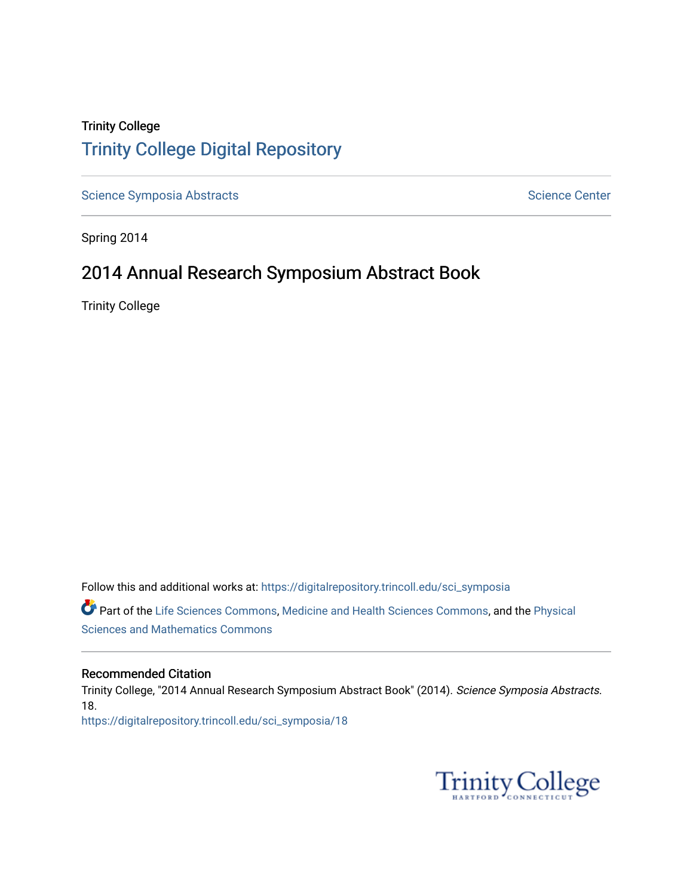### Trinity College [Trinity College Digital Repository](https://digitalrepository.trincoll.edu/)

[Science Symposia Abstracts](https://digitalrepository.trincoll.edu/sci_symposia) **Science Center** Science Center

Spring 2014

### 2014 Annual Research Symposium Abstract Book

Trinity College

Follow this and additional works at: [https://digitalrepository.trincoll.edu/sci\\_symposia](https://digitalrepository.trincoll.edu/sci_symposia?utm_source=digitalrepository.trincoll.edu%2Fsci_symposia%2F18&utm_medium=PDF&utm_campaign=PDFCoverPages)  Part of the [Life Sciences Commons,](http://network.bepress.com/hgg/discipline/1016?utm_source=digitalrepository.trincoll.edu%2Fsci_symposia%2F18&utm_medium=PDF&utm_campaign=PDFCoverPages) [Medicine and Health Sciences Commons,](http://network.bepress.com/hgg/discipline/648?utm_source=digitalrepository.trincoll.edu%2Fsci_symposia%2F18&utm_medium=PDF&utm_campaign=PDFCoverPages) and the [Physical](http://network.bepress.com/hgg/discipline/114?utm_source=digitalrepository.trincoll.edu%2Fsci_symposia%2F18&utm_medium=PDF&utm_campaign=PDFCoverPages)  [Sciences and Mathematics Commons](http://network.bepress.com/hgg/discipline/114?utm_source=digitalrepository.trincoll.edu%2Fsci_symposia%2F18&utm_medium=PDF&utm_campaign=PDFCoverPages) 

#### Recommended Citation

Trinity College, "2014 Annual Research Symposium Abstract Book" (2014). Science Symposia Abstracts. 18. [https://digitalrepository.trincoll.edu/sci\\_symposia/18](https://digitalrepository.trincoll.edu/sci_symposia/18?utm_source=digitalrepository.trincoll.edu%2Fsci_symposia%2F18&utm_medium=PDF&utm_campaign=PDFCoverPages) 

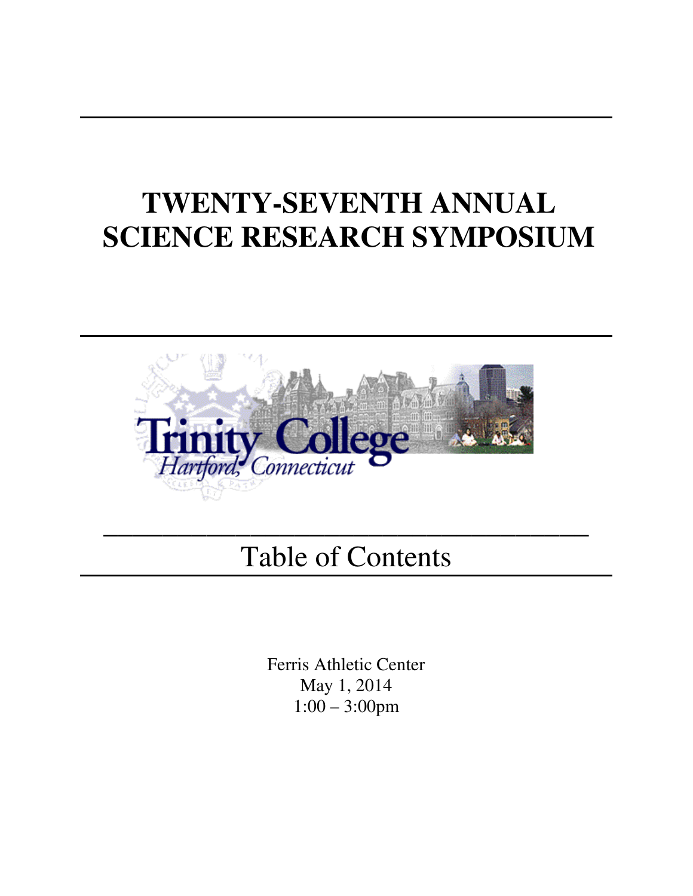# **TWENTY-SEVENTH ANNUAL SCIENCE RESEARCH SYMPOSIUM**



# Table of Contents

 $\overline{\phantom{a}}$  , and the contract of the contract of the contract of the contract of the contract of the contract of the contract of the contract of the contract of the contract of the contract of the contract of the contrac

Ferris Athletic Center May 1, 2014 1:00 – 3:00pm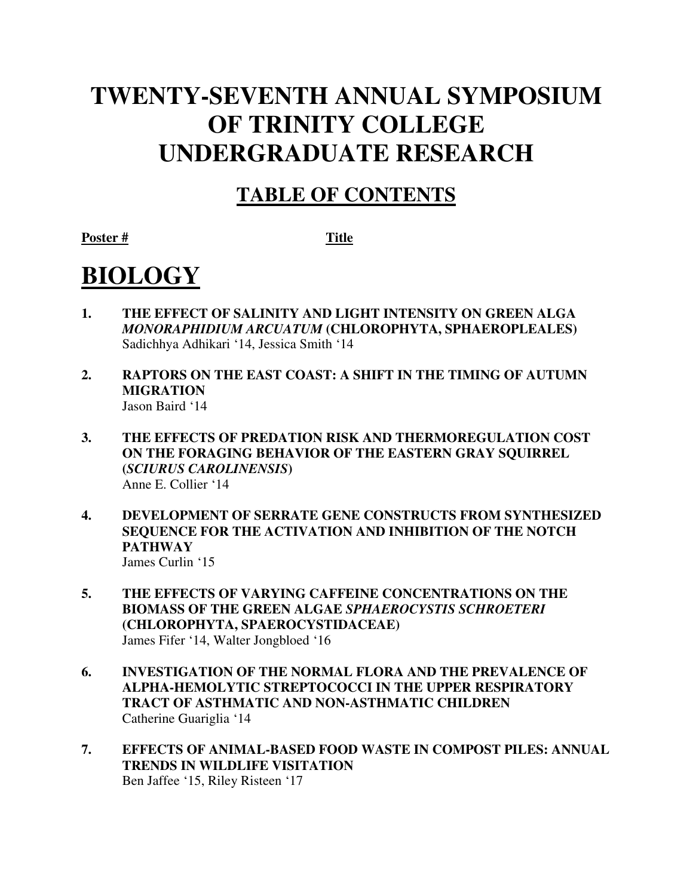## **TWENTY-SEVENTH ANNUAL SYMPOSIUM OF TRINITY COLLEGE UNDERGRADUATE RESEARCH**

## **TABLE OF CONTENTS**

Poster # Title

# **BIOLOGY**

- **1. THE EFFECT OF SALINITY AND LIGHT INTENSITY ON GREEN ALGA**  *MONORAPHIDIUM ARCUATUM* **(CHLOROPHYTA, SPHAEROPLEALES)**  Sadichhya Adhikari '14, Jessica Smith '14
- **2. RAPTORS ON THE EAST COAST: A SHIFT IN THE TIMING OF AUTUMN MIGRATION**  Jason Baird '14
- **3. THE EFFECTS OF PREDATION RISK AND THERMOREGULATION COST ON THE FORAGING BEHAVIOR OF THE EASTERN GRAY SQUIRREL (***SCIURUS CAROLINENSIS***)**  Anne E. Collier '14
- **4. DEVELOPMENT OF SERRATE GENE CONSTRUCTS FROM SYNTHESIZED SEQUENCE FOR THE ACTIVATION AND INHIBITION OF THE NOTCH PATHWAY**  James Curlin '15
- **5. THE EFFECTS OF VARYING CAFFEINE CONCENTRATIONS ON THE BIOMASS OF THE GREEN ALGAE** *SPHAEROCYSTIS SCHROETERI* **(CHLOROPHYTA, SPAEROCYSTIDACEAE)**  James Fifer '14, Walter Jongbloed '16
- **6. INVESTIGATION OF THE NORMAL FLORA AND THE PREVALENCE OF ALPHA-HEMOLYTIC STREPTOCOCCI IN THE UPPER RESPIRATORY TRACT OF ASTHMATIC AND NON-ASTHMATIC CHILDREN**  Catherine Guariglia '14
- **7. EFFECTS OF ANIMAL-BASED FOOD WASTE IN COMPOST PILES: ANNUAL TRENDS IN WILDLIFE VISITATION**  Ben Jaffee '15, Riley Risteen '17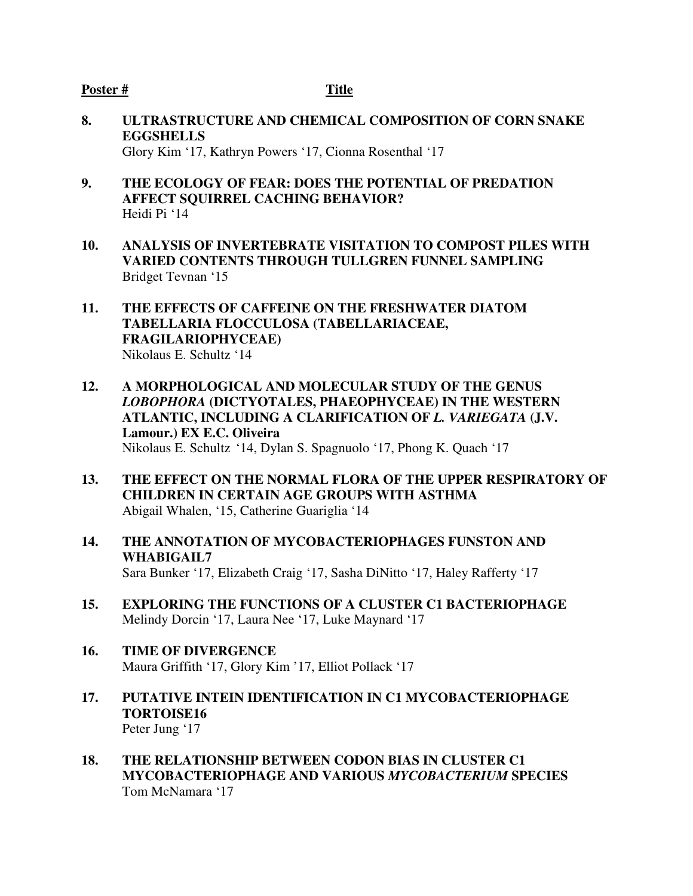- **8. ULTRASTRUCTURE AND CHEMICAL COMPOSITION OF CORN SNAKE EGGSHELLS**  Glory Kim '17, Kathryn Powers '17, Cionna Rosenthal '17
- **9. THE ECOLOGY OF FEAR: DOES THE POTENTIAL OF PREDATION AFFECT SQUIRREL CACHING BEHAVIOR?**  Heidi Pi '14
- **10. ANALYSIS OF INVERTEBRATE VISITATION TO COMPOST PILES WITH VARIED CONTENTS THROUGH TULLGREN FUNNEL SAMPLING**  Bridget Tevnan '15
- **11. THE EFFECTS OF CAFFEINE ON THE FRESHWATER DIATOM TABELLARIA FLOCCULOSA (TABELLARIACEAE, FRAGILARIOPHYCEAE)**  Nikolaus E. Schultz '14
- **12. A MORPHOLOGICAL AND MOLECULAR STUDY OF THE GENUS**  *LOBOPHORA* **(DICTYOTALES, PHAEOPHYCEAE) IN THE WESTERN ATLANTIC, INCLUDING A CLARIFICATION OF** *L. VARIEGATA* **(J.V. Lamour.) EX E.C. Oliveira**  Nikolaus E. Schultz '14, Dylan S. Spagnuolo '17, Phong K. Quach '17
- **13. THE EFFECT ON THE NORMAL FLORA OF THE UPPER RESPIRATORY OF CHILDREN IN CERTAIN AGE GROUPS WITH ASTHMA**  Abigail Whalen, '15, Catherine Guariglia '14
- **14. THE ANNOTATION OF MYCOBACTERIOPHAGES FUNSTON AND WHABIGAIL7**  Sara Bunker '17, Elizabeth Craig '17, Sasha DiNitto '17, Haley Rafferty '17
- **15. EXPLORING THE FUNCTIONS OF A CLUSTER C1 BACTERIOPHAGE**  Melindy Dorcin '17, Laura Nee '17, Luke Maynard '17
- **16. TIME OF DIVERGENCE** Maura Griffith '17, Glory Kim '17, Elliot Pollack '17
- **17. PUTATIVE INTEIN IDENTIFICATION IN C1 MYCOBACTERIOPHAGE TORTOISE16**  Peter Jung '17
- **18. THE RELATIONSHIP BETWEEN CODON BIAS IN CLUSTER C1 MYCOBACTERIOPHAGE AND VARIOUS** *MYCOBACTERIUM* **SPECIES**  Tom McNamara '17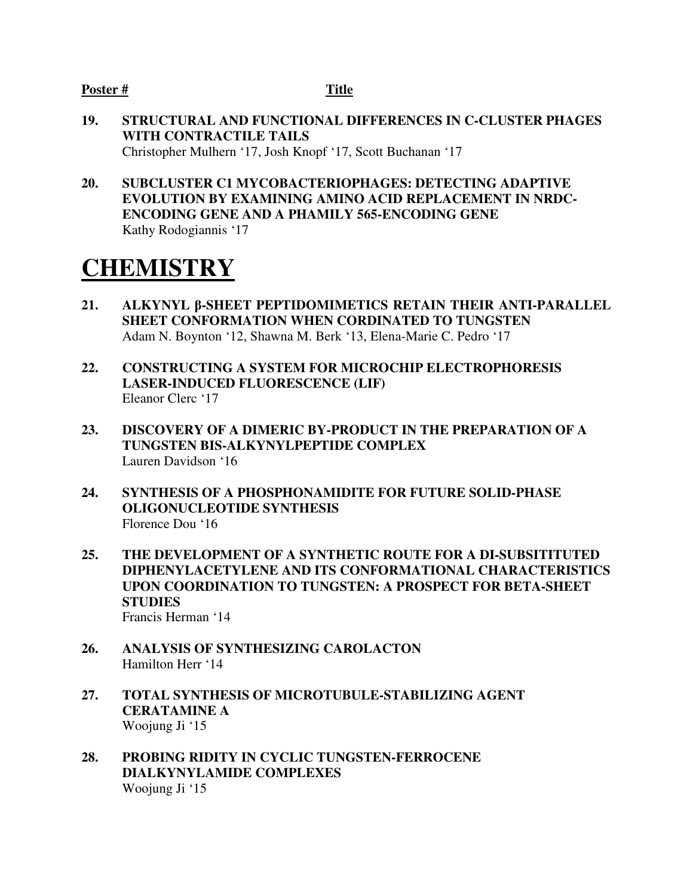- **19. STRUCTURAL AND FUNCTIONAL DIFFERENCES IN C-CLUSTER PHAGES WITH CONTRACTILE TAILS**  Christopher Mulhern '17, Josh Knopf '17, Scott Buchanan '17
- **20. SUBCLUSTER C1 MYCOBACTERIOPHAGES: DETECTING ADAPTIVE EVOLUTION BY EXAMINING AMINO ACID REPLACEMENT IN NRDC-ENCODING GENE AND A PHAMILY 565-ENCODING GENE**  Kathy Rodogiannis '17

## **CHEMISTRY**

- **21. ALKYNYL** β**-SHEET PEPTIDOMIMETICS RETAIN THEIR ANTI-PARALLEL SHEET CONFORMATION WHEN CORDINATED TO TUNGSTEN**  Adam N. Boynton '12, Shawna M. Berk '13, Elena-Marie C. Pedro '17
- **22. CONSTRUCTING A SYSTEM FOR MICROCHIP ELECTROPHORESIS LASER-INDUCED FLUORESCENCE (LIF)**  Eleanor Clerc '17
- **23. DISCOVERY OF A DIMERIC BY-PRODUCT IN THE PREPARATION OF A TUNGSTEN BIS-ALKYNYLPEPTIDE COMPLEX**  Lauren Davidson '16
- **24. SYNTHESIS OF A PHOSPHONAMIDITE FOR FUTURE SOLID-PHASE OLIGONUCLEOTIDE SYNTHESIS**  Florence Dou '16
- **25. THE DEVELOPMENT OF A SYNTHETIC ROUTE FOR A DI-SUBSITITUTED DIPHENYLACETYLENE AND ITS CONFORMATIONAL CHARACTERISTICS UPON COORDINATION TO TUNGSTEN: A PROSPECT FOR BETA-SHEET STUDIES** Francis Herman '14
- **26. ANALYSIS OF SYNTHESIZING CAROLACTON**  Hamilton Herr '14
- **27. TOTAL SYNTHESIS OF MICROTUBULE-STABILIZING AGENT CERATAMINE A**  Woojung Ji '15
- **28. PROBING RIDITY IN CYCLIC TUNGSTEN-FERROCENE DIALKYNYLAMIDE COMPLEXES**  Woojung Ji '15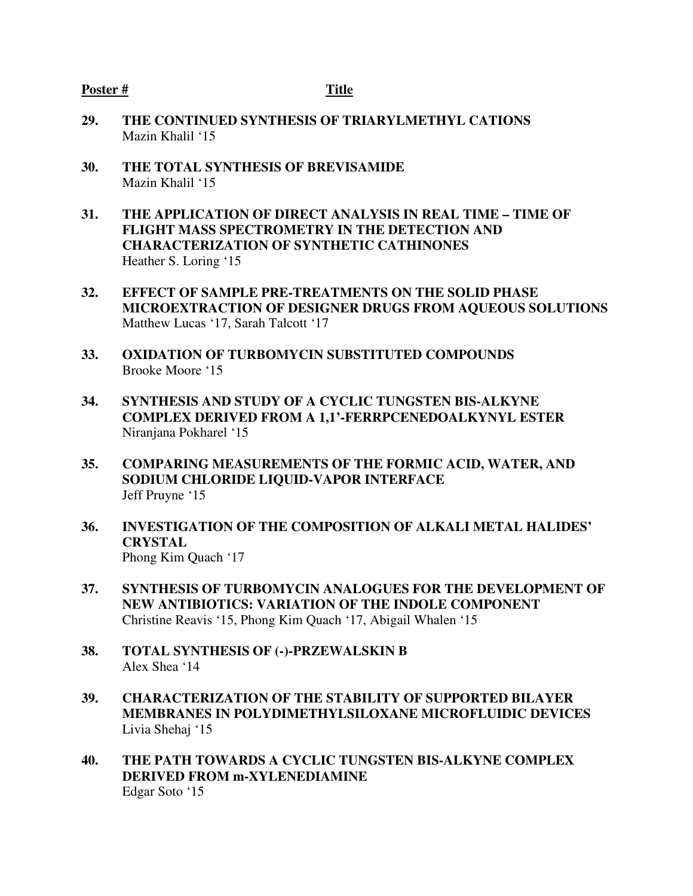- **29. THE CONTINUED SYNTHESIS OF TRIARYLMETHYL CATIONS**  Mazin Khalil '15
- **30. THE TOTAL SYNTHESIS OF BREVISAMIDE**  Mazin Khalil '15
- **31. THE APPLICATION OF DIRECT ANALYSIS IN REAL TIME TIME OF FLIGHT MASS SPECTROMETRY IN THE DETECTION AND CHARACTERIZATION OF SYNTHETIC CATHINONES**  Heather S. Loring '15
- **32. EFFECT OF SAMPLE PRE-TREATMENTS ON THE SOLID PHASE MICROEXTRACTION OF DESIGNER DRUGS FROM AQUEOUS SOLUTIONS**  Matthew Lucas '17, Sarah Talcott '17
- **33. OXIDATION OF TURBOMYCIN SUBSTITUTED COMPOUNDS**  Brooke Moore '15
- **34. SYNTHESIS AND STUDY OF A CYCLIC TUNGSTEN BIS-ALKYNE COMPLEX DERIVED FROM A 1,1'-FERRPCENEDOALKYNYL ESTER**  Niranjana Pokharel '15
- **35. COMPARING MEASUREMENTS OF THE FORMIC ACID, WATER, AND SODIUM CHLORIDE LIQUID-VAPOR INTERFACE**  Jeff Pruyne '15
- **36. INVESTIGATION OF THE COMPOSITION OF ALKALI METAL HALIDES' CRYSTAL**  Phong Kim Quach '17
- **37. SYNTHESIS OF TURBOMYCIN ANALOGUES FOR THE DEVELOPMENT OF NEW ANTIBIOTICS: VARIATION OF THE INDOLE COMPONENT**  Christine Reavis '15, Phong Kim Quach '17, Abigail Whalen '15
- **38. TOTAL SYNTHESIS OF (-)-PRZEWALSKIN B**  Alex Shea '14
- **39. CHARACTERIZATION OF THE STABILITY OF SUPPORTED BILAYER MEMBRANES IN POLYDIMETHYLSILOXANE MICROFLUIDIC DEVICES**  Livia Shehaj '15
- **40. THE PATH TOWARDS A CYCLIC TUNGSTEN BIS-ALKYNE COMPLEX DERIVED FROM m-XYLENEDIAMINE**  Edgar Soto '15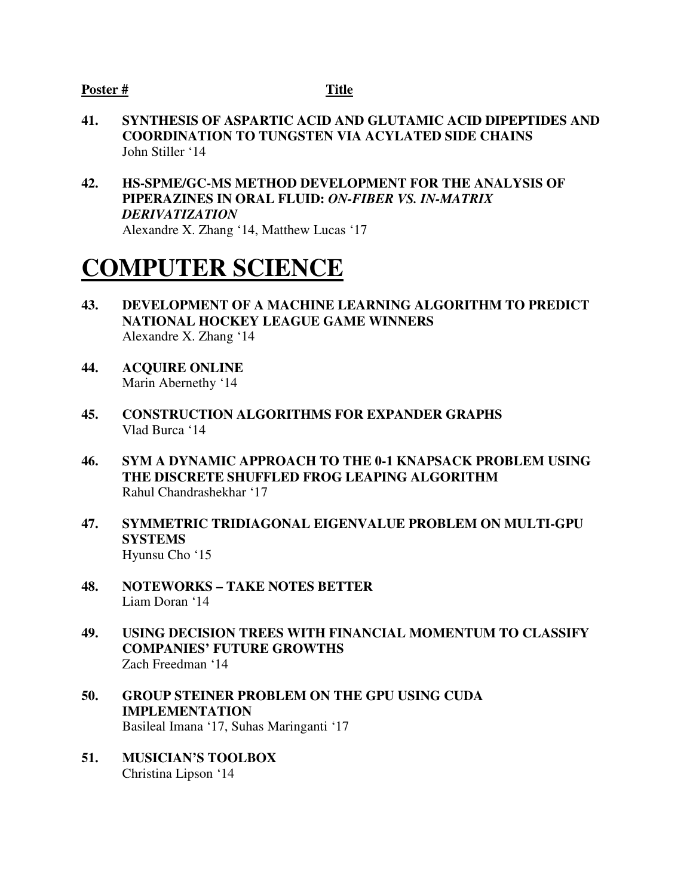- **41. SYNTHESIS OF ASPARTIC ACID AND GLUTAMIC ACID DIPEPTIDES AND COORDINATION TO TUNGSTEN VIA ACYLATED SIDE CHAINS**  John Stiller '14
- **42. HS-SPME/GC-MS METHOD DEVELOPMENT FOR THE ANALYSIS OF PIPERAZINES IN ORAL FLUID:** *ON-FIBER VS. IN-MATRIX DERIVATIZATION* Alexandre X. Zhang '14, Matthew Lucas '17

## **COMPUTER SCIENCE**

- **43. DEVELOPMENT OF A MACHINE LEARNING ALGORITHM TO PREDICT NATIONAL HOCKEY LEAGUE GAME WINNERS**  Alexandre X. Zhang '14
- **44. ACQUIRE ONLINE** Marin Abernethy '14
- **45. CONSTRUCTION ALGORITHMS FOR EXPANDER GRAPHS** Vlad Burca '14
- **46. SYM A DYNAMIC APPROACH TO THE 0-1 KNAPSACK PROBLEM USING THE DISCRETE SHUFFLED FROG LEAPING ALGORITHM**  Rahul Chandrashekhar '17
- **47. SYMMETRIC TRIDIAGONAL EIGENVALUE PROBLEM ON MULTI-GPU SYSTEMS**  Hyunsu Cho '15
- **48. NOTEWORKS TAKE NOTES BETTER** Liam Doran '14
- **49. USING DECISION TREES WITH FINANCIAL MOMENTUM TO CLASSIFY COMPANIES' FUTURE GROWTHS**  Zach Freedman '14
- **50. GROUP STEINER PROBLEM ON THE GPU USING CUDA IMPLEMENTATION**  Basileal Imana '17, Suhas Maringanti '17
- **51. MUSICIAN'S TOOLBOX**  Christina Lipson '14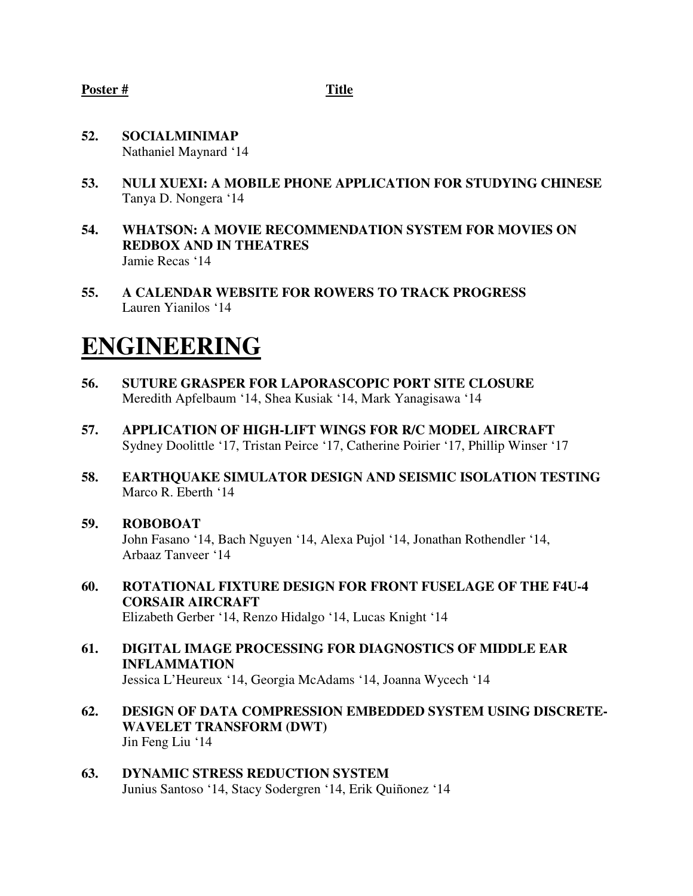- **52. SOCIALMINIMAP** Nathaniel Maynard '14
- **53. NULI XUEXI: A MOBILE PHONE APPLICATION FOR STUDYING CHINESE** Tanya D. Nongera '14
- **54. WHATSON: A MOVIE RECOMMENDATION SYSTEM FOR MOVIES ON REDBOX AND IN THEATRES**  Jamie Recas '14
- **55. A CALENDAR WEBSITE FOR ROWERS TO TRACK PROGRESS**  Lauren Yianilos '14

## **ENGINEERING**

- **56. SUTURE GRASPER FOR LAPORASCOPIC PORT SITE CLOSURE**  Meredith Apfelbaum '14, Shea Kusiak '14, Mark Yanagisawa '14
- **57. APPLICATION OF HIGH-LIFT WINGS FOR R/C MODEL AIRCRAFT** Sydney Doolittle '17, Tristan Peirce '17, Catherine Poirier '17, Phillip Winser '17
- **58. EARTHQUAKE SIMULATOR DESIGN AND SEISMIC ISOLATION TESTING** Marco R. Eberth '14
- **59. ROBOBOAT**  John Fasano '14, Bach Nguyen '14, Alexa Pujol '14, Jonathan Rothendler '14, Arbaaz Tanveer '14
- **60. ROTATIONAL FIXTURE DESIGN FOR FRONT FUSELAGE OF THE F4U-4 CORSAIR AIRCRAFT**  Elizabeth Gerber '14, Renzo Hidalgo '14, Lucas Knight '14
- **61. DIGITAL IMAGE PROCESSING FOR DIAGNOSTICS OF MIDDLE EAR INFLAMMATION**  Jessica L'Heureux '14, Georgia McAdams '14, Joanna Wycech '14
- **62. DESIGN OF DATA COMPRESSION EMBEDDED SYSTEM USING DISCRETE-WAVELET TRANSFORM (DWT)**  Jin Feng Liu '14
- **63. DYNAMIC STRESS REDUCTION SYSTEM**  Junius Santoso '14, Stacy Sodergren '14, Erik Quiñonez '14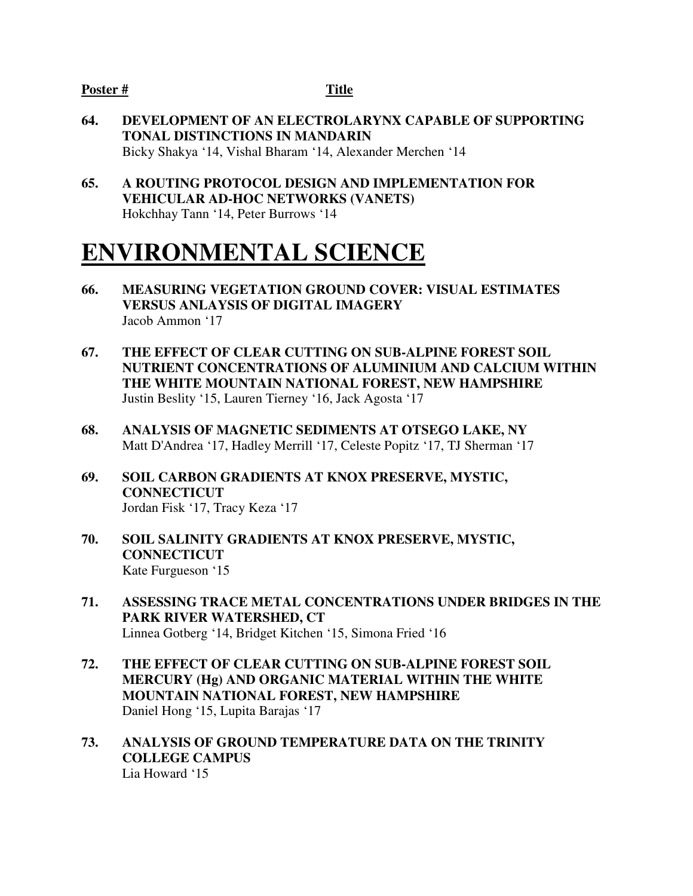- **64. DEVELOPMENT OF AN ELECTROLARYNX CAPABLE OF SUPPORTING TONAL DISTINCTIONS IN MANDARIN**  Bicky Shakya '14, Vishal Bharam '14, Alexander Merchen '14
- **65. A ROUTING PROTOCOL DESIGN AND IMPLEMENTATION FOR VEHICULAR AD-HOC NETWORKS (VANETS)**  Hokchhay Tann '14, Peter Burrows '14

## **ENVIRONMENTAL SCIENCE**

- **66. MEASURING VEGETATION GROUND COVER: VISUAL ESTIMATES VERSUS ANLAYSIS OF DIGITAL IMAGERY**  Jacob Ammon '17
- **67. THE EFFECT OF CLEAR CUTTING ON SUB-ALPINE FOREST SOIL NUTRIENT CONCENTRATIONS OF ALUMINIUM AND CALCIUM WITHIN THE WHITE MOUNTAIN NATIONAL FOREST, NEW HAMPSHIRE** Justin Beslity '15, Lauren Tierney '16, Jack Agosta '17
- **68. ANALYSIS OF MAGNETIC SEDIMENTS AT OTSEGO LAKE, NY** Matt D'Andrea '17, Hadley Merrill '17, Celeste Popitz '17, TJ Sherman '17
- **69. SOIL CARBON GRADIENTS AT KNOX PRESERVE, MYSTIC, CONNECTICUT**  Jordan Fisk '17, Tracy Keza '17
- **70. SOIL SALINITY GRADIENTS AT KNOX PRESERVE, MYSTIC, CONNECTICUT**  Kate Furgueson '15
- **71. ASSESSING TRACE METAL CONCENTRATIONS UNDER BRIDGES IN THE PARK RIVER WATERSHED, CT**  Linnea Gotberg '14, Bridget Kitchen '15, Simona Fried '16
- **72. THE EFFECT OF CLEAR CUTTING ON SUB-ALPINE FOREST SOIL MERCURY (Hg) AND ORGANIC MATERIAL WITHIN THE WHITE MOUNTAIN NATIONAL FOREST, NEW HAMPSHIRE**  Daniel Hong '15, Lupita Barajas '17
- **73. ANALYSIS OF GROUND TEMPERATURE DATA ON THE TRINITY COLLEGE CAMPUS**  Lia Howard '15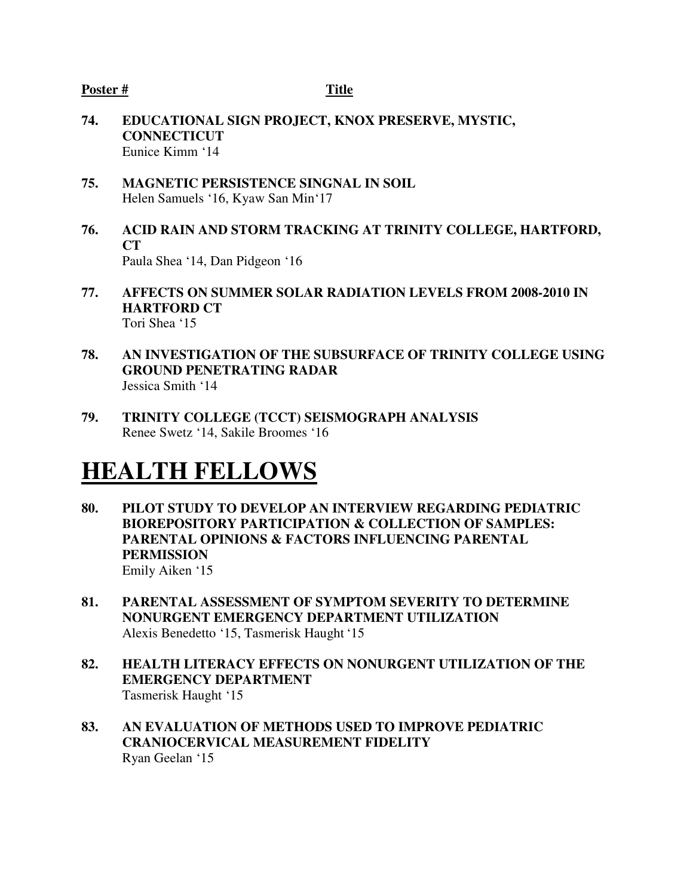- **74. EDUCATIONAL SIGN PROJECT, KNOX PRESERVE, MYSTIC, CONNECTICUT**  Eunice Kimm '14
- **75. MAGNETIC PERSISTENCE SINGNAL IN SOIL**  Helen Samuels '16, Kyaw San Min'17
- **76. ACID RAIN AND STORM TRACKING AT TRINITY COLLEGE, HARTFORD, CT**  Paula Shea '14, Dan Pidgeon '16
- **77. AFFECTS ON SUMMER SOLAR RADIATION LEVELS FROM 2008-2010 IN HARTFORD CT**  Tori Shea '15
- **78. AN INVESTIGATION OF THE SUBSURFACE OF TRINITY COLLEGE USING GROUND PENETRATING RADAR**  Jessica Smith '14
- **79. TRINITY COLLEGE (TCCT) SEISMOGRAPH ANALYSIS**  Renee Swetz '14, Sakile Broomes '16

## **HEALTH FELLOWS**

- **80. PILOT STUDY TO DEVELOP AN INTERVIEW REGARDING PEDIATRIC BIOREPOSITORY PARTICIPATION & COLLECTION OF SAMPLES: PARENTAL OPINIONS & FACTORS INFLUENCING PARENTAL PERMISSION** Emily Aiken '15
- **81. PARENTAL ASSESSMENT OF SYMPTOM SEVERITY TO DETERMINE NONURGENT EMERGENCY DEPARTMENT UTILIZATION**  Alexis Benedetto '15, Tasmerisk Haught '15
- **82. HEALTH LITERACY EFFECTS ON NONURGENT UTILIZATION OF THE EMERGENCY DEPARTMENT**  Tasmerisk Haught '15
- **83. AN EVALUATION OF METHODS USED TO IMPROVE PEDIATRIC CRANIOCERVICAL MEASUREMENT FIDELITY**  Ryan Geelan '15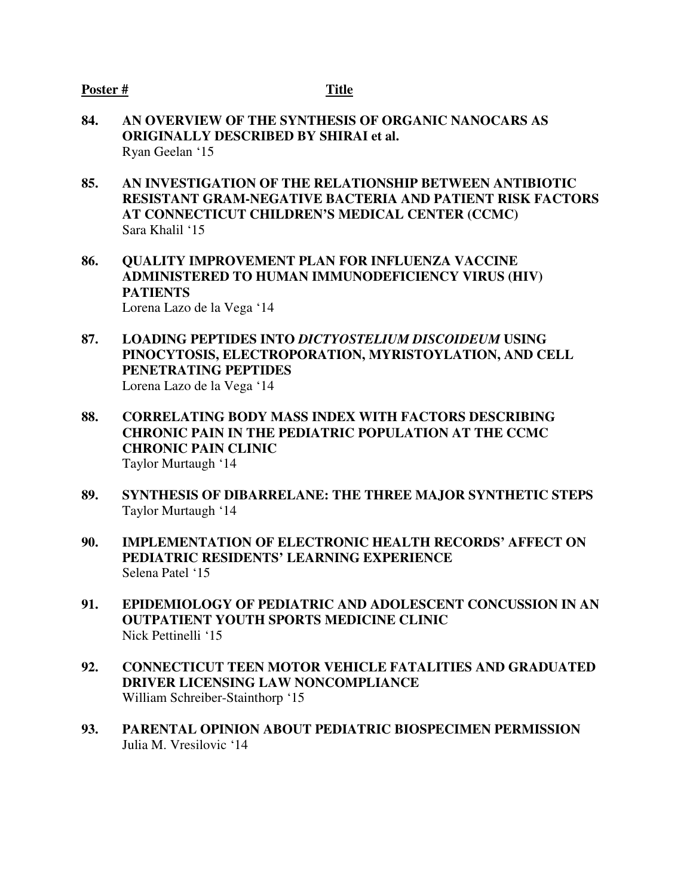- **84. AN OVERVIEW OF THE SYNTHESIS OF ORGANIC NANOCARS AS ORIGINALLY DESCRIBED BY SHIRAI et al.**  Ryan Geelan '15
- **85. AN INVESTIGATION OF THE RELATIONSHIP BETWEEN ANTIBIOTIC RESISTANT GRAM-NEGATIVE BACTERIA AND PATIENT RISK FACTORS AT CONNECTICUT CHILDREN'S MEDICAL CENTER (CCMC)**  Sara Khalil '15
- **86. QUALITY IMPROVEMENT PLAN FOR INFLUENZA VACCINE ADMINISTERED TO HUMAN IMMUNODEFICIENCY VIRUS (HIV) PATIENTS**  Lorena Lazo de la Vega '14
- **87. LOADING PEPTIDES INTO** *DICTYOSTELIUM DISCOIDEUM* **USING PINOCYTOSIS, ELECTROPORATION, MYRISTOYLATION, AND CELL PENETRATING PEPTIDES**  Lorena Lazo de la Vega '14
- **88. CORRELATING BODY MASS INDEX WITH FACTORS DESCRIBING CHRONIC PAIN IN THE PEDIATRIC POPULATION AT THE CCMC CHRONIC PAIN CLINIC**  Taylor Murtaugh '14
- **89. SYNTHESIS OF DIBARRELANE: THE THREE MAJOR SYNTHETIC STEPS**  Taylor Murtaugh '14
- **90. IMPLEMENTATION OF ELECTRONIC HEALTH RECORDS' AFFECT ON PEDIATRIC RESIDENTS' LEARNING EXPERIENCE**  Selena Patel '15
- **91. EPIDEMIOLOGY OF PEDIATRIC AND ADOLESCENT CONCUSSION IN AN OUTPATIENT YOUTH SPORTS MEDICINE CLINIC**  Nick Pettinelli '15
- **92. CONNECTICUT TEEN MOTOR VEHICLE FATALITIES AND GRADUATED DRIVER LICENSING LAW NONCOMPLIANCE**  William Schreiber-Stainthorp '15
- **93. PARENTAL OPINION ABOUT PEDIATRIC BIOSPECIMEN PERMISSION** Julia M. Vresilovic '14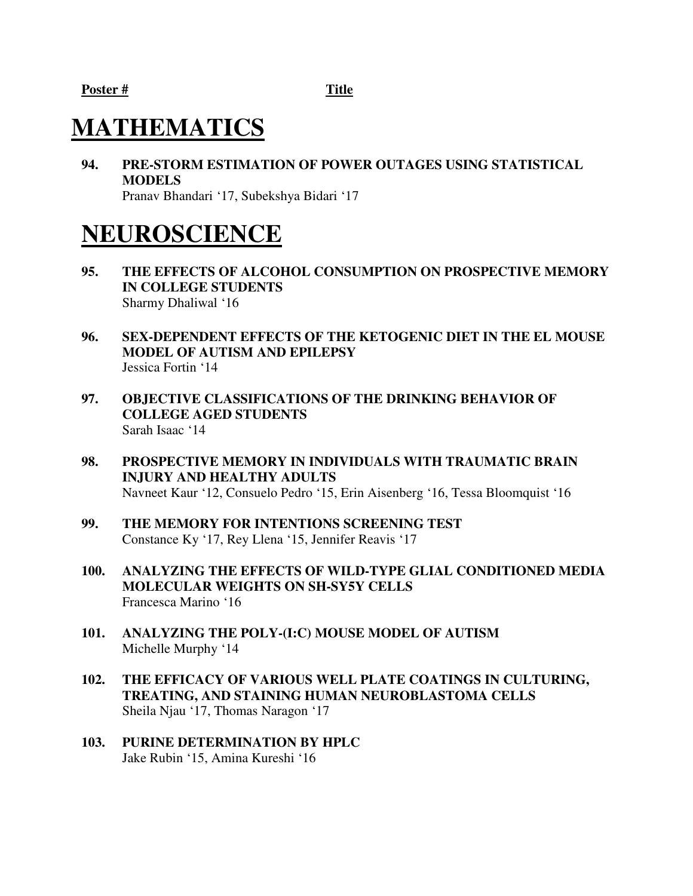## **MATHEMATICS**

**94. PRE-STORM ESTIMATION OF POWER OUTAGES USING STATISTICAL MODELS**  Pranav Bhandari '17, Subekshya Bidari '17

## **NEUROSCIENCE**

- **95. THE EFFECTS OF ALCOHOL CONSUMPTION ON PROSPECTIVE MEMORY IN COLLEGE STUDENTS**  Sharmy Dhaliwal '16
- **96. SEX-DEPENDENT EFFECTS OF THE KETOGENIC DIET IN THE EL MOUSE MODEL OF AUTISM AND EPILEPSY** Jessica Fortin '14
- **97. OBJECTIVE CLASSIFICATIONS OF THE DRINKING BEHAVIOR OF COLLEGE AGED STUDENTS**  Sarah Isaac '14
- **98. PROSPECTIVE MEMORY IN INDIVIDUALS WITH TRAUMATIC BRAIN INJURY AND HEALTHY ADULTS**  Navneet Kaur '12, Consuelo Pedro '15, Erin Aisenberg '16, Tessa Bloomquist '16
- **99. THE MEMORY FOR INTENTIONS SCREENING TEST**  Constance Ky '17, Rey Llena '15, Jennifer Reavis '17
- **100. ANALYZING THE EFFECTS OF WILD-TYPE GLIAL CONDITIONED MEDIA MOLECULAR WEIGHTS ON SH-SY5Y CELLS**  Francesca Marino '16
- **101. ANALYZING THE POLY-(I:C) MOUSE MODEL OF AUTISM**  Michelle Murphy '14
- **102. THE EFFICACY OF VARIOUS WELL PLATE COATINGS IN CULTURING, TREATING, AND STAINING HUMAN NEUROBLASTOMA CELLS**  Sheila Njau '17, Thomas Naragon '17
- **103. PURINE DETERMINATION BY HPLC** Jake Rubin '15, Amina Kureshi '16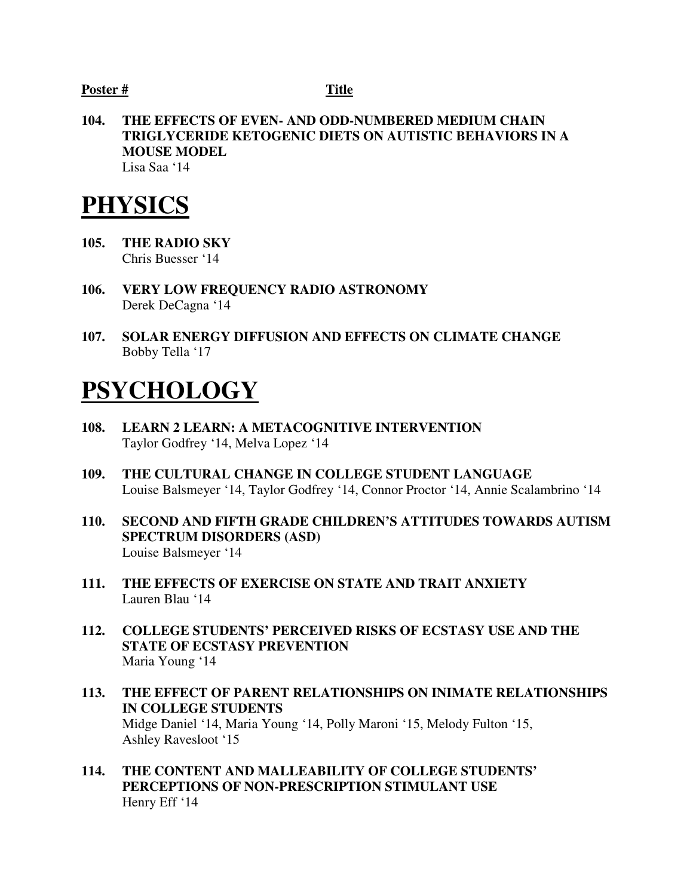**104. THE EFFECTS OF EVEN- AND ODD-NUMBERED MEDIUM CHAIN TRIGLYCERIDE KETOGENIC DIETS ON AUTISTIC BEHAVIORS IN A MOUSE MODEL**  Lisa Saa '14

## **PHYSICS**

- **105. THE RADIO SKY** Chris Buesser '14
- **106. VERY LOW FREQUENCY RADIO ASTRONOMY**  Derek DeCagna '14
- **107. SOLAR ENERGY DIFFUSION AND EFFECTS ON CLIMATE CHANGE**  Bobby Tella '17

## **PSYCHOLOGY**

- **108. LEARN 2 LEARN: A METACOGNITIVE INTERVENTION**  Taylor Godfrey '14, Melva Lopez '14
- **109. THE CULTURAL CHANGE IN COLLEGE STUDENT LANGUAGE**  Louise Balsmeyer '14, Taylor Godfrey '14, Connor Proctor '14, Annie Scalambrino '14
- **110. SECOND AND FIFTH GRADE CHILDREN'S ATTITUDES TOWARDS AUTISM SPECTRUM DISORDERS (ASD)**  Louise Balsmeyer '14
- **111. THE EFFECTS OF EXERCISE ON STATE AND TRAIT ANXIETY** Lauren Blau '14
- **112. COLLEGE STUDENTS' PERCEIVED RISKS OF ECSTASY USE AND THE STATE OF ECSTASY PREVENTION**  Maria Young '14
- **113. THE EFFECT OF PARENT RELATIONSHIPS ON INIMATE RELATIONSHIPS IN COLLEGE STUDENTS**  Midge Daniel '14, Maria Young '14, Polly Maroni '15, Melody Fulton '15, Ashley Ravesloot '15
- **114. THE CONTENT AND MALLEABILITY OF COLLEGE STUDENTS' PERCEPTIONS OF NON-PRESCRIPTION STIMULANT USE**  Henry Eff '14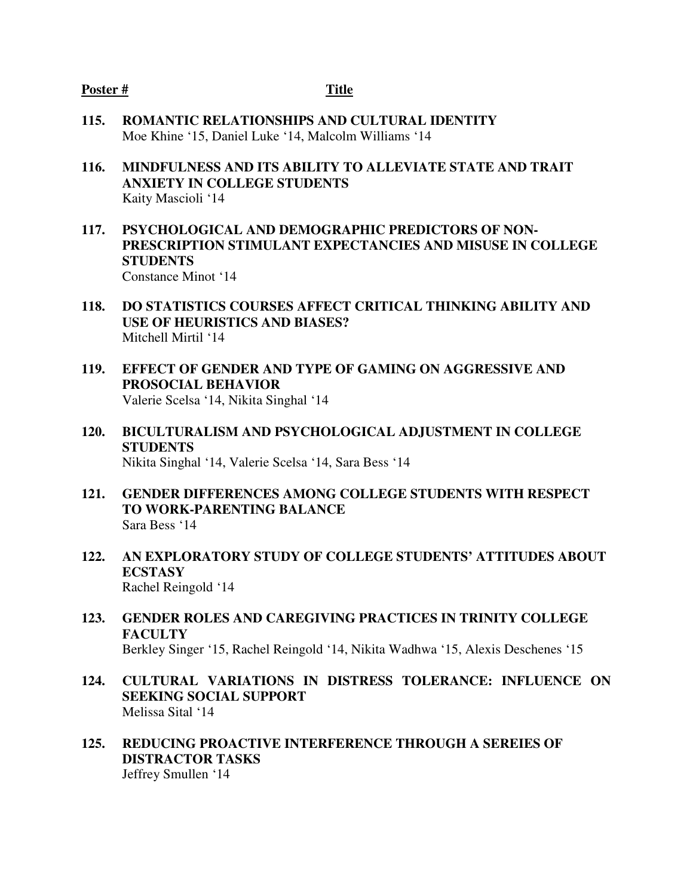- **115. ROMANTIC RELATIONSHIPS AND CULTURAL IDENTITY** Moe Khine '15, Daniel Luke '14, Malcolm Williams '14
- **116. MINDFULNESS AND ITS ABILITY TO ALLEVIATE STATE AND TRAIT ANXIETY IN COLLEGE STUDENTS**  Kaity Mascioli '14
- **117. PSYCHOLOGICAL AND DEMOGRAPHIC PREDICTORS OF NON-PRESCRIPTION STIMULANT EXPECTANCIES AND MISUSE IN COLLEGE STUDENTS**  Constance Minot '14
- **118. DO STATISTICS COURSES AFFECT CRITICAL THINKING ABILITY AND USE OF HEURISTICS AND BIASES?**  Mitchell Mirtil '14
- **119. EFFECT OF GENDER AND TYPE OF GAMING ON AGGRESSIVE AND PROSOCIAL BEHAVIOR**  Valerie Scelsa '14, Nikita Singhal '14
- **120. BICULTURALISM AND PSYCHOLOGICAL ADJUSTMENT IN COLLEGE STUDENTS**  Nikita Singhal '14, Valerie Scelsa '14, Sara Bess '14
- **121. GENDER DIFFERENCES AMONG COLLEGE STUDENTS WITH RESPECT TO WORK-PARENTING BALANCE**  Sara Bess '14
- **122. AN EXPLORATORY STUDY OF COLLEGE STUDENTS' ATTITUDES ABOUT ECSTASY**  Rachel Reingold '14
- **123. GENDER ROLES AND CAREGIVING PRACTICES IN TRINITY COLLEGE FACULTY**  Berkley Singer '15, Rachel Reingold '14, Nikita Wadhwa '15, Alexis Deschenes '15
- **124. CULTURAL VARIATIONS IN DISTRESS TOLERANCE: INFLUENCE ON SEEKING SOCIAL SUPPORT**  Melissa Sital '14
- **125. REDUCING PROACTIVE INTERFERENCE THROUGH A SEREIES OF DISTRACTOR TASKS**  Jeffrey Smullen '14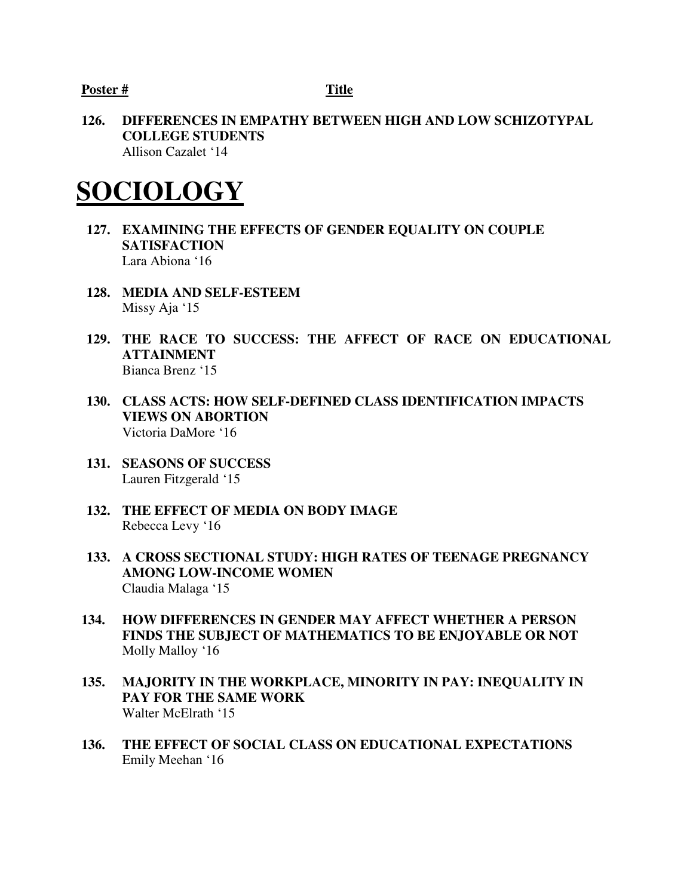**126. DIFFERENCES IN EMPATHY BETWEEN HIGH AND LOW SCHIZOTYPAL COLLEGE STUDENTS**  Allison Cazalet '14

## **SOCIOLOGY**

- **127. EXAMINING THE EFFECTS OF GENDER EQUALITY ON COUPLE SATISFACTION**  Lara Abiona '16
- **128. MEDIA AND SELF-ESTEEM**  Missy Aja '15
- **129. THE RACE TO SUCCESS: THE AFFECT OF RACE ON EDUCATIONAL ATTAINMENT**  Bianca Brenz '15
- **130. CLASS ACTS: HOW SELF-DEFINED CLASS IDENTIFICATION IMPACTS VIEWS ON ABORTION**  Victoria DaMore '16
- **131. SEASONS OF SUCCESS**  Lauren Fitzgerald '15
- **132. THE EFFECT OF MEDIA ON BODY IMAGE** Rebecca Levy '16
- **133. A CROSS SECTIONAL STUDY: HIGH RATES OF TEENAGE PREGNANCY AMONG LOW-INCOME WOMEN**  Claudia Malaga '15
- **134. HOW DIFFERENCES IN GENDER MAY AFFECT WHETHER A PERSON FINDS THE SUBJECT OF MATHEMATICS TO BE ENJOYABLE OR NOT**  Molly Malloy '16
- **135. MAJORITY IN THE WORKPLACE, MINORITY IN PAY: INEQUALITY IN PAY FOR THE SAME WORK**  Walter McElrath '15
- **136. THE EFFECT OF SOCIAL CLASS ON EDUCATIONAL EXPECTATIONS**  Emily Meehan '16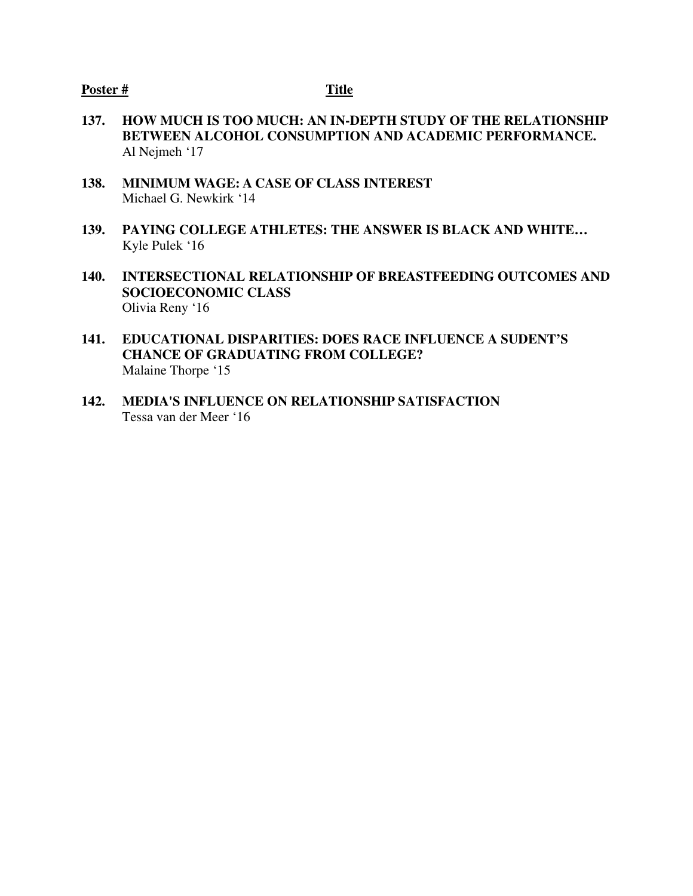- **137. HOW MUCH IS TOO MUCH: AN IN-DEPTH STUDY OF THE RELATIONSHIP BETWEEN ALCOHOL CONSUMPTION AND ACADEMIC PERFORMANCE.** Al Nejmeh '17
- **138. MINIMUM WAGE: A CASE OF CLASS INTEREST**  Michael G. Newkirk '14
- **139. PAYING COLLEGE ATHLETES: THE ANSWER IS BLACK AND WHITE…** Kyle Pulek '16
- **140. INTERSECTIONAL RELATIONSHIP OF BREASTFEEDING OUTCOMES AND SOCIOECONOMIC CLASS**  Olivia Reny '16
- **141. EDUCATIONAL DISPARITIES: DOES RACE INFLUENCE A SUDENT'S CHANCE OF GRADUATING FROM COLLEGE?**  Malaine Thorpe '15
- **142. MEDIA'S INFLUENCE ON RELATIONSHIP SATISFACTION**  Tessa van der Meer '16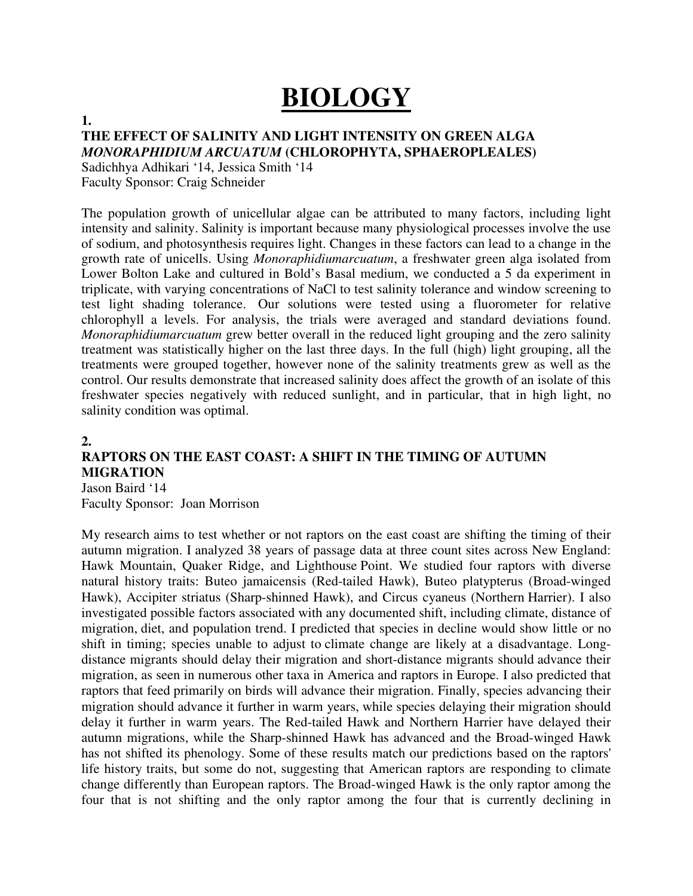# **BIOLOGY**

#### **1.**

#### **THE EFFECT OF SALINITY AND LIGHT INTENSITY ON GREEN ALGA**  *MONORAPHIDIUM ARCUATUM* **(CHLOROPHYTA, SPHAEROPLEALES)**

Sadichhya Adhikari '14, Jessica Smith '14 Faculty Sponsor: Craig Schneider

The population growth of unicellular algae can be attributed to many factors, including light intensity and salinity. Salinity is important because many physiological processes involve the use of sodium, and photosynthesis requires light. Changes in these factors can lead to a change in the growth rate of unicells. Using *Monoraphidiumarcuatum*, a freshwater green alga isolated from Lower Bolton Lake and cultured in Bold's Basal medium, we conducted a 5 da experiment in triplicate, with varying concentrations of NaCl to test salinity tolerance and window screening to test light shading tolerance. Our solutions were tested using a fluorometer for relative chlorophyll a levels. For analysis, the trials were averaged and standard deviations found. *Monoraphidiumarcuatum* grew better overall in the reduced light grouping and the zero salinity treatment was statistically higher on the last three days. In the full (high) light grouping, all the treatments were grouped together, however none of the salinity treatments grew as well as the control. Our results demonstrate that increased salinity does affect the growth of an isolate of this freshwater species negatively with reduced sunlight, and in particular, that in high light, no salinity condition was optimal.

#### **2.**

### **RAPTORS ON THE EAST COAST: A SHIFT IN THE TIMING OF AUTUMN MIGRATION**

Jason Baird '14 Faculty Sponsor: Joan Morrison

My research aims to test whether or not raptors on the east coast are shifting the timing of their autumn migration. I analyzed 38 years of passage data at three count sites across New England: Hawk Mountain, Quaker Ridge, and Lighthouse Point. We studied four raptors with diverse natural history traits: Buteo jamaicensis (Red-tailed Hawk), Buteo platypterus (Broad-winged Hawk), Accipiter striatus (Sharp-shinned Hawk), and Circus cyaneus (Northern Harrier). I also investigated possible factors associated with any documented shift, including climate, distance of migration, diet, and population trend. I predicted that species in decline would show little or no shift in timing; species unable to adjust to climate change are likely at a disadvantage. Longdistance migrants should delay their migration and short-distance migrants should advance their migration, as seen in numerous other taxa in America and raptors in Europe. I also predicted that raptors that feed primarily on birds will advance their migration. Finally, species advancing their migration should advance it further in warm years, while species delaying their migration should delay it further in warm years. The Red-tailed Hawk and Northern Harrier have delayed their autumn migrations, while the Sharp-shinned Hawk has advanced and the Broad-winged Hawk has not shifted its phenology. Some of these results match our predictions based on the raptors' life history traits, but some do not, suggesting that American raptors are responding to climate change differently than European raptors. The Broad-winged Hawk is the only raptor among the four that is not shifting and the only raptor among the four that is currently declining in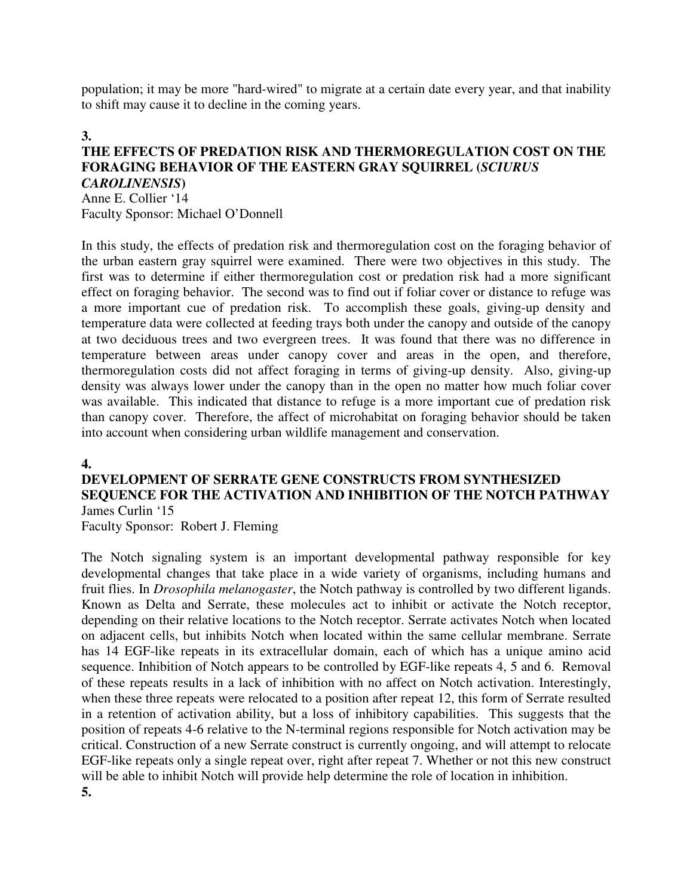population; it may be more "hard-wired" to migrate at a certain date every year, and that inability to shift may cause it to decline in the coming years.

#### **3.**

#### **THE EFFECTS OF PREDATION RISK AND THERMOREGULATION COST ON THE FORAGING BEHAVIOR OF THE EASTERN GRAY SQUIRREL (***SCIURUS CAROLINENSIS***)**

Anne E. Collier '14 Faculty Sponsor: Michael O'Donnell

In this study, the effects of predation risk and thermoregulation cost on the foraging behavior of the urban eastern gray squirrel were examined. There were two objectives in this study. The first was to determine if either thermoregulation cost or predation risk had a more significant effect on foraging behavior. The second was to find out if foliar cover or distance to refuge was a more important cue of predation risk. To accomplish these goals, giving-up density and temperature data were collected at feeding trays both under the canopy and outside of the canopy at two deciduous trees and two evergreen trees. It was found that there was no difference in temperature between areas under canopy cover and areas in the open, and therefore, thermoregulation costs did not affect foraging in terms of giving-up density. Also, giving-up density was always lower under the canopy than in the open no matter how much foliar cover was available. This indicated that distance to refuge is a more important cue of predation risk than canopy cover. Therefore, the affect of microhabitat on foraging behavior should be taken into account when considering urban wildlife management and conservation.

#### **4.**

#### **DEVELOPMENT OF SERRATE GENE CONSTRUCTS FROM SYNTHESIZED SEQUENCE FOR THE ACTIVATION AND INHIBITION OF THE NOTCH PATHWAY**  James Curlin '15

Faculty Sponsor: Robert J. Fleming

The Notch signaling system is an important developmental pathway responsible for key developmental changes that take place in a wide variety of organisms, including humans and fruit flies. In *Drosophila melanogaster*, the Notch pathway is controlled by two different ligands. Known as Delta and Serrate, these molecules act to inhibit or activate the Notch receptor, depending on their relative locations to the Notch receptor. Serrate activates Notch when located on adjacent cells, but inhibits Notch when located within the same cellular membrane. Serrate has 14 EGF-like repeats in its extracellular domain, each of which has a unique amino acid sequence. Inhibition of Notch appears to be controlled by EGF-like repeats 4, 5 and 6. Removal of these repeats results in a lack of inhibition with no affect on Notch activation. Interestingly, when these three repeats were relocated to a position after repeat 12, this form of Serrate resulted in a retention of activation ability, but a loss of inhibitory capabilities. This suggests that the position of repeats 4-6 relative to the N-terminal regions responsible for Notch activation may be critical. Construction of a new Serrate construct is currently ongoing, and will attempt to relocate EGF-like repeats only a single repeat over, right after repeat 7. Whether or not this new construct will be able to inhibit Notch will provide help determine the role of location in inhibition. **5.**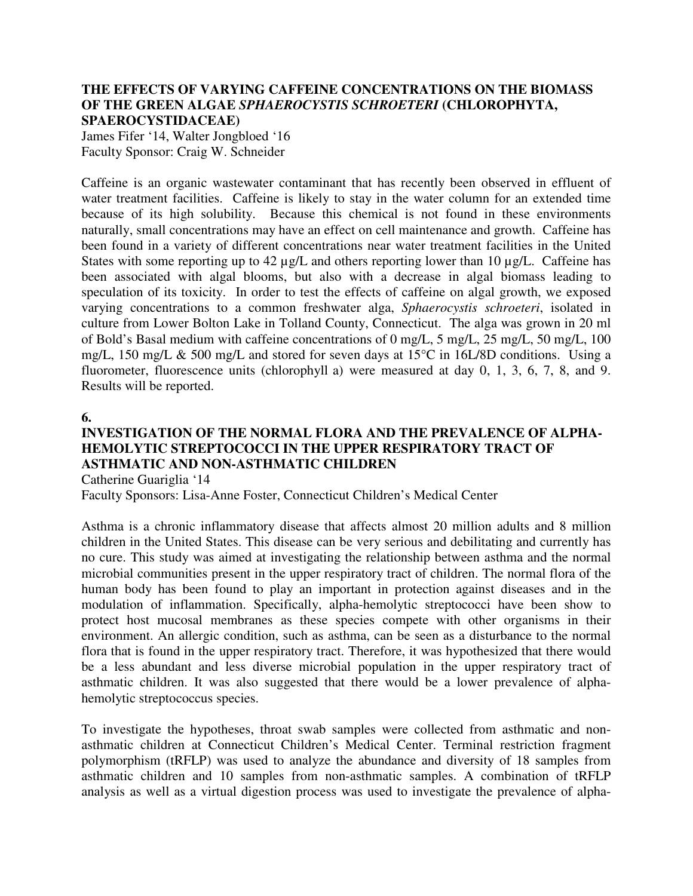#### **THE EFFECTS OF VARYING CAFFEINE CONCENTRATIONS ON THE BIOMASS OF THE GREEN ALGAE** *SPHAEROCYSTIS SCHROETERI* **(CHLOROPHYTA, SPAEROCYSTIDACEAE)**

James Fifer '14, Walter Jongbloed '16 Faculty Sponsor: Craig W. Schneider

Caffeine is an organic wastewater contaminant that has recently been observed in effluent of water treatment facilities. Caffeine is likely to stay in the water column for an extended time because of its high solubility. Because this chemical is not found in these environments naturally, small concentrations may have an effect on cell maintenance and growth. Caffeine has been found in a variety of different concentrations near water treatment facilities in the United States with some reporting up to 42 µg/L and others reporting lower than 10 µg/L. Caffeine has been associated with algal blooms, but also with a decrease in algal biomass leading to speculation of its toxicity. In order to test the effects of caffeine on algal growth, we exposed varying concentrations to a common freshwater alga, *Sphaerocystis schroeteri*, isolated in culture from Lower Bolton Lake in Tolland County, Connecticut. The alga was grown in 20 ml of Bold's Basal medium with caffeine concentrations of 0 mg/L, 5 mg/L, 25 mg/L, 50 mg/L, 100 mg/L, 150 mg/L & 500 mg/L and stored for seven days at 15°C in 16L/8D conditions. Using a fluorometer, fluorescence units (chlorophyll a) were measured at day 0, 1, 3, 6, 7, 8, and 9. Results will be reported.

#### **6.**

### **INVESTIGATION OF THE NORMAL FLORA AND THE PREVALENCE OF ALPHA-HEMOLYTIC STREPTOCOCCI IN THE UPPER RESPIRATORY TRACT OF ASTHMATIC AND NON-ASTHMATIC CHILDREN**

Catherine Guariglia '14

Faculty Sponsors: Lisa-Anne Foster, Connecticut Children's Medical Center

Asthma is a chronic inflammatory disease that affects almost 20 million adults and 8 million children in the United States. This disease can be very serious and debilitating and currently has no cure. This study was aimed at investigating the relationship between asthma and the normal microbial communities present in the upper respiratory tract of children. The normal flora of the human body has been found to play an important in protection against diseases and in the modulation of inflammation. Specifically, alpha-hemolytic streptococci have been show to protect host mucosal membranes as these species compete with other organisms in their environment. An allergic condition, such as asthma, can be seen as a disturbance to the normal flora that is found in the upper respiratory tract. Therefore, it was hypothesized that there would be a less abundant and less diverse microbial population in the upper respiratory tract of asthmatic children. It was also suggested that there would be a lower prevalence of alphahemolytic streptococcus species.

To investigate the hypotheses, throat swab samples were collected from asthmatic and nonasthmatic children at Connecticut Children's Medical Center. Terminal restriction fragment polymorphism (tRFLP) was used to analyze the abundance and diversity of 18 samples from asthmatic children and 10 samples from non-asthmatic samples. A combination of tRFLP analysis as well as a virtual digestion process was used to investigate the prevalence of alpha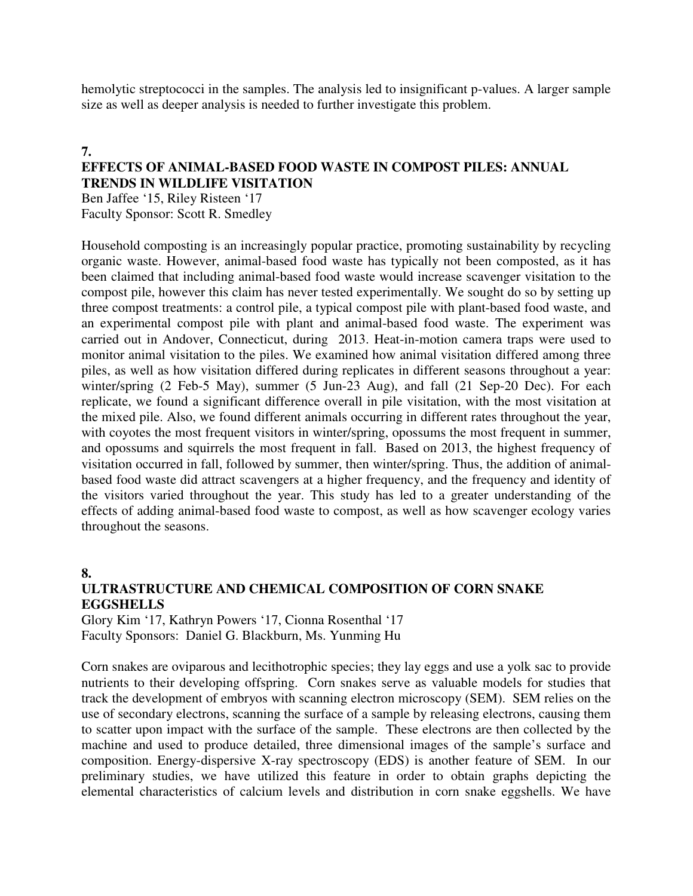hemolytic streptococci in the samples. The analysis led to insignificant p-values. A larger sample size as well as deeper analysis is needed to further investigate this problem.

#### **7.**

#### **EFFECTS OF ANIMAL-BASED FOOD WASTE IN COMPOST PILES: ANNUAL TRENDS IN WILDLIFE VISITATION**

Ben Jaffee '15, Riley Risteen '17 Faculty Sponsor: Scott R. Smedley

Household composting is an increasingly popular practice, promoting sustainability by recycling organic waste. However, animal-based food waste has typically not been composted, as it has been claimed that including animal-based food waste would increase scavenger visitation to the compost pile, however this claim has never tested experimentally. We sought do so by setting up three compost treatments: a control pile, a typical compost pile with plant-based food waste, and an experimental compost pile with plant and animal-based food waste. The experiment was carried out in Andover, Connecticut, during 2013. Heat-in-motion camera traps were used to monitor animal visitation to the piles. We examined how animal visitation differed among three piles, as well as how visitation differed during replicates in different seasons throughout a year: winter/spring (2 Feb-5 May), summer (5 Jun-23 Aug), and fall (21 Sep-20 Dec). For each replicate, we found a significant difference overall in pile visitation, with the most visitation at the mixed pile. Also, we found different animals occurring in different rates throughout the year, with coyotes the most frequent visitors in winter/spring, opossums the most frequent in summer, and opossums and squirrels the most frequent in fall. Based on 2013, the highest frequency of visitation occurred in fall, followed by summer, then winter/spring. Thus, the addition of animalbased food waste did attract scavengers at a higher frequency, and the frequency and identity of the visitors varied throughout the year. This study has led to a greater understanding of the effects of adding animal-based food waste to compost, as well as how scavenger ecology varies throughout the seasons.

#### **8.**

#### **ULTRASTRUCTURE AND CHEMICAL COMPOSITION OF CORN SNAKE EGGSHELLS**

Glory Kim '17, Kathryn Powers '17, Cionna Rosenthal '17 Faculty Sponsors: Daniel G. Blackburn, Ms. Yunming Hu

Corn snakes are oviparous and lecithotrophic species; they lay eggs and use a yolk sac to provide nutrients to their developing offspring. Corn snakes serve as valuable models for studies that track the development of embryos with scanning electron microscopy (SEM). SEM relies on the use of secondary electrons, scanning the surface of a sample by releasing electrons, causing them to scatter upon impact with the surface of the sample. These electrons are then collected by the machine and used to produce detailed, three dimensional images of the sample's surface and composition. Energy-dispersive X-ray spectroscopy (EDS) is another feature of SEM. In our preliminary studies, we have utilized this feature in order to obtain graphs depicting the elemental characteristics of calcium levels and distribution in corn snake eggshells. We have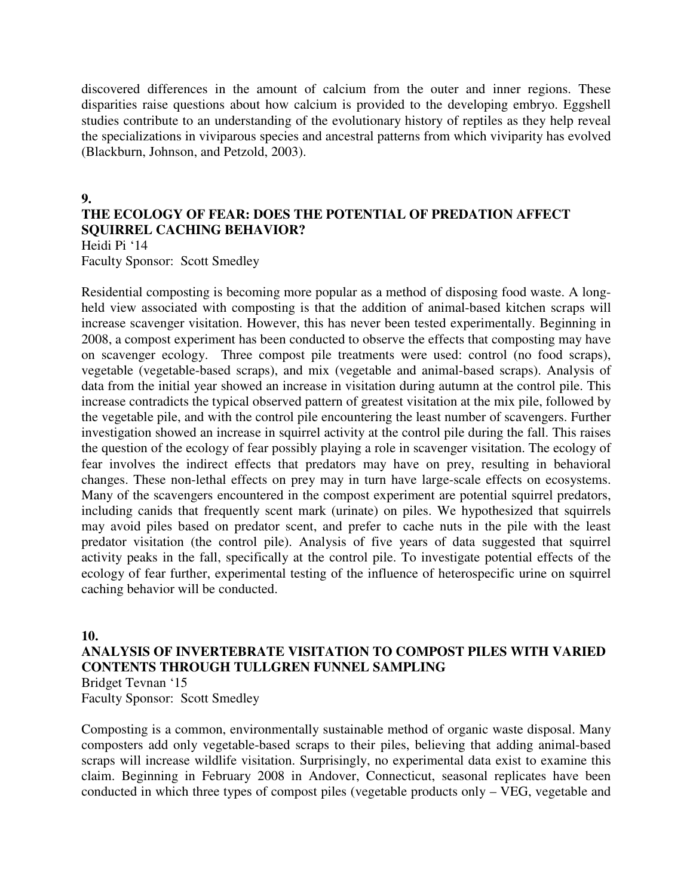discovered differences in the amount of calcium from the outer and inner regions. These disparities raise questions about how calcium is provided to the developing embryo. Eggshell studies contribute to an understanding of the evolutionary history of reptiles as they help reveal the specializations in viviparous species and ancestral patterns from which viviparity has evolved (Blackburn, Johnson, and Petzold, 2003).

#### **9.**

### **THE ECOLOGY OF FEAR: DOES THE POTENTIAL OF PREDATION AFFECT SQUIRREL CACHING BEHAVIOR?**

Heidi Pi '14

Faculty Sponsor: Scott Smedley

Residential composting is becoming more popular as a method of disposing food waste. A longheld view associated with composting is that the addition of animal-based kitchen scraps will increase scavenger visitation. However, this has never been tested experimentally. Beginning in 2008, a compost experiment has been conducted to observe the effects that composting may have on scavenger ecology. Three compost pile treatments were used: control (no food scraps), vegetable (vegetable-based scraps), and mix (vegetable and animal-based scraps). Analysis of data from the initial year showed an increase in visitation during autumn at the control pile. This increase contradicts the typical observed pattern of greatest visitation at the mix pile, followed by the vegetable pile, and with the control pile encountering the least number of scavengers. Further investigation showed an increase in squirrel activity at the control pile during the fall. This raises the question of the ecology of fear possibly playing a role in scavenger visitation. The ecology of fear involves the indirect effects that predators may have on prey, resulting in behavioral changes. These non-lethal effects on prey may in turn have large-scale effects on ecosystems. Many of the scavengers encountered in the compost experiment are potential squirrel predators, including canids that frequently scent mark (urinate) on piles. We hypothesized that squirrels may avoid piles based on predator scent, and prefer to cache nuts in the pile with the least predator visitation (the control pile). Analysis of five years of data suggested that squirrel activity peaks in the fall, specifically at the control pile. To investigate potential effects of the ecology of fear further, experimental testing of the influence of heterospecific urine on squirrel caching behavior will be conducted.

#### **10.**

#### **ANALYSIS OF INVERTEBRATE VISITATION TO COMPOST PILES WITH VARIED CONTENTS THROUGH TULLGREN FUNNEL SAMPLING**  Bridget Tevnan '15

Faculty Sponsor: Scott Smedley

Composting is a common, environmentally sustainable method of organic waste disposal. Many composters add only vegetable-based scraps to their piles, believing that adding animal-based scraps will increase wildlife visitation. Surprisingly, no experimental data exist to examine this claim. Beginning in February 2008 in Andover, Connecticut, seasonal replicates have been conducted in which three types of compost piles (vegetable products only – VEG, vegetable and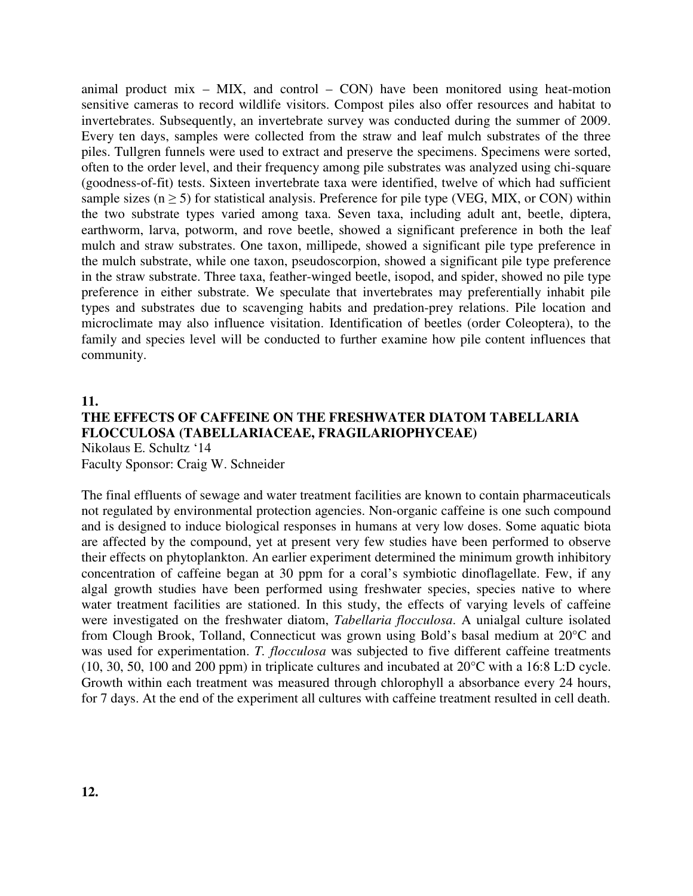animal product mix  $-$  MIX, and control  $-$  CON) have been monitored using heat-motion sensitive cameras to record wildlife visitors. Compost piles also offer resources and habitat to invertebrates. Subsequently, an invertebrate survey was conducted during the summer of 2009. Every ten days, samples were collected from the straw and leaf mulch substrates of the three piles. Tullgren funnels were used to extract and preserve the specimens. Specimens were sorted, often to the order level, and their frequency among pile substrates was analyzed using chi-square (goodness-of-fit) tests. Sixteen invertebrate taxa were identified, twelve of which had sufficient sample sizes ( $n \geq 5$ ) for statistical analysis. Preference for pile type (VEG, MIX, or CON) within the two substrate types varied among taxa. Seven taxa, including adult ant, beetle, diptera, earthworm, larva, potworm, and rove beetle, showed a significant preference in both the leaf mulch and straw substrates. One taxon, millipede, showed a significant pile type preference in the mulch substrate, while one taxon, pseudoscorpion, showed a significant pile type preference in the straw substrate. Three taxa, feather-winged beetle, isopod, and spider, showed no pile type preference in either substrate. We speculate that invertebrates may preferentially inhabit pile types and substrates due to scavenging habits and predation-prey relations. Pile location and microclimate may also influence visitation. Identification of beetles (order Coleoptera), to the family and species level will be conducted to further examine how pile content influences that community.

#### **11. THE EFFECTS OF CAFFEINE ON THE FRESHWATER DIATOM TABELLARIA FLOCCULOSA (TABELLARIACEAE, FRAGILARIOPHYCEAE)**  Nikolaus E. Schultz '14

Faculty Sponsor: Craig W. Schneider

The final effluents of sewage and water treatment facilities are known to contain pharmaceuticals not regulated by environmental protection agencies. Non-organic caffeine is one such compound and is designed to induce biological responses in humans at very low doses. Some aquatic biota are affected by the compound, yet at present very few studies have been performed to observe their effects on phytoplankton. An earlier experiment determined the minimum growth inhibitory concentration of caffeine began at 30 ppm for a coral's symbiotic dinoflagellate. Few, if any algal growth studies have been performed using freshwater species, species native to where water treatment facilities are stationed. In this study, the effects of varying levels of caffeine were investigated on the freshwater diatom, *Tabellaria flocculosa*. A unialgal culture isolated from Clough Brook, Tolland, Connecticut was grown using Bold's basal medium at 20°C and was used for experimentation. *T. flocculosa* was subjected to five different caffeine treatments (10, 30, 50, 100 and 200 ppm) in triplicate cultures and incubated at 20°C with a 16:8 L:D cycle. Growth within each treatment was measured through chlorophyll a absorbance every 24 hours, for 7 days. At the end of the experiment all cultures with caffeine treatment resulted in cell death.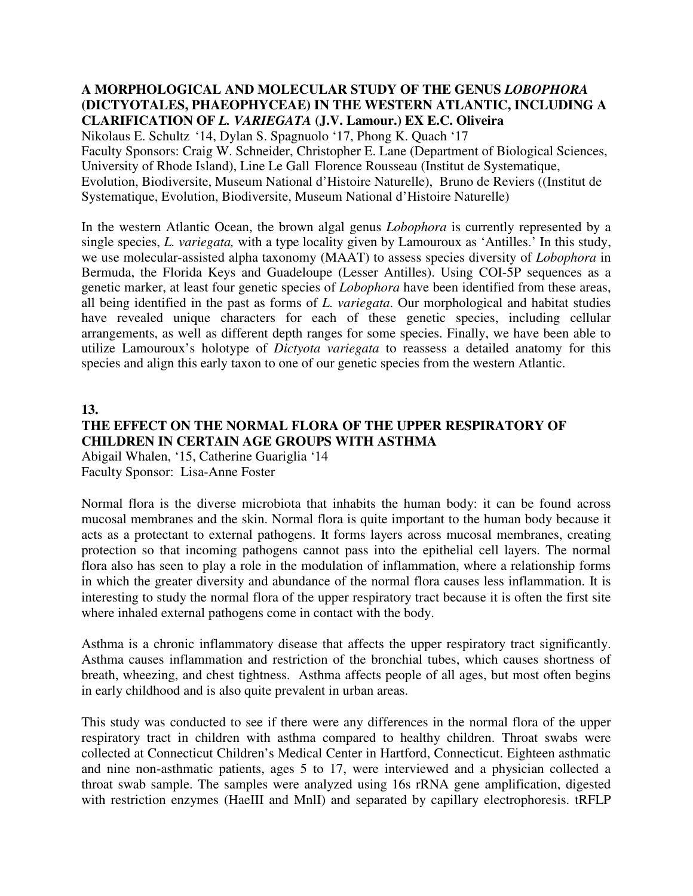#### **A MORPHOLOGICAL AND MOLECULAR STUDY OF THE GENUS** *LOBOPHORA* **(DICTYOTALES, PHAEOPHYCEAE) IN THE WESTERN ATLANTIC, INCLUDING A CLARIFICATION OF** *L. VARIEGATA* **(J.V. Lamour.) EX E.C. Oliveira**

Nikolaus E. Schultz '14, Dylan S. Spagnuolo '17, Phong K. Quach '17 Faculty Sponsors: Craig W. Schneider, Christopher E. Lane (Department of Biological Sciences, University of Rhode Island), Line Le Gall Florence Rousseau (Institut de Systematique, Evolution, Biodiversite, Museum National d'Histoire Naturelle), Bruno de Reviers ((Institut de Systematique, Evolution, Biodiversite, Museum National d'Histoire Naturelle)

In the western Atlantic Ocean, the brown algal genus *Lobophora* is currently represented by a single species, *L. variegata,* with a type locality given by Lamouroux as 'Antilles.' In this study, we use molecular-assisted alpha taxonomy (MAAT) to assess species diversity of *Lobophora* in Bermuda, the Florida Keys and Guadeloupe (Lesser Antilles). Using COI-5P sequences as a genetic marker, at least four genetic species of *Lobophora* have been identified from these areas, all being identified in the past as forms of *L. variegata*. Our morphological and habitat studies have revealed unique characters for each of these genetic species, including cellular arrangements, as well as different depth ranges for some species. Finally, we have been able to utilize Lamouroux's holotype of *Dictyota variegata* to reassess a detailed anatomy for this species and align this early taxon to one of our genetic species from the western Atlantic.

#### **13.**

#### **THE EFFECT ON THE NORMAL FLORA OF THE UPPER RESPIRATORY OF CHILDREN IN CERTAIN AGE GROUPS WITH ASTHMA**

Abigail Whalen, '15, Catherine Guariglia '14 Faculty Sponsor: Lisa-Anne Foster

Normal flora is the diverse microbiota that inhabits the human body: it can be found across mucosal membranes and the skin. Normal flora is quite important to the human body because it acts as a protectant to external pathogens. It forms layers across mucosal membranes, creating protection so that incoming pathogens cannot pass into the epithelial cell layers. The normal flora also has seen to play a role in the modulation of inflammation, where a relationship forms in which the greater diversity and abundance of the normal flora causes less inflammation. It is interesting to study the normal flora of the upper respiratory tract because it is often the first site where inhaled external pathogens come in contact with the body.

Asthma is a chronic inflammatory disease that affects the upper respiratory tract significantly. Asthma causes inflammation and restriction of the bronchial tubes, which causes shortness of breath, wheezing, and chest tightness. Asthma affects people of all ages, but most often begins in early childhood and is also quite prevalent in urban areas.

This study was conducted to see if there were any differences in the normal flora of the upper respiratory tract in children with asthma compared to healthy children. Throat swabs were collected at Connecticut Children's Medical Center in Hartford, Connecticut. Eighteen asthmatic and nine non-asthmatic patients, ages 5 to 17, were interviewed and a physician collected a throat swab sample. The samples were analyzed using 16s rRNA gene amplification, digested with restriction enzymes (HaeIII and MnII) and separated by capillary electrophoresis. tRFLP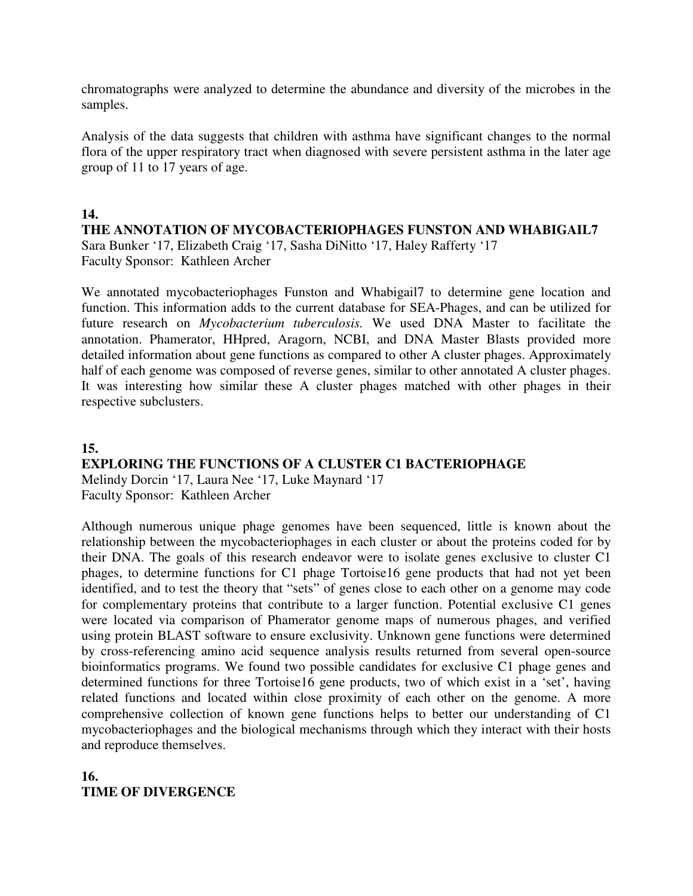chromatographs were analyzed to determine the abundance and diversity of the microbes in the samples.

Analysis of the data suggests that children with asthma have significant changes to the normal flora of the upper respiratory tract when diagnosed with severe persistent asthma in the later age group of 11 to 17 years of age.

#### **14.**

#### **THE ANNOTATION OF MYCOBACTERIOPHAGES FUNSTON AND WHABIGAIL7**

Sara Bunker '17, Elizabeth Craig '17, Sasha DiNitto '17, Haley Rafferty '17 Faculty Sponsor: Kathleen Archer

We annotated mycobacteriophages Funston and Whabigail7 to determine gene location and function. This information adds to the current database for SEA-Phages, and can be utilized for future research on *Mycobacterium tuberculosis.* We used DNA Master to facilitate the annotation. Phamerator, HHpred, Aragorn, NCBI, and DNA Master Blasts provided more detailed information about gene functions as compared to other A cluster phages. Approximately half of each genome was composed of reverse genes, similar to other annotated A cluster phages. It was interesting how similar these A cluster phages matched with other phages in their respective subclusters.

#### **15.**

### **EXPLORING THE FUNCTIONS OF A CLUSTER C1 BACTERIOPHAGE**

Melindy Dorcin '17, Laura Nee '17, Luke Maynard '17 Faculty Sponsor: Kathleen Archer

Although numerous unique phage genomes have been sequenced, little is known about the relationship between the mycobacteriophages in each cluster or about the proteins coded for by their DNA. The goals of this research endeavor were to isolate genes exclusive to cluster C1 phages, to determine functions for C1 phage Tortoise16 gene products that had not yet been identified, and to test the theory that "sets" of genes close to each other on a genome may code for complementary proteins that contribute to a larger function. Potential exclusive C1 genes were located via comparison of Phamerator genome maps of numerous phages, and verified using protein BLAST software to ensure exclusivity. Unknown gene functions were determined by cross-referencing amino acid sequence analysis results returned from several open-source bioinformatics programs. We found two possible candidates for exclusive C1 phage genes and determined functions for three Tortoise16 gene products, two of which exist in a 'set', having related functions and located within close proximity of each other on the genome. A more comprehensive collection of known gene functions helps to better our understanding of C1 mycobacteriophages and the biological mechanisms through which they interact with their hosts and reproduce themselves.

### **16. TIME OF DIVERGENCE**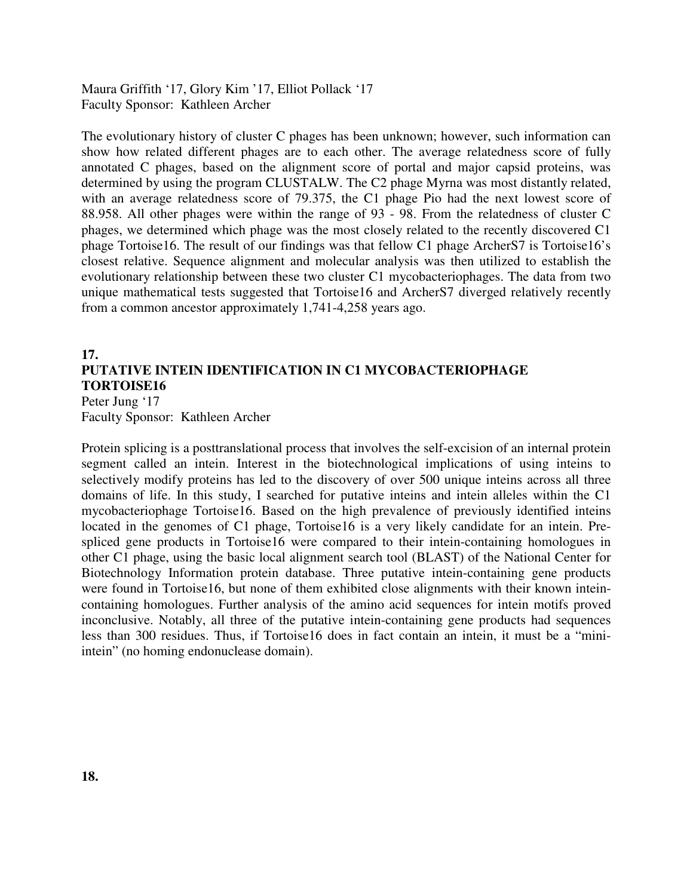Maura Griffith '17, Glory Kim '17, Elliot Pollack '17 Faculty Sponsor: Kathleen Archer

The evolutionary history of cluster C phages has been unknown; however, such information can show how related different phages are to each other. The average relatedness score of fully annotated C phages, based on the alignment score of portal and major capsid proteins, was determined by using the program CLUSTALW. The C2 phage Myrna was most distantly related, with an average relatedness score of 79.375, the C1 phage Pio had the next lowest score of 88.958. All other phages were within the range of 93 - 98. From the relatedness of cluster C phages, we determined which phage was the most closely related to the recently discovered C1 phage Tortoise16. The result of our findings was that fellow C1 phage ArcherS7 is Tortoise16's closest relative. Sequence alignment and molecular analysis was then utilized to establish the evolutionary relationship between these two cluster C1 mycobacteriophages. The data from two unique mathematical tests suggested that Tortoise16 and ArcherS7 diverged relatively recently from a common ancestor approximately 1,741-4,258 years ago.

#### **17. PUTATIVE INTEIN IDENTIFICATION IN C1 MYCOBACTERIOPHAGE TORTOISE16**  Peter Jung '17

Faculty Sponsor: Kathleen Archer

Protein splicing is a posttranslational process that involves the self-excision of an internal protein segment called an intein. Interest in the biotechnological implications of using inteins to selectively modify proteins has led to the discovery of over 500 unique inteins across all three domains of life. In this study, I searched for putative inteins and intein alleles within the C1 mycobacteriophage Tortoise16. Based on the high prevalence of previously identified inteins located in the genomes of C1 phage, Tortoise16 is a very likely candidate for an intein. Prespliced gene products in Tortoise16 were compared to their intein-containing homologues in other C1 phage, using the basic local alignment search tool (BLAST) of the National Center for Biotechnology Information protein database. Three putative intein-containing gene products were found in Tortoise16, but none of them exhibited close alignments with their known inteincontaining homologues. Further analysis of the amino acid sequences for intein motifs proved inconclusive. Notably, all three of the putative intein-containing gene products had sequences less than 300 residues. Thus, if Tortoise16 does in fact contain an intein, it must be a "miniintein" (no homing endonuclease domain).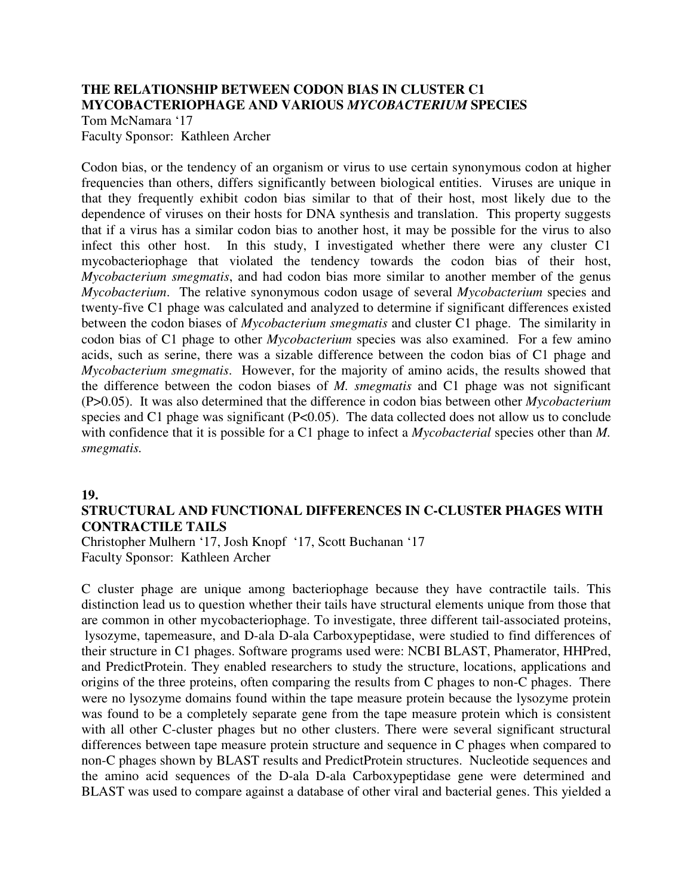#### **THE RELATIONSHIP BETWEEN CODON BIAS IN CLUSTER C1 MYCOBACTERIOPHAGE AND VARIOUS** *MYCOBACTERIUM* **SPECIES**

Tom McNamara '17 Faculty Sponsor: Kathleen Archer

Codon bias, or the tendency of an organism or virus to use certain synonymous codon at higher frequencies than others, differs significantly between biological entities. Viruses are unique in that they frequently exhibit codon bias similar to that of their host, most likely due to the dependence of viruses on their hosts for DNA synthesis and translation. This property suggests that if a virus has a similar codon bias to another host, it may be possible for the virus to also infect this other host. In this study, I investigated whether there were any cluster C1 mycobacteriophage that violated the tendency towards the codon bias of their host, *Mycobacterium smegmatis*, and had codon bias more similar to another member of the genus *Mycobacterium*. The relative synonymous codon usage of several *Mycobacterium* species and twenty-five C1 phage was calculated and analyzed to determine if significant differences existed between the codon biases of *Mycobacterium smegmatis* and cluster C1 phage. The similarity in codon bias of C1 phage to other *Mycobacterium* species was also examined. For a few amino acids, such as serine, there was a sizable difference between the codon bias of C1 phage and *Mycobacterium smegmatis*. However, for the majority of amino acids, the results showed that the difference between the codon biases of *M. smegmatis* and C1 phage was not significant (P>0.05). It was also determined that the difference in codon bias between other *Mycobacterium*  species and C1 phage was significant (P<0.05). The data collected does not allow us to conclude with confidence that it is possible for a C1 phage to infect a *Mycobacterial* species other than *M. smegmatis.*

#### **19.**

#### **STRUCTURAL AND FUNCTIONAL DIFFERENCES IN C-CLUSTER PHAGES WITH CONTRACTILE TAILS**

Christopher Mulhern '17, Josh Knopf '17, Scott Buchanan '17 Faculty Sponsor: Kathleen Archer

C cluster phage are unique among bacteriophage because they have contractile tails. This distinction lead us to question whether their tails have structural elements unique from those that are common in other mycobacteriophage. To investigate, three different tail-associated proteins, lysozyme, tapemeasure, and D-ala D-ala Carboxypeptidase, were studied to find differences of their structure in C1 phages. Software programs used were: NCBI BLAST, Phamerator, HHPred, and PredictProtein. They enabled researchers to study the structure, locations, applications and origins of the three proteins, often comparing the results from C phages to non-C phages. There were no lysozyme domains found within the tape measure protein because the lysozyme protein was found to be a completely separate gene from the tape measure protein which is consistent with all other C-cluster phages but no other clusters. There were several significant structural differences between tape measure protein structure and sequence in C phages when compared to non-C phages shown by BLAST results and PredictProtein structures. Nucleotide sequences and the amino acid sequences of the D-ala D-ala Carboxypeptidase gene were determined and BLAST was used to compare against a database of other viral and bacterial genes. This yielded a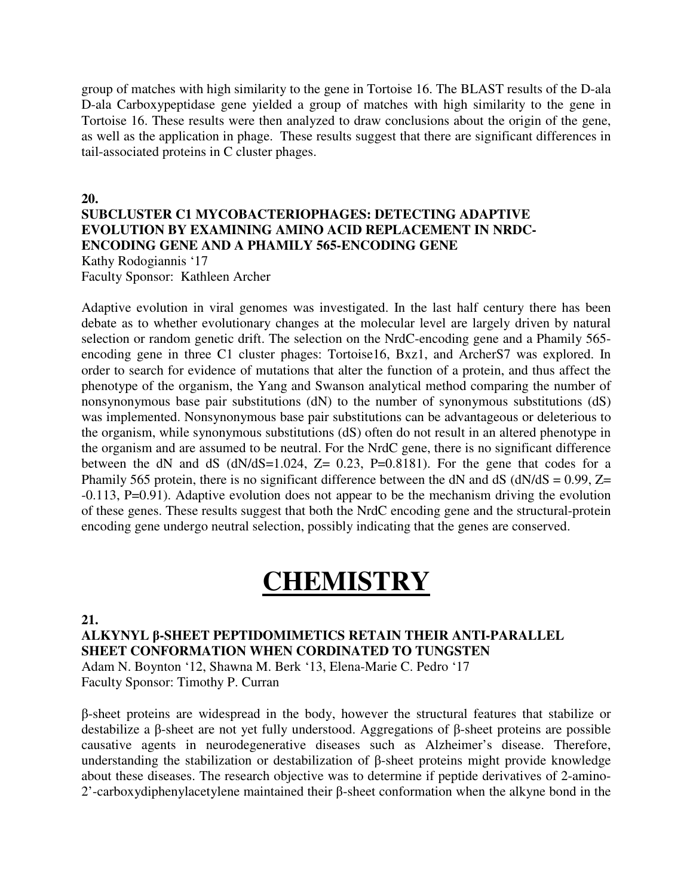group of matches with high similarity to the gene in Tortoise 16. The BLAST results of the D-ala D-ala Carboxypeptidase gene yielded a group of matches with high similarity to the gene in Tortoise 16. These results were then analyzed to draw conclusions about the origin of the gene, as well as the application in phage. These results suggest that there are significant differences in tail-associated proteins in C cluster phages.

#### **20. SUBCLUSTER C1 MYCOBACTERIOPHAGES: DETECTING ADAPTIVE EVOLUTION BY EXAMINING AMINO ACID REPLACEMENT IN NRDC-ENCODING GENE AND A PHAMILY 565-ENCODING GENE**  Kathy Rodogiannis '17 Faculty Sponsor: Kathleen Archer

Adaptive evolution in viral genomes was investigated. In the last half century there has been debate as to whether evolutionary changes at the molecular level are largely driven by natural selection or random genetic drift. The selection on the NrdC-encoding gene and a Phamily 565 encoding gene in three C1 cluster phages: Tortoise16, Bxz1, and ArcherS7 was explored. In order to search for evidence of mutations that alter the function of a protein, and thus affect the phenotype of the organism, the Yang and Swanson analytical method comparing the number of nonsynonymous base pair substitutions (dN) to the number of synonymous substitutions (dS) was implemented. Nonsynonymous base pair substitutions can be advantageous or deleterious to the organism, while synonymous substitutions (dS) often do not result in an altered phenotype in the organism and are assumed to be neutral. For the NrdC gene, there is no significant difference between the dN and dS ( $dN/dS=1.024$ ,  $Z= 0.23$ ,  $P=0.8181$ ). For the gene that codes for a Phamily 565 protein, there is no significant difference between the dN and dS ( $dN/dS = 0.99$ ,  $Z =$ -0.113, P=0.91). Adaptive evolution does not appear to be the mechanism driving the evolution of these genes. These results suggest that both the NrdC encoding gene and the structural-protein encoding gene undergo neutral selection, possibly indicating that the genes are conserved.

## **CHEMISTRY**

**21.** 

**ALKYNYL** β**-SHEET PEPTIDOMIMETICS RETAIN THEIR ANTI-PARALLEL SHEET CONFORMATION WHEN CORDINATED TO TUNGSTEN**  Adam N. Boynton '12, Shawna M. Berk '13, Elena-Marie C. Pedro '17 Faculty Sponsor: Timothy P. Curran

β-sheet proteins are widespread in the body, however the structural features that stabilize or destabilize a β-sheet are not yet fully understood. Aggregations of β-sheet proteins are possible causative agents in neurodegenerative diseases such as Alzheimer's disease. Therefore, understanding the stabilization or destabilization of β-sheet proteins might provide knowledge about these diseases. The research objective was to determine if peptide derivatives of 2-amino-2'-carboxydiphenylacetylene maintained their β-sheet conformation when the alkyne bond in the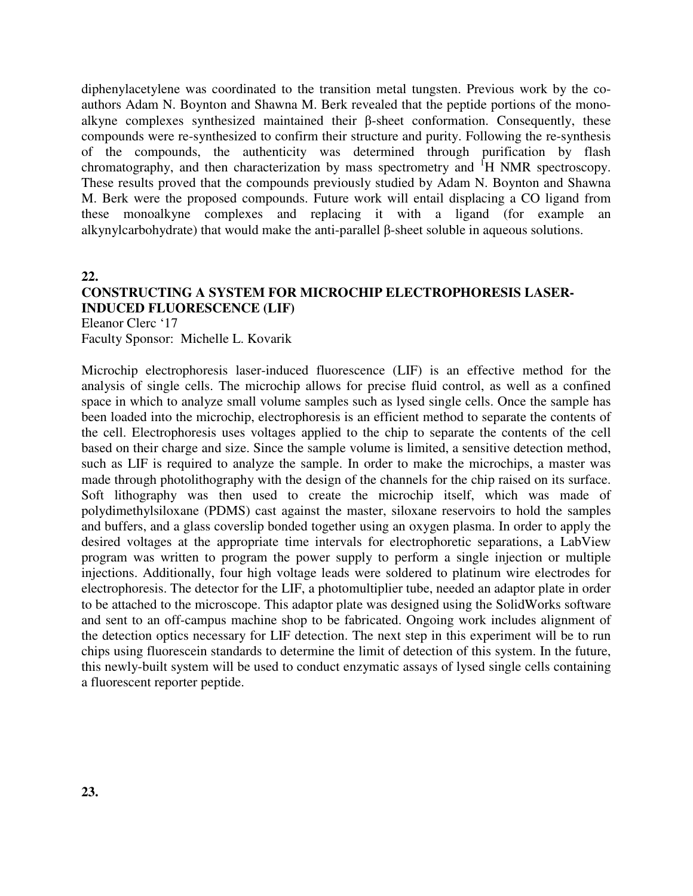diphenylacetylene was coordinated to the transition metal tungsten. Previous work by the coauthors Adam N. Boynton and Shawna M. Berk revealed that the peptide portions of the monoalkyne complexes synthesized maintained their β-sheet conformation. Consequently, these compounds were re-synthesized to confirm their structure and purity. Following the re-synthesis of the compounds, the authenticity was determined through purification by flash chromatography, and then characterization by mass spectrometry and <sup>1</sup>H NMR spectroscopy. These results proved that the compounds previously studied by Adam N. Boynton and Shawna M. Berk were the proposed compounds. Future work will entail displacing a CO ligand from these monoalkyne complexes and replacing it with a ligand (for example an alkynylcarbohydrate) that would make the anti-parallel β-sheet soluble in aqueous solutions.

**22.** 

### **CONSTRUCTING A SYSTEM FOR MICROCHIP ELECTROPHORESIS LASER-INDUCED FLUORESCENCE (LIF)**

Eleanor Clerc '17 Faculty Sponsor: Michelle L. Kovarik

Microchip electrophoresis laser-induced fluorescence (LIF) is an effective method for the analysis of single cells. The microchip allows for precise fluid control, as well as a confined space in which to analyze small volume samples such as lysed single cells. Once the sample has been loaded into the microchip, electrophoresis is an efficient method to separate the contents of the cell. Electrophoresis uses voltages applied to the chip to separate the contents of the cell based on their charge and size. Since the sample volume is limited, a sensitive detection method, such as LIF is required to analyze the sample. In order to make the microchips, a master was made through photolithography with the design of the channels for the chip raised on its surface. Soft lithography was then used to create the microchip itself, which was made of polydimethylsiloxane (PDMS) cast against the master, siloxane reservoirs to hold the samples and buffers, and a glass coverslip bonded together using an oxygen plasma. In order to apply the desired voltages at the appropriate time intervals for electrophoretic separations, a LabView program was written to program the power supply to perform a single injection or multiple injections. Additionally, four high voltage leads were soldered to platinum wire electrodes for electrophoresis. The detector for the LIF, a photomultiplier tube, needed an adaptor plate in order to be attached to the microscope. This adaptor plate was designed using the SolidWorks software and sent to an off-campus machine shop to be fabricated. Ongoing work includes alignment of the detection optics necessary for LIF detection. The next step in this experiment will be to run chips using fluorescein standards to determine the limit of detection of this system. In the future, this newly-built system will be used to conduct enzymatic assays of lysed single cells containing a fluorescent reporter peptide.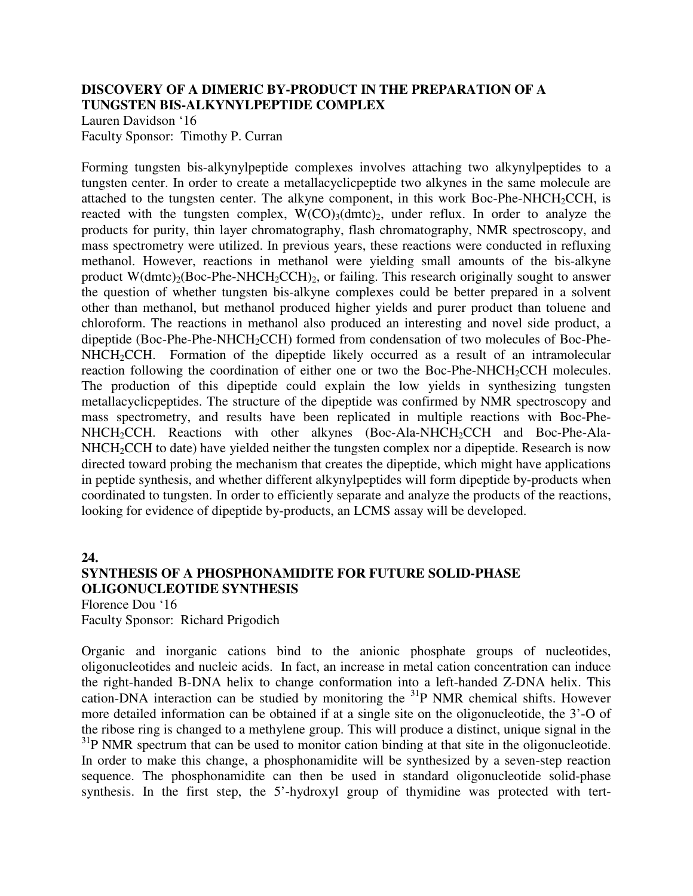#### **DISCOVERY OF A DIMERIC BY-PRODUCT IN THE PREPARATION OF A TUNGSTEN BIS-ALKYNYLPEPTIDE COMPLEX**

Lauren Davidson '16 Faculty Sponsor: Timothy P. Curran

Forming tungsten bis-alkynylpeptide complexes involves attaching two alkynylpeptides to a tungsten center. In order to create a metallacyclicpeptide two alkynes in the same molecule are attached to the tungsten center. The alkyne component, in this work Boc-Phe-NHCH<sub>2</sub>CCH, is reacted with the tungsten complex,  $W(CO)_{3}(dmc)_{2}$ , under reflux. In order to analyze the products for purity, thin layer chromatography, flash chromatography, NMR spectroscopy, and mass spectrometry were utilized. In previous years, these reactions were conducted in refluxing methanol. However, reactions in methanol were yielding small amounts of the bis-alkyne product  $W(dmc)_{2}(Boc-Phe-NHCH_{2}CCH)_{2}$ , or failing. This research originally sought to answer the question of whether tungsten bis-alkyne complexes could be better prepared in a solvent other than methanol, but methanol produced higher yields and purer product than toluene and chloroform. The reactions in methanol also produced an interesting and novel side product, a dipeptide (Boc-Phe-Phe-NHCH<sub>2</sub>CCH) formed from condensation of two molecules of Boc-Phe-NHCH<sub>2</sub>CCH. Formation of the dipeptide likely occurred as a result of an intramolecular reaction following the coordination of either one or two the Boc-Phe-NHCH<sub>2</sub>CCH molecules. The production of this dipeptide could explain the low yields in synthesizing tungsten metallacyclicpeptides. The structure of the dipeptide was confirmed by NMR spectroscopy and mass spectrometry, and results have been replicated in multiple reactions with Boc-Phe-NHCH<sub>2</sub>CCH. Reactions with other alkynes (Boc-Ala-NHCH<sub>2</sub>CCH and Boc-Phe-Ala-NHCH<sub>2</sub>CCH to date) have yielded neither the tungsten complex nor a dipeptide. Research is now directed toward probing the mechanism that creates the dipeptide, which might have applications in peptide synthesis, and whether different alkynylpeptides will form dipeptide by-products when coordinated to tungsten. In order to efficiently separate and analyze the products of the reactions, looking for evidence of dipeptide by-products, an LCMS assay will be developed.

#### **24.**

#### **SYNTHESIS OF A PHOSPHONAMIDITE FOR FUTURE SOLID-PHASE OLIGONUCLEOTIDE SYNTHESIS**

Florence Dou '16 Faculty Sponsor: Richard Prigodich

Organic and inorganic cations bind to the anionic phosphate groups of nucleotides, oligonucleotides and nucleic acids. In fact, an increase in metal cation concentration can induce the right-handed B-DNA helix to change conformation into a left-handed Z-DNA helix. This cation-DNA interaction can be studied by monitoring the  $31P$  NMR chemical shifts. However more detailed information can be obtained if at a single site on the oligonucleotide, the 3'-O of the ribose ring is changed to a methylene group. This will produce a distinct, unique signal in the  $31P$  NMR spectrum that can be used to monitor cation binding at that site in the oligonucleotide. In order to make this change, a phosphonamidite will be synthesized by a seven-step reaction sequence. The phosphonamidite can then be used in standard oligonucleotide solid-phase synthesis. In the first step, the 5'-hydroxyl group of thymidine was protected with tert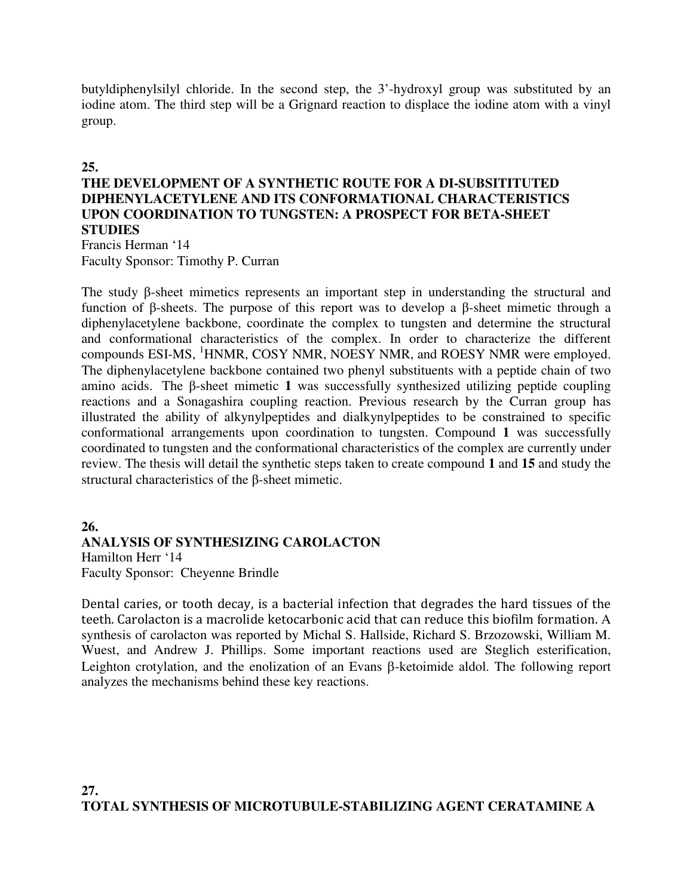butyldiphenylsilyl chloride. In the second step, the 3'-hydroxyl group was substituted by an iodine atom. The third step will be a Grignard reaction to displace the iodine atom with a vinyl group.

#### **25.**

#### **THE DEVELOPMENT OF A SYNTHETIC ROUTE FOR A DI-SUBSITITUTED DIPHENYLACETYLENE AND ITS CONFORMATIONAL CHARACTERISTICS UPON COORDINATION TO TUNGSTEN: A PROSPECT FOR BETA-SHEET STUDIES**

Francis Herman '14 Faculty Sponsor: Timothy P. Curran

The study β-sheet mimetics represents an important step in understanding the structural and function of β-sheets. The purpose of this report was to develop a β-sheet mimetic through a diphenylacetylene backbone, coordinate the complex to tungsten and determine the structural and conformational characteristics of the complex. In order to characterize the different compounds ESI-MS, <sup>1</sup>HNMR, COSY NMR, NOESY NMR, and ROESY NMR were employed. The diphenylacetylene backbone contained two phenyl substituents with a peptide chain of two amino acids. The β-sheet mimetic **1** was successfully synthesized utilizing peptide coupling reactions and a Sonagashira coupling reaction. Previous research by the Curran group has illustrated the ability of alkynylpeptides and dialkynylpeptides to be constrained to specific conformational arrangements upon coordination to tungsten. Compound **1** was successfully coordinated to tungsten and the conformational characteristics of the complex are currently under review. The thesis will detail the synthetic steps taken to create compound **1** and **15** and study the structural characteristics of the β-sheet mimetic.

#### **26.**

### **ANALYSIS OF SYNTHESIZING CAROLACTON**

Hamilton Herr '14 Faculty Sponsor: Cheyenne Brindle

Dental caries, or tooth decay, is a bacterial infection that degrades the hard tissues of the teeth. Carolacton is a macrolide ketocarbonic acid that can reduce this biofilm formation. A synthesis of carolacton was reported by Michal S. Hallside, Richard S. Brzozowski, William M. Wuest, and Andrew J. Phillips. Some important reactions used are Steglich esterification, Leighton crotylation, and the enolization of an Evans β-ketoimide aldol. The following report analyzes the mechanisms behind these key reactions.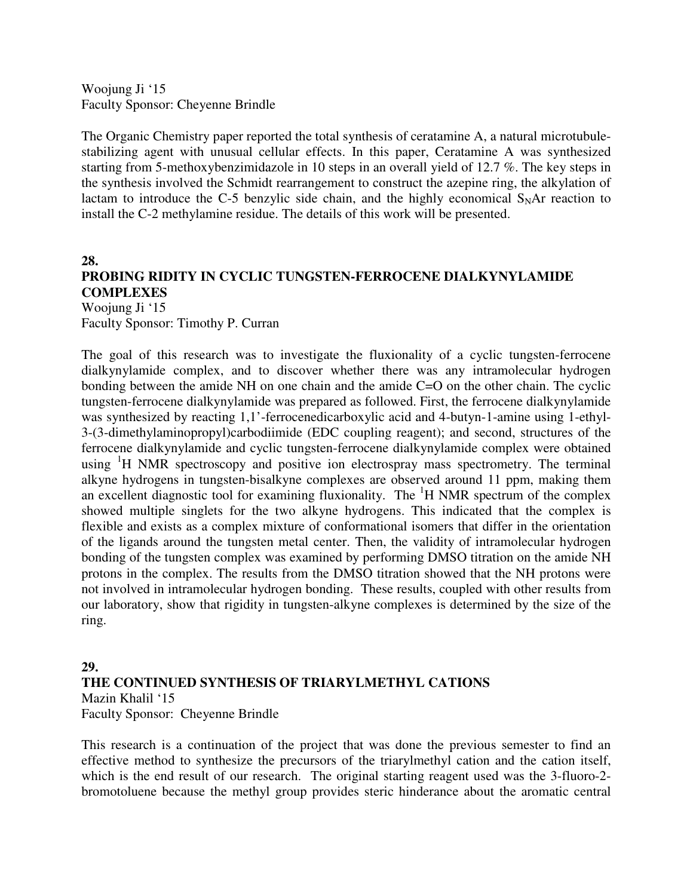Woojung Ji '15 Faculty Sponsor: Cheyenne Brindle

The Organic Chemistry paper reported the total synthesis of ceratamine A, a natural microtubulestabilizing agent with unusual cellular effects. In this paper, Ceratamine A was synthesized starting from 5-methoxybenzimidazole in 10 steps in an overall yield of 12.7 %. The key steps in the synthesis involved the Schmidt rearrangement to construct the azepine ring, the alkylation of lactam to introduce the C-5 benzylic side chain, and the highly economical  $S<sub>N</sub>Ar$  reaction to install the C-2 methylamine residue. The details of this work will be presented.

**28.** 

### **PROBING RIDITY IN CYCLIC TUNGSTEN-FERROCENE DIALKYNYLAMIDE COMPLEXES**

Woojung Ji '15 Faculty Sponsor: Timothy P. Curran

The goal of this research was to investigate the fluxionality of a cyclic tungsten-ferrocene dialkynylamide complex, and to discover whether there was any intramolecular hydrogen bonding between the amide NH on one chain and the amide C=O on the other chain. The cyclic tungsten-ferrocene dialkynylamide was prepared as followed. First, the ferrocene dialkynylamide was synthesized by reacting 1,1'-ferrocenedicarboxylic acid and 4-butyn-1-amine using 1-ethyl-3-(3-dimethylaminopropyl)carbodiimide (EDC coupling reagent); and second, structures of the ferrocene dialkynylamide and cyclic tungsten-ferrocene dialkynylamide complex were obtained using  $\mathrm{H}$  NMR spectroscopy and positive ion electrospray mass spectrometry. The terminal alkyne hydrogens in tungsten-bisalkyne complexes are observed around 11 ppm, making them an excellent diagnostic tool for examining fluxionality. The  ${}^{1}H$  NMR spectrum of the complex showed multiple singlets for the two alkyne hydrogens. This indicated that the complex is flexible and exists as a complex mixture of conformational isomers that differ in the orientation of the ligands around the tungsten metal center. Then, the validity of intramolecular hydrogen bonding of the tungsten complex was examined by performing DMSO titration on the amide NH protons in the complex. The results from the DMSO titration showed that the NH protons were not involved in intramolecular hydrogen bonding. These results, coupled with other results from our laboratory, show that rigidity in tungsten-alkyne complexes is determined by the size of the ring.

#### **29. THE CONTINUED SYNTHESIS OF TRIARYLMETHYL CATIONS**

Mazin Khalil '15 Faculty Sponsor: Cheyenne Brindle

This research is a continuation of the project that was done the previous semester to find an effective method to synthesize the precursors of the triarylmethyl cation and the cation itself, which is the end result of our research. The original starting reagent used was the 3-fluoro-2 bromotoluene because the methyl group provides steric hinderance about the aromatic central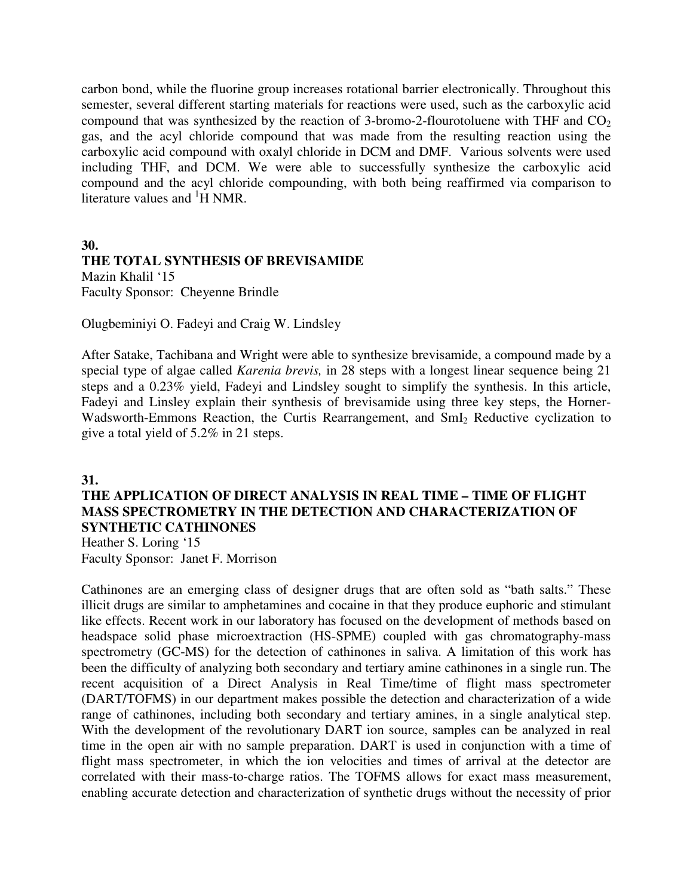carbon bond, while the fluorine group increases rotational barrier electronically. Throughout this semester, several different starting materials for reactions were used, such as the carboxylic acid compound that was synthesized by the reaction of 3-bromo-2-flourotoluene with THF and  $CO<sub>2</sub>$ gas, and the acyl chloride compound that was made from the resulting reaction using the carboxylic acid compound with oxalyl chloride in DCM and DMF. Various solvents were used including THF, and DCM. We were able to successfully synthesize the carboxylic acid compound and the acyl chloride compounding, with both being reaffirmed via comparison to literature values and <sup>1</sup>H NMR.

**30.** 

### **THE TOTAL SYNTHESIS OF BREVISAMIDE**  Mazin Khalil '15

Faculty Sponsor: Cheyenne Brindle

Olugbeminiyi O. Fadeyi and Craig W. Lindsley

After Satake, Tachibana and Wright were able to synthesize brevisamide, a compound made by a special type of algae called *Karenia brevis,* in 28 steps with a longest linear sequence being 21 steps and a 0.23% yield, Fadeyi and Lindsley sought to simplify the synthesis. In this article, Fadeyi and Linsley explain their synthesis of brevisamide using three key steps, the Horner-Wadsworth-Emmons Reaction, the Curtis Rearrangement, and SmI<sub>2</sub> Reductive cyclization to give a total yield of 5.2% in 21 steps.

#### **31.**

#### **THE APPLICATION OF DIRECT ANALYSIS IN REAL TIME – TIME OF FLIGHT MASS SPECTROMETRY IN THE DETECTION AND CHARACTERIZATION OF SYNTHETIC CATHINONES**

Heather S. Loring '15 Faculty Sponsor: Janet F. Morrison

Cathinones are an emerging class of designer drugs that are often sold as "bath salts." These illicit drugs are similar to amphetamines and cocaine in that they produce euphoric and stimulant like effects. Recent work in our laboratory has focused on the development of methods based on headspace solid phase microextraction (HS-SPME) coupled with gas chromatography-mass spectrometry (GC-MS) for the detection of cathinones in saliva. A limitation of this work has been the difficulty of analyzing both secondary and tertiary amine cathinones in a single run. The recent acquisition of a Direct Analysis in Real Time/time of flight mass spectrometer (DART/TOFMS) in our department makes possible the detection and characterization of a wide range of cathinones, including both secondary and tertiary amines, in a single analytical step. With the development of the revolutionary DART ion source, samples can be analyzed in real time in the open air with no sample preparation. DART is used in conjunction with a time of flight mass spectrometer, in which the ion velocities and times of arrival at the detector are correlated with their mass-to-charge ratios. The TOFMS allows for exact mass measurement, enabling accurate detection and characterization of synthetic drugs without the necessity of prior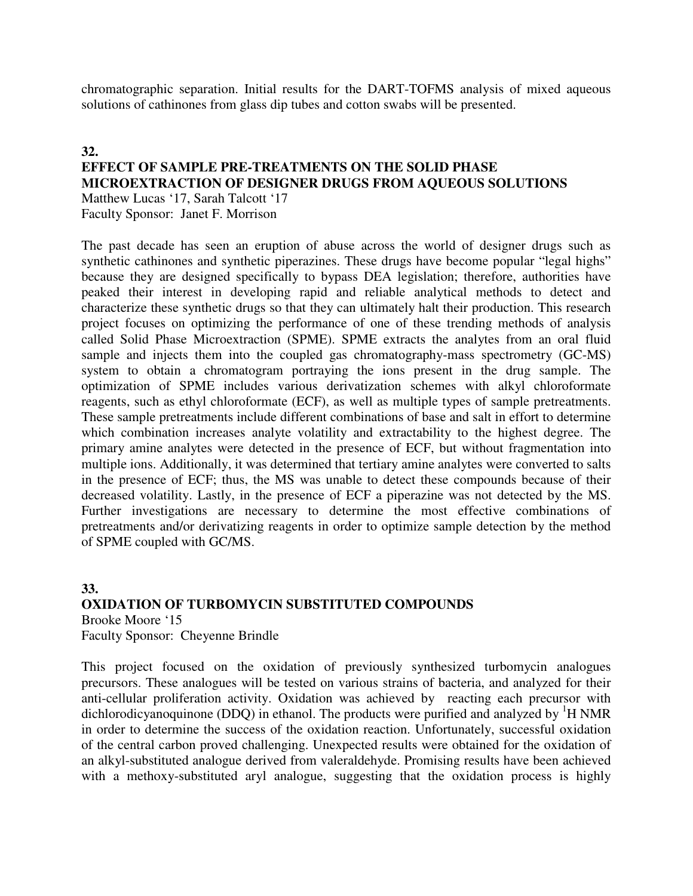chromatographic separation. Initial results for the DART-TOFMS analysis of mixed aqueous solutions of cathinones from glass dip tubes and cotton swabs will be presented.

#### **32. EFFECT OF SAMPLE PRE-TREATMENTS ON THE SOLID PHASE MICROEXTRACTION OF DESIGNER DRUGS FROM AQUEOUS SOLUTIONS**  Matthew Lucas '17, Sarah Talcott '17

Faculty Sponsor: Janet F. Morrison

The past decade has seen an eruption of abuse across the world of designer drugs such as synthetic cathinones and synthetic piperazines. These drugs have become popular "legal highs" because they are designed specifically to bypass DEA legislation; therefore, authorities have peaked their interest in developing rapid and reliable analytical methods to detect and characterize these synthetic drugs so that they can ultimately halt their production. This research project focuses on optimizing the performance of one of these trending methods of analysis called Solid Phase Microextraction (SPME). SPME extracts the analytes from an oral fluid sample and injects them into the coupled gas chromatography-mass spectrometry (GC-MS) system to obtain a chromatogram portraying the ions present in the drug sample. The optimization of SPME includes various derivatization schemes with alkyl chloroformate reagents, such as ethyl chloroformate (ECF), as well as multiple types of sample pretreatments. These sample pretreatments include different combinations of base and salt in effort to determine which combination increases analyte volatility and extractability to the highest degree. The primary amine analytes were detected in the presence of ECF, but without fragmentation into multiple ions. Additionally, it was determined that tertiary amine analytes were converted to salts in the presence of ECF; thus, the MS was unable to detect these compounds because of their decreased volatility. Lastly, in the presence of ECF a piperazine was not detected by the MS. Further investigations are necessary to determine the most effective combinations of pretreatments and/or derivatizing reagents in order to optimize sample detection by the method of SPME coupled with GC/MS.

#### **33. OXIDATION OF TURBOMYCIN SUBSTITUTED COMPOUNDS**  Brooke Moore '15 Faculty Sponsor: Cheyenne Brindle

This project focused on the oxidation of previously synthesized turbomycin analogues precursors. These analogues will be tested on various strains of bacteria, and analyzed for their anti-cellular proliferation activity. Oxidation was achieved by reacting each precursor with dichlorodicyanoquinone (DDQ) in ethanol. The products were purified and analyzed by  ${}^{1}H$  NMR in order to determine the success of the oxidation reaction. Unfortunately, successful oxidation of the central carbon proved challenging. Unexpected results were obtained for the oxidation of an alkyl-substituted analogue derived from valeraldehyde. Promising results have been achieved with a methoxy-substituted aryl analogue, suggesting that the oxidation process is highly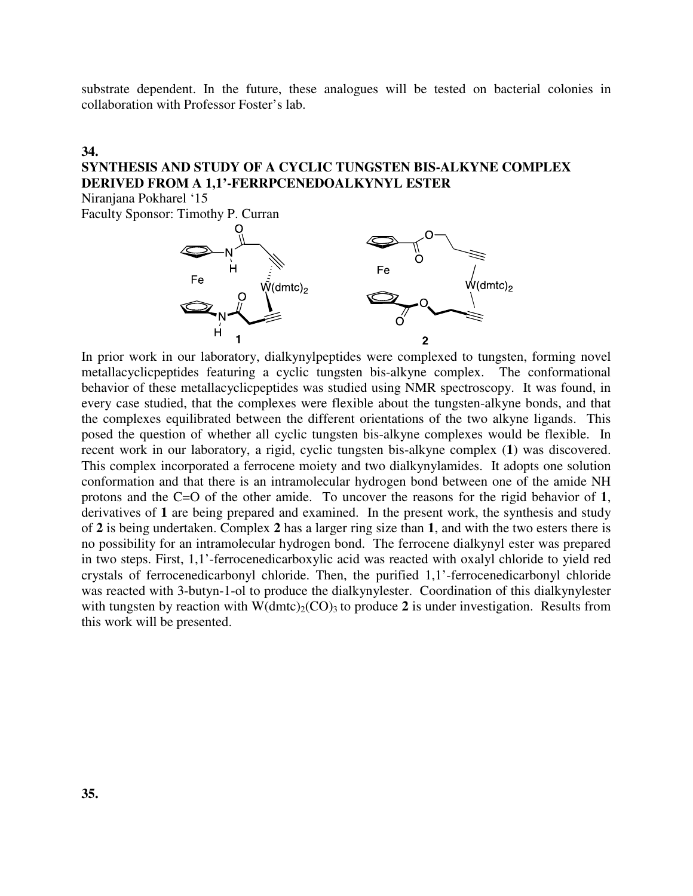substrate dependent. In the future, these analogues will be tested on bacterial colonies in collaboration with Professor Foster's lab.

#### **34.**

### **SYNTHESIS AND STUDY OF A CYCLIC TUNGSTEN BIS-ALKYNE COMPLEX DERIVED FROM A 1,1'-FERRPCENEDOALKYNYL ESTER**

Niranjana Pokharel '15

Faculty Sponsor: Timothy P. Curran



In prior work in our laboratory, dialkynylpeptides were complexed to tungsten, forming novel metallacyclicpeptides featuring a cyclic tungsten bis-alkyne complex. The conformational behavior of these metallacyclicpeptides was studied using NMR spectroscopy. It was found, in every case studied, that the complexes were flexible about the tungsten-alkyne bonds, and that the complexes equilibrated between the different orientations of the two alkyne ligands. This posed the question of whether all cyclic tungsten bis-alkyne complexes would be flexible. In recent work in our laboratory, a rigid, cyclic tungsten bis-alkyne complex (**1**) was discovered. This complex incorporated a ferrocene moiety and two dialkynylamides. It adopts one solution conformation and that there is an intramolecular hydrogen bond between one of the amide NH protons and the C=O of the other amide. To uncover the reasons for the rigid behavior of **1**, derivatives of **1** are being prepared and examined. In the present work, the synthesis and study of **2** is being undertaken. Complex **2** has a larger ring size than **1**, and with the two esters there is no possibility for an intramolecular hydrogen bond. The ferrocene dialkynyl ester was prepared in two steps. First, 1,1'-ferrocenedicarboxylic acid was reacted with oxalyl chloride to yield red crystals of ferrocenedicarbonyl chloride. Then, the purified 1,1'-ferrocenedicarbonyl chloride was reacted with 3-butyn-1-ol to produce the dialkynylester. Coordination of this dialkynylester with tungsten by reaction with  $W(dmc)_{2}(CO)_{3}$  to produce 2 is under investigation. Results from this work will be presented.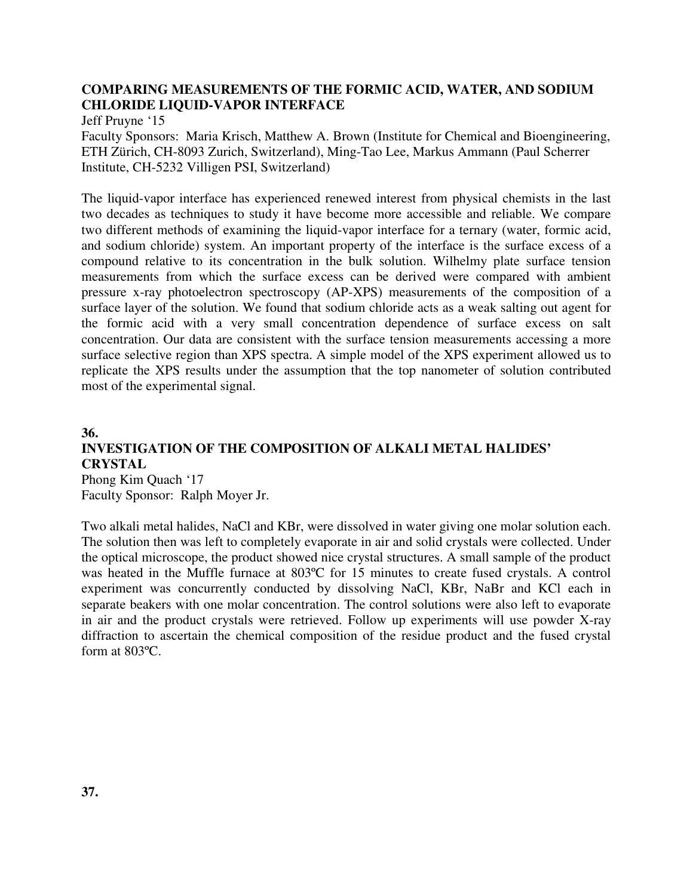#### **COMPARING MEASUREMENTS OF THE FORMIC ACID, WATER, AND SODIUM CHLORIDE LIQUID-VAPOR INTERFACE**

Jeff Pruyne '15

Faculty Sponsors: Maria Krisch, Matthew A. Brown (Institute for Chemical and Bioengineering, ETH Zürich, CH-8093 Zurich, Switzerland), Ming-Tao Lee, Markus Ammann (Paul Scherrer Institute, CH-5232 Villigen PSI, Switzerland)

The liquid-vapor interface has experienced renewed interest from physical chemists in the last two decades as techniques to study it have become more accessible and reliable. We compare two different methods of examining the liquid-vapor interface for a ternary (water, formic acid, and sodium chloride) system. An important property of the interface is the surface excess of a compound relative to its concentration in the bulk solution. Wilhelmy plate surface tension measurements from which the surface excess can be derived were compared with ambient pressure x-ray photoelectron spectroscopy (AP-XPS) measurements of the composition of a surface layer of the solution. We found that sodium chloride acts as a weak salting out agent for the formic acid with a very small concentration dependence of surface excess on salt concentration. Our data are consistent with the surface tension measurements accessing a more surface selective region than XPS spectra. A simple model of the XPS experiment allowed us to replicate the XPS results under the assumption that the top nanometer of solution contributed most of the experimental signal.

#### **36. INVESTIGATION OF THE COMPOSITION OF ALKALI METAL HALIDES' CRYSTAL**  Phong Kim Quach '17

Faculty Sponsor: Ralph Moyer Jr.

Two alkali metal halides, NaCl and KBr, were dissolved in water giving one molar solution each. The solution then was left to completely evaporate in air and solid crystals were collected. Under the optical microscope, the product showed nice crystal structures. A small sample of the product was heated in the Muffle furnace at 803ºC for 15 minutes to create fused crystals. A control experiment was concurrently conducted by dissolving NaCl, KBr, NaBr and KCl each in separate beakers with one molar concentration. The control solutions were also left to evaporate in air and the product crystals were retrieved. Follow up experiments will use powder X-ray diffraction to ascertain the chemical composition of the residue product and the fused crystal form at 803ºC.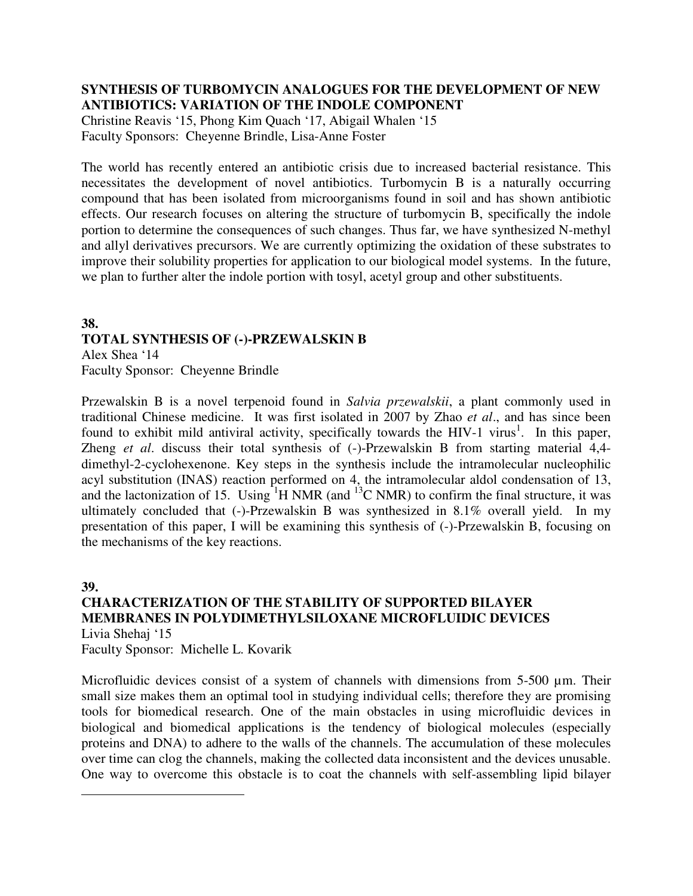#### **SYNTHESIS OF TURBOMYCIN ANALOGUES FOR THE DEVELOPMENT OF NEW ANTIBIOTICS: VARIATION OF THE INDOLE COMPONENT**

Christine Reavis '15, Phong Kim Quach '17, Abigail Whalen '15 Faculty Sponsors: Cheyenne Brindle, Lisa-Anne Foster

The world has recently entered an antibiotic crisis due to increased bacterial resistance. This necessitates the development of novel antibiotics. Turbomycin B is a naturally occurring compound that has been isolated from microorganisms found in soil and has shown antibiotic effects. Our research focuses on altering the structure of turbomycin B, specifically the indole portion to determine the consequences of such changes. Thus far, we have synthesized N-methyl and allyl derivatives precursors. We are currently optimizing the oxidation of these substrates to improve their solubility properties for application to our biological model systems. In the future, we plan to further alter the indole portion with tosyl, acetyl group and other substituents.

#### **38. TOTAL SYNTHESIS OF (-)-PRZEWALSKIN B**  Alex Shea '14

Faculty Sponsor: Cheyenne Brindle

Przewalskin B is a novel terpenoid found in *Salvia przewalskii*, a plant commonly used in traditional Chinese medicine. It was first isolated in 2007 by Zhao *et al*., and has since been found to exhibit mild antiviral activity, specifically towards the HIV-1 virus<sup>1</sup>. In this paper, Zheng *et al*. discuss their total synthesis of (-)-Przewalskin B from starting material 4,4 dimethyl-2-cyclohexenone. Key steps in the synthesis include the intramolecular nucleophilic acyl substitution (INAS) reaction performed on 4, the intramolecular aldol condensation of 13, and the lactonization of 15. Using  ${}^{1}$ H NMR (and  ${}^{13}$ C NMR) to confirm the final structure, it was ultimately concluded that (-)-Przewalskin B was synthesized in 8.1% overall yield. In my presentation of this paper, I will be examining this synthesis of (-)-Przewalskin B, focusing on the mechanisms of the key reactions.

#### **39.**

<u>.</u>

### **CHARACTERIZATION OF THE STABILITY OF SUPPORTED BILAYER MEMBRANES IN POLYDIMETHYLSILOXANE MICROFLUIDIC DEVICES**  Livia Shehaj '15

Faculty Sponsor: Michelle L. Kovarik

Microfluidic devices consist of a system of channels with dimensions from 5-500 µm. Their small size makes them an optimal tool in studying individual cells; therefore they are promising tools for biomedical research. One of the main obstacles in using microfluidic devices in biological and biomedical applications is the tendency of biological molecules (especially proteins and DNA) to adhere to the walls of the channels. The accumulation of these molecules over time can clog the channels, making the collected data inconsistent and the devices unusable. One way to overcome this obstacle is to coat the channels with self-assembling lipid bilayer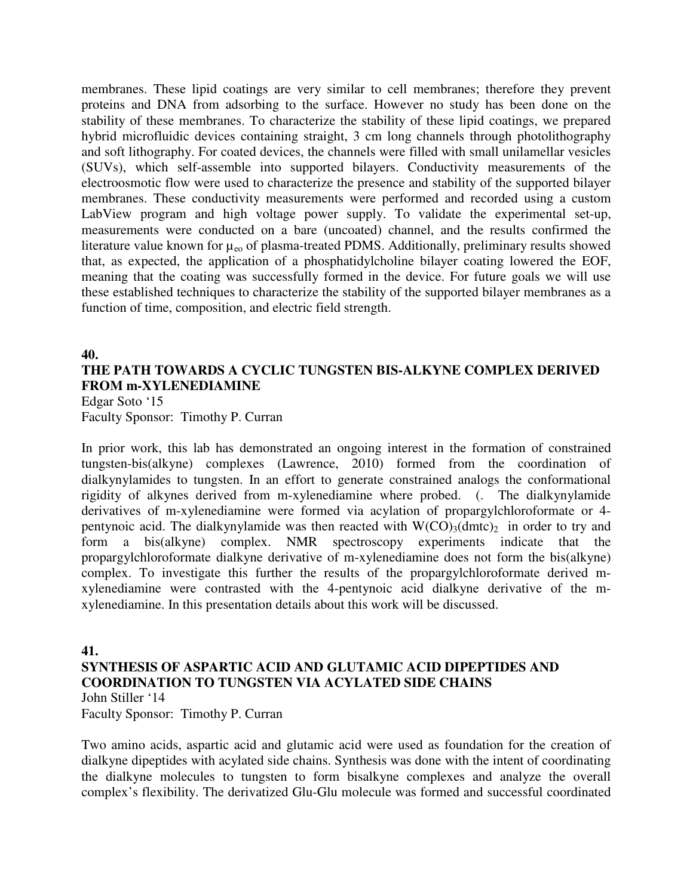membranes. These lipid coatings are very similar to cell membranes; therefore they prevent proteins and DNA from adsorbing to the surface. However no study has been done on the stability of these membranes. To characterize the stability of these lipid coatings, we prepared hybrid microfluidic devices containing straight, 3 cm long channels through photolithography and soft lithography. For coated devices, the channels were filled with small unilamellar vesicles (SUVs), which self-assemble into supported bilayers. Conductivity measurements of the electroosmotic flow were used to characterize the presence and stability of the supported bilayer membranes. These conductivity measurements were performed and recorded using a custom LabView program and high voltage power supply. To validate the experimental set-up, measurements were conducted on a bare (uncoated) channel, and the results confirmed the literature value known for  $\mu_{\rm eo}$  of plasma-treated PDMS. Additionally, preliminary results showed that, as expected, the application of a phosphatidylcholine bilayer coating lowered the EOF, meaning that the coating was successfully formed in the device. For future goals we will use these established techniques to characterize the stability of the supported bilayer membranes as a function of time, composition, and electric field strength.

#### **40.**

# **THE PATH TOWARDS A CYCLIC TUNGSTEN BIS-ALKYNE COMPLEX DERIVED FROM m-XYLENEDIAMINE**

Edgar Soto '15 Faculty Sponsor: Timothy P. Curran

In prior work, this lab has demonstrated an ongoing interest in the formation of constrained tungsten-bis(alkyne) complexes (Lawrence, 2010) formed from the coordination of dialkynylamides to tungsten. In an effort to generate constrained analogs the conformational rigidity of alkynes derived from m-xylenediamine where probed. (. The dialkynylamide derivatives of m-xylenediamine were formed via acylation of propargylchloroformate or 4 pentynoic acid. The dialkynylamide was then reacted with  $W(CO)_{3}(dmc)_{2}$  in order to try and form a bis(alkyne) complex. NMR spectroscopy experiments indicate that the propargylchloroformate dialkyne derivative of m-xylenediamine does not form the bis(alkyne) complex. To investigate this further the results of the propargylchloroformate derived mxylenediamine were contrasted with the 4-pentynoic acid dialkyne derivative of the mxylenediamine. In this presentation details about this work will be discussed.

#### **41.**

#### **SYNTHESIS OF ASPARTIC ACID AND GLUTAMIC ACID DIPEPTIDES AND COORDINATION TO TUNGSTEN VIA ACYLATED SIDE CHAINS**

John Stiller '14

Faculty Sponsor: Timothy P. Curran

Two amino acids, aspartic acid and glutamic acid were used as foundation for the creation of dialkyne dipeptides with acylated side chains. Synthesis was done with the intent of coordinating the dialkyne molecules to tungsten to form bisalkyne complexes and analyze the overall complex's flexibility. The derivatized Glu-Glu molecule was formed and successful coordinated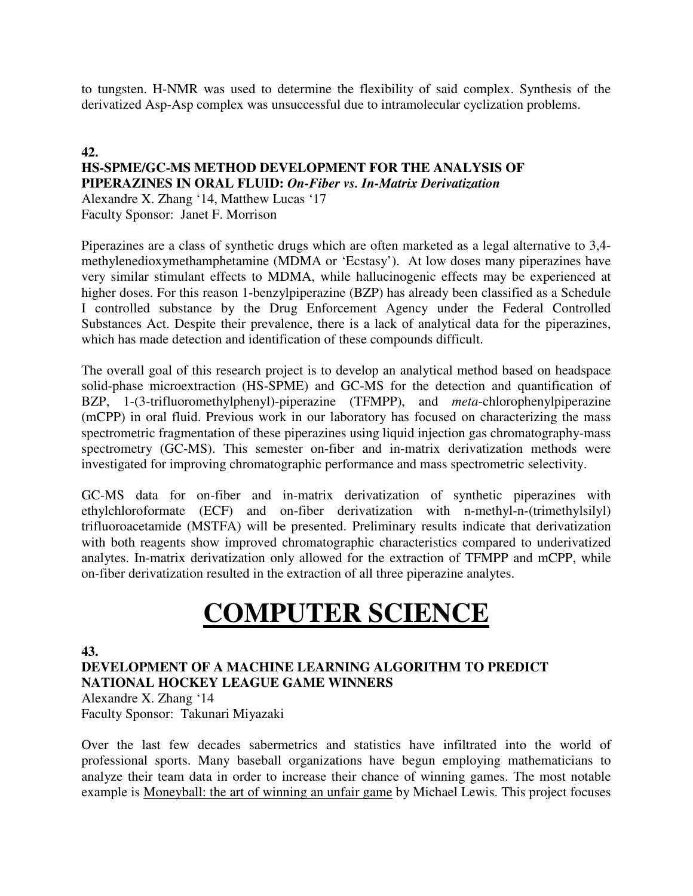to tungsten. H-NMR was used to determine the flexibility of said complex. Synthesis of the derivatized Asp-Asp complex was unsuccessful due to intramolecular cyclization problems.

## **42.**

#### **HS-SPME/GC-MS METHOD DEVELOPMENT FOR THE ANALYSIS OF PIPERAZINES IN ORAL FLUID:** *On-Fiber vs. In-Matrix Derivatization*

Alexandre X. Zhang '14, Matthew Lucas '17 Faculty Sponsor: Janet F. Morrison

Piperazines are a class of synthetic drugs which are often marketed as a legal alternative to 3,4 methylenedioxymethamphetamine (MDMA or 'Ecstasy'). At low doses many piperazines have very similar stimulant effects to MDMA, while hallucinogenic effects may be experienced at higher doses. For this reason 1-benzylpiperazine (BZP) has already been classified as a Schedule I controlled substance by the Drug Enforcement Agency under the Federal Controlled Substances Act. Despite their prevalence, there is a lack of analytical data for the piperazines, which has made detection and identification of these compounds difficult.

The overall goal of this research project is to develop an analytical method based on headspace solid-phase microextraction (HS-SPME) and GC-MS for the detection and quantification of BZP, 1-(3-trifluoromethylphenyl)-piperazine (TFMPP), and *meta*-chlorophenylpiperazine (mCPP) in oral fluid. Previous work in our laboratory has focused on characterizing the mass spectrometric fragmentation of these piperazines using liquid injection gas chromatography-mass spectrometry (GC-MS). This semester on-fiber and in-matrix derivatization methods were investigated for improving chromatographic performance and mass spectrometric selectivity.

GC-MS data for on-fiber and in-matrix derivatization of synthetic piperazines with ethylchloroformate (ECF) and on-fiber derivatization with n-methyl-n-(trimethylsilyl) trifluoroacetamide (MSTFA) will be presented. Preliminary results indicate that derivatization with both reagents show improved chromatographic characteristics compared to underivatized analytes. In-matrix derivatization only allowed for the extraction of TFMPP and mCPP, while on-fiber derivatization resulted in the extraction of all three piperazine analytes.

# **COMPUTER SCIENCE**

# **43.**

**DEVELOPMENT OF A MACHINE LEARNING ALGORITHM TO PREDICT NATIONAL HOCKEY LEAGUE GAME WINNERS**  Alexandre X. Zhang '14

Faculty Sponsor: Takunari Miyazaki

Over the last few decades sabermetrics and statistics have infiltrated into the world of professional sports. Many baseball organizations have begun employing mathematicians to analyze their team data in order to increase their chance of winning games. The most notable example is Moneyball: the art of winning an unfair game by Michael Lewis. This project focuses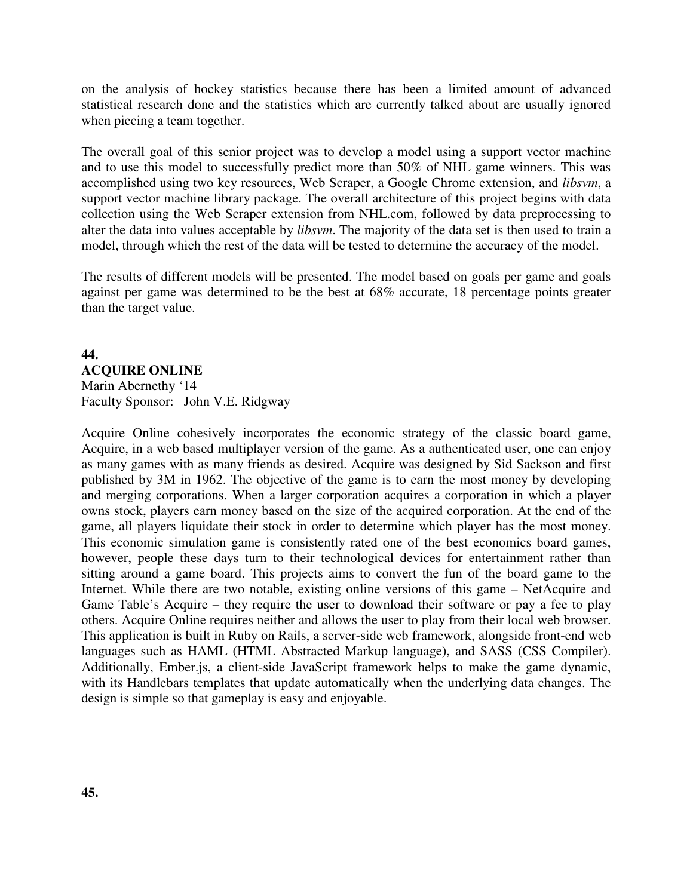on the analysis of hockey statistics because there has been a limited amount of advanced statistical research done and the statistics which are currently talked about are usually ignored when piecing a team together.

The overall goal of this senior project was to develop a model using a support vector machine and to use this model to successfully predict more than 50% of NHL game winners. This was accomplished using two key resources, Web Scraper, a Google Chrome extension, and *libsvm*, a support vector machine library package. The overall architecture of this project begins with data collection using the Web Scraper extension from NHL.com, followed by data preprocessing to alter the data into values acceptable by *libsvm*. The majority of the data set is then used to train a model, through which the rest of the data will be tested to determine the accuracy of the model.

The results of different models will be presented. The model based on goals per game and goals against per game was determined to be the best at 68% accurate, 18 percentage points greater than the target value.

# **44. ACQUIRE ONLINE** Marin Abernethy '14 Faculty Sponsor: John V.E. Ridgway

Acquire Online cohesively incorporates the economic strategy of the classic board game, Acquire, in a web based multiplayer version of the game. As a authenticated user, one can enjoy as many games with as many friends as desired. Acquire was designed by Sid Sackson and first published by 3M in 1962. The objective of the game is to earn the most money by developing and merging corporations. When a larger corporation acquires a corporation in which a player owns stock, players earn money based on the size of the acquired corporation. At the end of the game, all players liquidate their stock in order to determine which player has the most money. This economic simulation game is consistently rated one of the best economics board games, however, people these days turn to their technological devices for entertainment rather than sitting around a game board. This projects aims to convert the fun of the board game to the Internet. While there are two notable, existing online versions of this game – NetAcquire and Game Table's Acquire – they require the user to download their software or pay a fee to play others. Acquire Online requires neither and allows the user to play from their local web browser. This application is built in Ruby on Rails, a server-side web framework, alongside front-end web languages such as HAML (HTML Abstracted Markup language), and SASS (CSS Compiler). Additionally, Ember.js, a client-side JavaScript framework helps to make the game dynamic, with its Handlebars templates that update automatically when the underlying data changes. The design is simple so that gameplay is easy and enjoyable.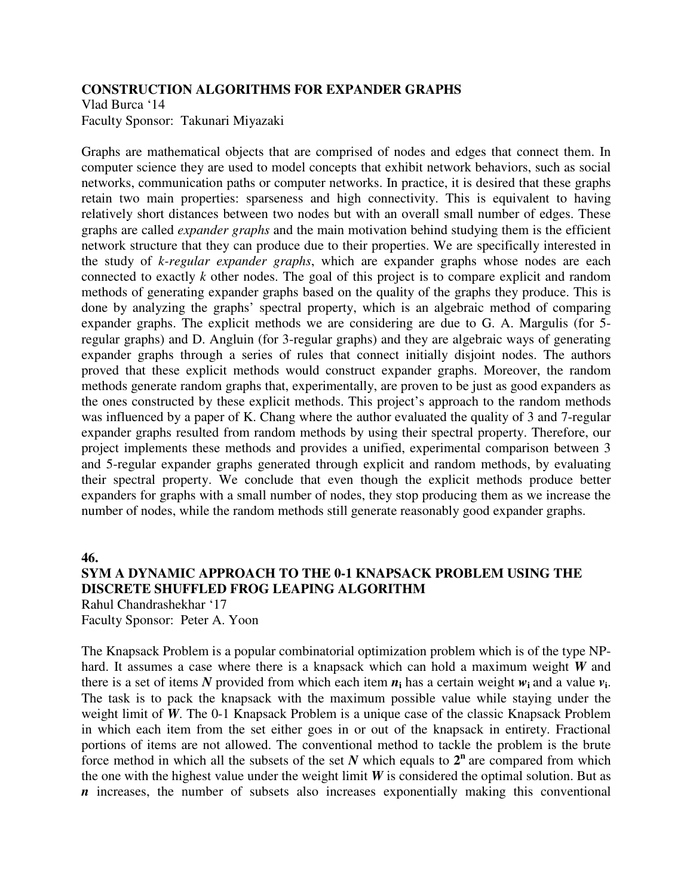#### **CONSTRUCTION ALGORITHMS FOR EXPANDER GRAPHS**

Vlad Burca '14 Faculty Sponsor: Takunari Miyazaki

Graphs are mathematical objects that are comprised of nodes and edges that connect them. In computer science they are used to model concepts that exhibit network behaviors, such as social networks, communication paths or computer networks. In practice, it is desired that these graphs retain two main properties: sparseness and high connectivity. This is equivalent to having relatively short distances between two nodes but with an overall small number of edges. These graphs are called *expander graphs* and the main motivation behind studying them is the efficient network structure that they can produce due to their properties. We are specifically interested in the study of *k-regular expander graphs*, which are expander graphs whose nodes are each connected to exactly *k* other nodes. The goal of this project is to compare explicit and random methods of generating expander graphs based on the quality of the graphs they produce. This is done by analyzing the graphs' spectral property, which is an algebraic method of comparing expander graphs. The explicit methods we are considering are due to G. A. Margulis (for 5 regular graphs) and D. Angluin (for 3-regular graphs) and they are algebraic ways of generating expander graphs through a series of rules that connect initially disjoint nodes. The authors proved that these explicit methods would construct expander graphs. Moreover, the random methods generate random graphs that, experimentally, are proven to be just as good expanders as the ones constructed by these explicit methods. This project's approach to the random methods was influenced by a paper of K. Chang where the author evaluated the quality of 3 and 7-regular expander graphs resulted from random methods by using their spectral property. Therefore, our project implements these methods and provides a unified, experimental comparison between 3 and 5-regular expander graphs generated through explicit and random methods, by evaluating their spectral property. We conclude that even though the explicit methods produce better expanders for graphs with a small number of nodes, they stop producing them as we increase the number of nodes, while the random methods still generate reasonably good expander graphs.

#### **46.**

# **SYM A DYNAMIC APPROACH TO THE 0-1 KNAPSACK PROBLEM USING THE DISCRETE SHUFFLED FROG LEAPING ALGORITHM**

Rahul Chandrashekhar '17 Faculty Sponsor: Peter A. Yoon

The Knapsack Problem is a popular combinatorial optimization problem which is of the type NPhard. It assumes a case where there is a knapsack which can hold a maximum weight *W* and there is a set of items N provided from which each item  $n_i$  has a certain weight  $w_i$  and a value  $v_i$ . The task is to pack the knapsack with the maximum possible value while staying under the weight limit of *W*. The 0-1 Knapsack Problem is a unique case of the classic Knapsack Problem in which each item from the set either goes in or out of the knapsack in entirety. Fractional portions of items are not allowed. The conventional method to tackle the problem is the brute force method in which all the subsets of the set  $N$  which equals to  $2^n$  are compared from which the one with the highest value under the weight limit  $W$  is considered the optimal solution. But as *n* increases, the number of subsets also increases exponentially making this conventional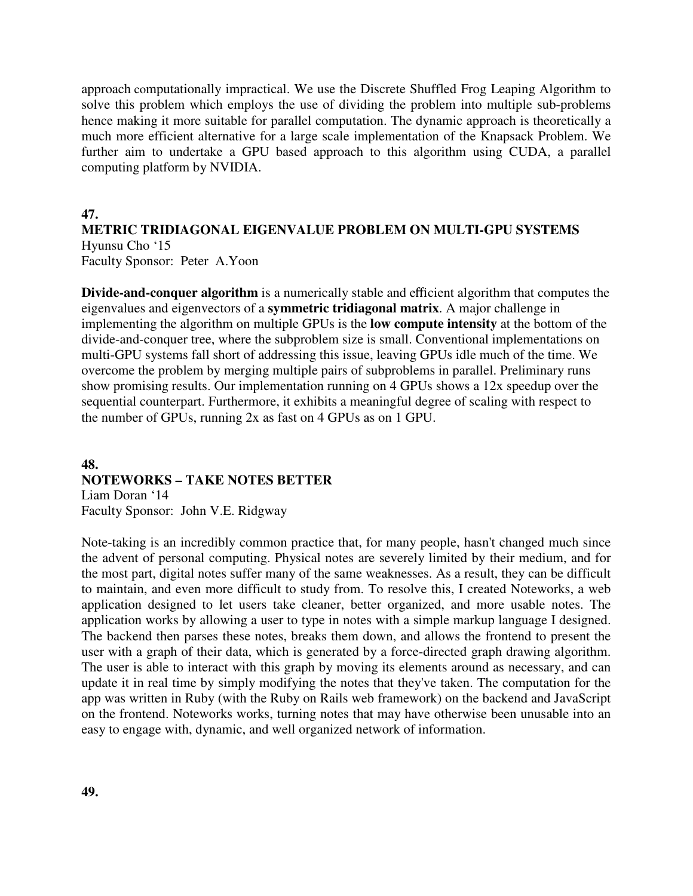approach computationally impractical. We use the Discrete Shuffled Frog Leaping Algorithm to solve this problem which employs the use of dividing the problem into multiple sub-problems hence making it more suitable for parallel computation. The dynamic approach is theoretically a much more efficient alternative for a large scale implementation of the Knapsack Problem. We further aim to undertake a GPU based approach to this algorithm using CUDA, a parallel computing platform by NVIDIA.

#### **47.**

# **METRIC TRIDIAGONAL EIGENVALUE PROBLEM ON MULTI-GPU SYSTEMS**

Hyunsu Cho '15 Faculty Sponsor: Peter A.Yoon

**Divide-and-conquer algorithm** is a numerically stable and efficient algorithm that computes the eigenvalues and eigenvectors of a **symmetric tridiagonal matrix**. A major challenge in implementing the algorithm on multiple GPUs is the **low compute intensity** at the bottom of the divide-and-conquer tree, where the subproblem size is small. Conventional implementations on multi-GPU systems fall short of addressing this issue, leaving GPUs idle much of the time. We overcome the problem by merging multiple pairs of subproblems in parallel. Preliminary runs show promising results. Our implementation running on 4 GPUs shows a 12x speedup over the sequential counterpart. Furthermore, it exhibits a meaningful degree of scaling with respect to the number of GPUs, running 2x as fast on 4 GPUs as on 1 GPU.

### **48. NOTEWORKS – TAKE NOTES BETTER** Liam Doran '14

Faculty Sponsor: John V.E. Ridgway

Note-taking is an incredibly common practice that, for many people, hasn't changed much since the advent of personal computing. Physical notes are severely limited by their medium, and for the most part, digital notes suffer many of the same weaknesses. As a result, they can be difficult to maintain, and even more difficult to study from. To resolve this, I created Noteworks, a web application designed to let users take cleaner, better organized, and more usable notes. The application works by allowing a user to type in notes with a simple markup language I designed. The backend then parses these notes, breaks them down, and allows the frontend to present the user with a graph of their data, which is generated by a force-directed graph drawing algorithm. The user is able to interact with this graph by moving its elements around as necessary, and can update it in real time by simply modifying the notes that they've taken. The computation for the app was written in Ruby (with the Ruby on Rails web framework) on the backend and JavaScript on the frontend. Noteworks works, turning notes that may have otherwise been unusable into an easy to engage with, dynamic, and well organized network of information.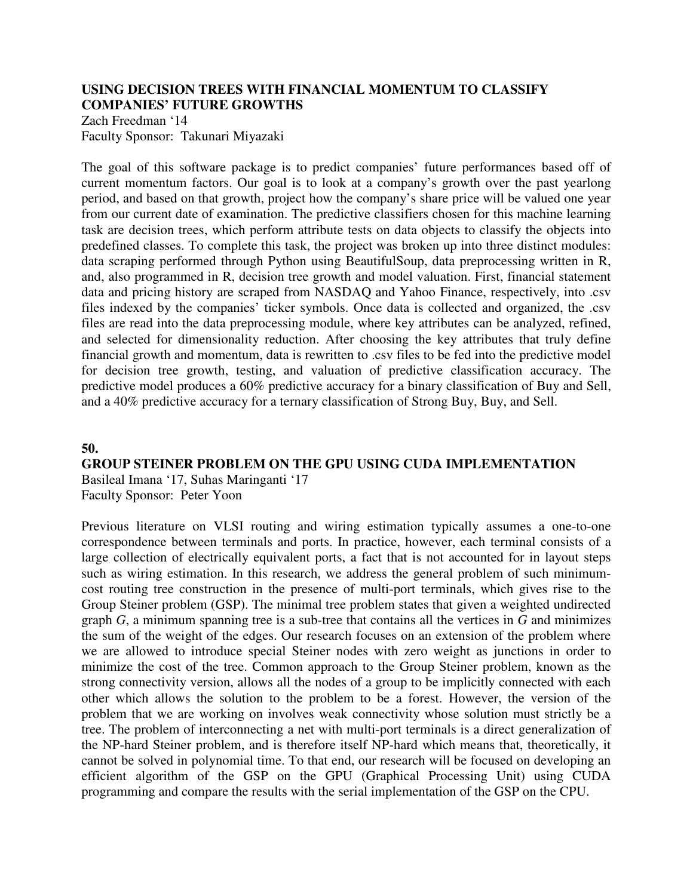## **USING DECISION TREES WITH FINANCIAL MOMENTUM TO CLASSIFY COMPANIES' FUTURE GROWTHS**

Zach Freedman '14 Faculty Sponsor: Takunari Miyazaki

The goal of this software package is to predict companies' future performances based off of current momentum factors. Our goal is to look at a company's growth over the past yearlong period, and based on that growth, project how the company's share price will be valued one year from our current date of examination. The predictive classifiers chosen for this machine learning task are decision trees, which perform attribute tests on data objects to classify the objects into predefined classes. To complete this task, the project was broken up into three distinct modules: data scraping performed through Python using BeautifulSoup, data preprocessing written in R, and, also programmed in R, decision tree growth and model valuation. First, financial statement data and pricing history are scraped from NASDAQ and Yahoo Finance, respectively, into .csv files indexed by the companies' ticker symbols. Once data is collected and organized, the .csv files are read into the data preprocessing module, where key attributes can be analyzed, refined, and selected for dimensionality reduction. After choosing the key attributes that truly define financial growth and momentum, data is rewritten to .csv files to be fed into the predictive model for decision tree growth, testing, and valuation of predictive classification accuracy. The predictive model produces a 60% predictive accuracy for a binary classification of Buy and Sell, and a 40% predictive accuracy for a ternary classification of Strong Buy, Buy, and Sell.

#### **50.**

#### **GROUP STEINER PROBLEM ON THE GPU USING CUDA IMPLEMENTATION**

Basileal Imana '17, Suhas Maringanti '17 Faculty Sponsor: Peter Yoon

Previous literature on VLSI routing and wiring estimation typically assumes a one-to-one correspondence between terminals and ports. In practice, however, each terminal consists of a large collection of electrically equivalent ports, a fact that is not accounted for in layout steps such as wiring estimation. In this research, we address the general problem of such minimumcost routing tree construction in the presence of multi-port terminals, which gives rise to the Group Steiner problem (GSP). The minimal tree problem states that given a weighted undirected graph *G*, a minimum spanning tree is a sub-tree that contains all the vertices in *G* and minimizes the sum of the weight of the edges. Our research focuses on an extension of the problem where we are allowed to introduce special Steiner nodes with zero weight as junctions in order to minimize the cost of the tree. Common approach to the Group Steiner problem, known as the strong connectivity version, allows all the nodes of a group to be implicitly connected with each other which allows the solution to the problem to be a forest. However, the version of the problem that we are working on involves weak connectivity whose solution must strictly be a tree. The problem of interconnecting a net with multi-port terminals is a direct generalization of the NP-hard Steiner problem, and is therefore itself NP-hard which means that, theoretically, it cannot be solved in polynomial time. To that end, our research will be focused on developing an efficient algorithm of the GSP on the GPU (Graphical Processing Unit) using CUDA programming and compare the results with the serial implementation of the GSP on the CPU.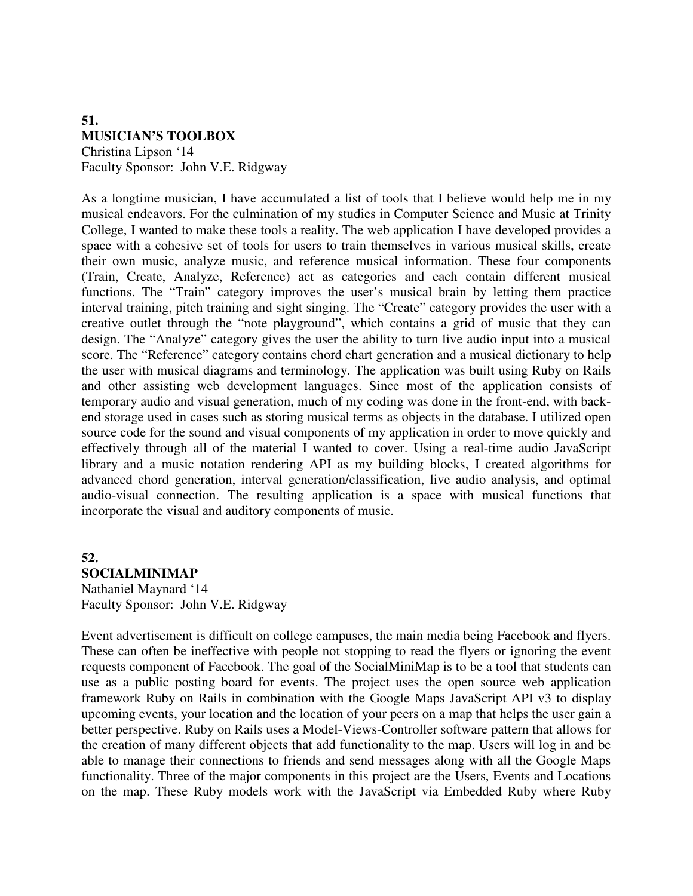#### **51. MUSICIAN'S TOOLBOX**  Christina Lipson '14 Faculty Sponsor: John V.E. Ridgway

As a longtime musician, I have accumulated a list of tools that I believe would help me in my musical endeavors. For the culmination of my studies in Computer Science and Music at Trinity College, I wanted to make these tools a reality. The web application I have developed provides a space with a cohesive set of tools for users to train themselves in various musical skills, create their own music, analyze music, and reference musical information. These four components (Train, Create, Analyze, Reference) act as categories and each contain different musical functions. The "Train" category improves the user's musical brain by letting them practice interval training, pitch training and sight singing. The "Create" category provides the user with a creative outlet through the "note playground", which contains a grid of music that they can design. The "Analyze" category gives the user the ability to turn live audio input into a musical score. The "Reference" category contains chord chart generation and a musical dictionary to help the user with musical diagrams and terminology. The application was built using Ruby on Rails and other assisting web development languages. Since most of the application consists of temporary audio and visual generation, much of my coding was done in the front-end, with backend storage used in cases such as storing musical terms as objects in the database. I utilized open source code for the sound and visual components of my application in order to move quickly and effectively through all of the material I wanted to cover. Using a real-time audio JavaScript library and a music notation rendering API as my building blocks, I created algorithms for advanced chord generation, interval generation/classification, live audio analysis, and optimal audio-visual connection. The resulting application is a space with musical functions that incorporate the visual and auditory components of music.

## **52. SOCIALMINIMAP** Nathaniel Maynard '14

Faculty Sponsor: John V.E. Ridgway

Event advertisement is difficult on college campuses, the main media being Facebook and flyers. These can often be ineffective with people not stopping to read the flyers or ignoring the event requests component of Facebook. The goal of the SocialMiniMap is to be a tool that students can use as a public posting board for events. The project uses the open source web application framework Ruby on Rails in combination with the Google Maps JavaScript API v3 to display upcoming events, your location and the location of your peers on a map that helps the user gain a better perspective. Ruby on Rails uses a Model-Views-Controller software pattern that allows for the creation of many different objects that add functionality to the map. Users will log in and be able to manage their connections to friends and send messages along with all the Google Maps functionality. Three of the major components in this project are the Users, Events and Locations on the map. These Ruby models work with the JavaScript via Embedded Ruby where Ruby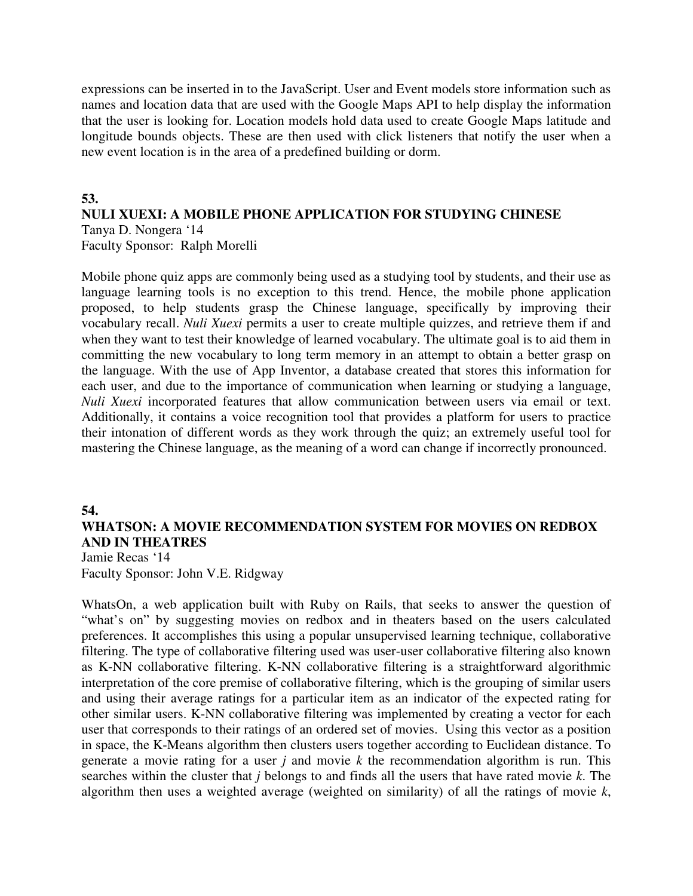expressions can be inserted in to the JavaScript. User and Event models store information such as names and location data that are used with the Google Maps API to help display the information that the user is looking for. Location models hold data used to create Google Maps latitude and longitude bounds objects. These are then used with click listeners that notify the user when a new event location is in the area of a predefined building or dorm.

#### **53.**

#### **NULI XUEXI: A MOBILE PHONE APPLICATION FOR STUDYING CHINESE** Tanya D. Nongera '14 Faculty Sponsor: Ralph Morelli

Mobile phone quiz apps are commonly being used as a studying tool by students, and their use as language learning tools is no exception to this trend. Hence, the mobile phone application proposed, to help students grasp the Chinese language, specifically by improving their vocabulary recall. *Nuli Xuexi* permits a user to create multiple quizzes, and retrieve them if and when they want to test their knowledge of learned vocabulary. The ultimate goal is to aid them in committing the new vocabulary to long term memory in an attempt to obtain a better grasp on the language. With the use of App Inventor, a database created that stores this information for each user, and due to the importance of communication when learning or studying a language, *Nuli Xuexi* incorporated features that allow communication between users via email or text. Additionally, it contains a voice recognition tool that provides a platform for users to practice their intonation of different words as they work through the quiz; an extremely useful tool for mastering the Chinese language, as the meaning of a word can change if incorrectly pronounced.

## **54. WHATSON: A MOVIE RECOMMENDATION SYSTEM FOR MOVIES ON REDBOX AND IN THEATRES**

Jamie Recas '14 Faculty Sponsor: John V.E. Ridgway

WhatsOn, a web application built with Ruby on Rails, that seeks to answer the question of "what's on" by suggesting movies on redbox and in theaters based on the users calculated preferences. It accomplishes this using a popular unsupervised learning technique, collaborative filtering. The type of collaborative filtering used was user-user collaborative filtering also known as K-NN collaborative filtering. K-NN collaborative filtering is a straightforward algorithmic interpretation of the core premise of collaborative filtering, which is the grouping of similar users and using their average ratings for a particular item as an indicator of the expected rating for other similar users. K-NN collaborative filtering was implemented by creating a vector for each user that corresponds to their ratings of an ordered set of movies. Using this vector as a position in space, the K-Means algorithm then clusters users together according to Euclidean distance. To generate a movie rating for a user *j* and movie *k* the recommendation algorithm is run. This searches within the cluster that *j* belongs to and finds all the users that have rated movie *k*. The algorithm then uses a weighted average (weighted on similarity) of all the ratings of movie *k*,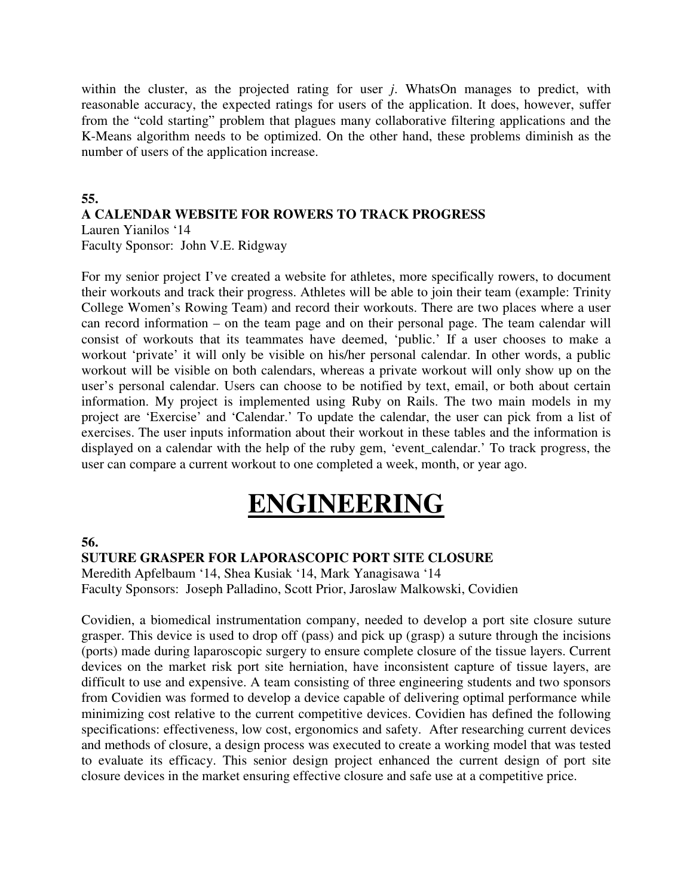within the cluster, as the projected rating for user *j*. WhatsOn manages to predict, with reasonable accuracy, the expected ratings for users of the application. It does, however, suffer from the "cold starting" problem that plagues many collaborative filtering applications and the K-Means algorithm needs to be optimized. On the other hand, these problems diminish as the number of users of the application increase.

## **55.**

# **A CALENDAR WEBSITE FOR ROWERS TO TRACK PROGRESS**

Lauren Yianilos '14

Faculty Sponsor: John V.E. Ridgway

For my senior project I've created a website for athletes, more specifically rowers, to document their workouts and track their progress. Athletes will be able to join their team (example: Trinity College Women's Rowing Team) and record their workouts. There are two places where a user can record information – on the team page and on their personal page. The team calendar will consist of workouts that its teammates have deemed, 'public.' If a user chooses to make a workout 'private' it will only be visible on his/her personal calendar. In other words, a public workout will be visible on both calendars, whereas a private workout will only show up on the user's personal calendar. Users can choose to be notified by text, email, or both about certain information. My project is implemented using Ruby on Rails. The two main models in my project are 'Exercise' and 'Calendar.' To update the calendar, the user can pick from a list of exercises. The user inputs information about their workout in these tables and the information is displayed on a calendar with the help of the ruby gem, 'event\_calendar.' To track progress, the user can compare a current workout to one completed a week, month, or year ago.

# **ENGINEERING**

#### **56.**

## **SUTURE GRASPER FOR LAPORASCOPIC PORT SITE CLOSURE**

Meredith Apfelbaum '14, Shea Kusiak '14, Mark Yanagisawa '14 Faculty Sponsors: Joseph Palladino, Scott Prior, Jaroslaw Malkowski, Covidien

Covidien, a biomedical instrumentation company, needed to develop a port site closure suture grasper. This device is used to drop off (pass) and pick up (grasp) a suture through the incisions (ports) made during laparoscopic surgery to ensure complete closure of the tissue layers. Current devices on the market risk port site herniation, have inconsistent capture of tissue layers, are difficult to use and expensive. A team consisting of three engineering students and two sponsors from Covidien was formed to develop a device capable of delivering optimal performance while minimizing cost relative to the current competitive devices. Covidien has defined the following specifications: effectiveness, low cost, ergonomics and safety. After researching current devices and methods of closure, a design process was executed to create a working model that was tested to evaluate its efficacy. This senior design project enhanced the current design of port site closure devices in the market ensuring effective closure and safe use at a competitive price.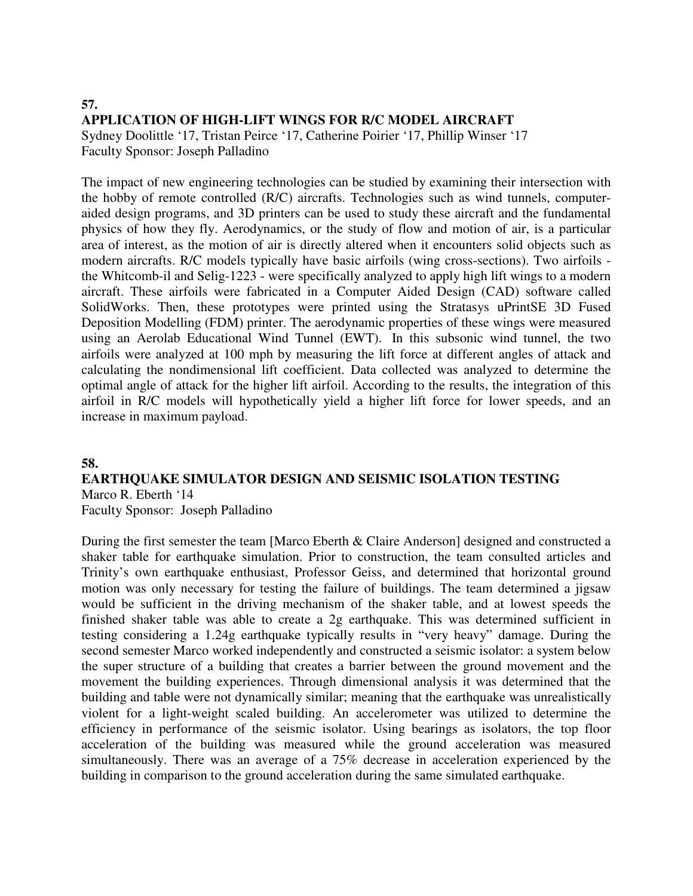# **57. APPLICATION OF HIGH-LIFT WINGS FOR R/C MODEL AIRCRAFT**

Sydney Doolittle '17, Tristan Peirce '17, Catherine Poirier '17, Phillip Winser '17 Faculty Sponsor: Joseph Palladino

The impact of new engineering technologies can be studied by examining their intersection with the hobby of remote controlled (R/C) aircrafts. Technologies such as wind tunnels, computeraided design programs, and 3D printers can be used to study these aircraft and the fundamental physics of how they fly. Aerodynamics, or the study of flow and motion of air, is a particular area of interest, as the motion of air is directly altered when it encounters solid objects such as modern aircrafts. R/C models typically have basic airfoils (wing cross-sections). Two airfoils the Whitcomb-il and Selig-1223 - were specifically analyzed to apply high lift wings to a modern aircraft. These airfoils were fabricated in a Computer Aided Design (CAD) software called SolidWorks. Then, these prototypes were printed using the Stratasys uPrintSE 3D Fused Deposition Modelling (FDM) printer. The aerodynamic properties of these wings were measured using an Aerolab Educational Wind Tunnel (EWT). In this subsonic wind tunnel, the two airfoils were analyzed at 100 mph by measuring the lift force at different angles of attack and calculating the nondimensional lift coefficient. Data collected was analyzed to determine the optimal angle of attack for the higher lift airfoil. According to the results, the integration of this airfoil in R/C models will hypothetically yield a higher lift force for lower speeds, and an increase in maximum payload.

## **58.**

#### **EARTHQUAKE SIMULATOR DESIGN AND SEISMIC ISOLATION TESTING** Marco R. Eberth '14

Faculty Sponsor: Joseph Palladino

During the first semester the team [Marco Eberth & Claire Anderson] designed and constructed a shaker table for earthquake simulation. Prior to construction, the team consulted articles and Trinity's own earthquake enthusiast, Professor Geiss, and determined that horizontal ground motion was only necessary for testing the failure of buildings. The team determined a jigsaw would be sufficient in the driving mechanism of the shaker table, and at lowest speeds the finished shaker table was able to create a 2g earthquake. This was determined sufficient in testing considering a 1.24g earthquake typically results in "very heavy" damage. During the second semester Marco worked independently and constructed a seismic isolator: a system below the super structure of a building that creates a barrier between the ground movement and the movement the building experiences. Through dimensional analysis it was determined that the building and table were not dynamically similar; meaning that the earthquake was unrealistically violent for a light-weight scaled building. An accelerometer was utilized to determine the efficiency in performance of the seismic isolator. Using bearings as isolators, the top floor acceleration of the building was measured while the ground acceleration was measured simultaneously. There was an average of a 75% decrease in acceleration experienced by the building in comparison to the ground acceleration during the same simulated earthquake.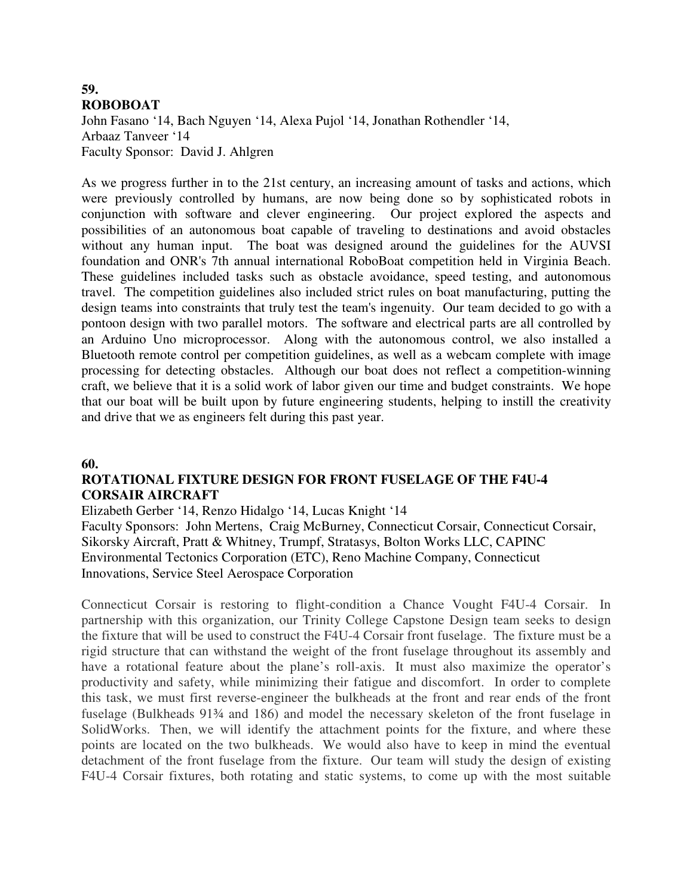#### **59. ROBOBOAT**

John Fasano '14, Bach Nguyen '14, Alexa Pujol '14, Jonathan Rothendler '14, Arbaaz Tanveer '14 Faculty Sponsor: David J. Ahlgren

As we progress further in to the 21st century, an increasing amount of tasks and actions, which were previously controlled by humans, are now being done so by sophisticated robots in conjunction with software and clever engineering. Our project explored the aspects and possibilities of an autonomous boat capable of traveling to destinations and avoid obstacles without any human input. The boat was designed around the guidelines for the AUVSI foundation and ONR's 7th annual international RoboBoat competition held in Virginia Beach. These guidelines included tasks such as obstacle avoidance, speed testing, and autonomous travel. The competition guidelines also included strict rules on boat manufacturing, putting the design teams into constraints that truly test the team's ingenuity. Our team decided to go with a pontoon design with two parallel motors. The software and electrical parts are all controlled by an Arduino Uno microprocessor. Along with the autonomous control, we also installed a Bluetooth remote control per competition guidelines, as well as a webcam complete with image processing for detecting obstacles. Although our boat does not reflect a competition-winning craft, we believe that it is a solid work of labor given our time and budget constraints. We hope that our boat will be built upon by future engineering students, helping to instill the creativity and drive that we as engineers felt during this past year.

#### **60.**

## **ROTATIONAL FIXTURE DESIGN FOR FRONT FUSELAGE OF THE F4U-4 CORSAIR AIRCRAFT**

Elizabeth Gerber '14, Renzo Hidalgo '14, Lucas Knight '14

Faculty Sponsors:John Mertens, Craig McBurney, Connecticut Corsair, Connecticut Corsair, Sikorsky Aircraft, Pratt & Whitney, Trumpf, Stratasys, Bolton Works LLC, CAPINC Environmental Tectonics Corporation (ETC), Reno Machine Company, Connecticut Innovations, Service Steel Aerospace Corporation

Connecticut Corsair is restoring to flight-condition a Chance Vought F4U-4 Corsair. In partnership with this organization, our Trinity College Capstone Design team seeks to design the fixture that will be used to construct the F4U-4 Corsair front fuselage. The fixture must be a rigid structure that can withstand the weight of the front fuselage throughout its assembly and have a rotational feature about the plane's roll-axis. It must also maximize the operator's productivity and safety, while minimizing their fatigue and discomfort. In order to complete this task, we must first reverse-engineer the bulkheads at the front and rear ends of the front fuselage (Bulkheads 91¾ and 186) and model the necessary skeleton of the front fuselage in SolidWorks. Then, we will identify the attachment points for the fixture, and where these points are located on the two bulkheads. We would also have to keep in mind the eventual detachment of the front fuselage from the fixture. Our team will study the design of existing F4U-4 Corsair fixtures, both rotating and static systems, to come up with the most suitable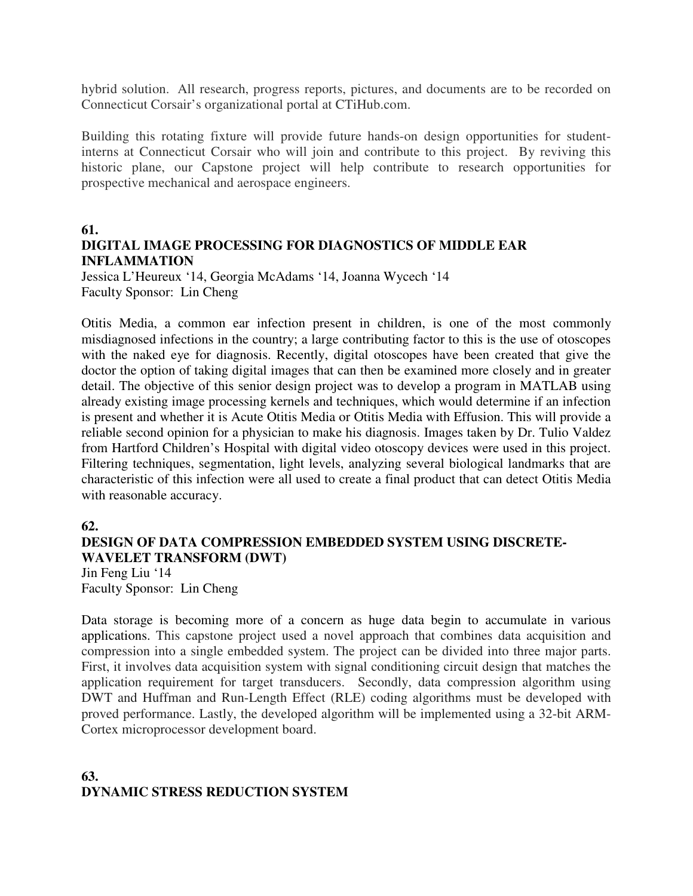hybrid solution. All research, progress reports, pictures, and documents are to be recorded on Connecticut Corsair's organizational portal at CTiHub.com.

Building this rotating fixture will provide future hands-on design opportunities for studentinterns at Connecticut Corsair who will join and contribute to this project. By reviving this historic plane, our Capstone project will help contribute to research opportunities for prospective mechanical and aerospace engineers.

#### **61.**

## **DIGITAL IMAGE PROCESSING FOR DIAGNOSTICS OF MIDDLE EAR INFLAMMATION**

Jessica L'Heureux '14, Georgia McAdams '14, Joanna Wycech '14 Faculty Sponsor: Lin Cheng

Otitis Media, a common ear infection present in children, is one of the most commonly misdiagnosed infections in the country; a large contributing factor to this is the use of otoscopes with the naked eye for diagnosis. Recently, digital otoscopes have been created that give the doctor the option of taking digital images that can then be examined more closely and in greater detail. The objective of this senior design project was to develop a program in MATLAB using already existing image processing kernels and techniques, which would determine if an infection is present and whether it is Acute Otitis Media or Otitis Media with Effusion. This will provide a reliable second opinion for a physician to make his diagnosis. Images taken by Dr. Tulio Valdez from Hartford Children's Hospital with digital video otoscopy devices were used in this project. Filtering techniques, segmentation, light levels, analyzing several biological landmarks that are characteristic of this infection were all used to create a final product that can detect Otitis Media with reasonable accuracy.

#### **62.**

# **DESIGN OF DATA COMPRESSION EMBEDDED SYSTEM USING DISCRETE-WAVELET TRANSFORM (DWT)**

Jin Feng Liu '14 Faculty Sponsor: Lin Cheng

Data storage is becoming more of a concern as huge data begin to accumulate in various applications. This capstone project used a novel approach that combines data acquisition and compression into a single embedded system. The project can be divided into three major parts. First, it involves data acquisition system with signal conditioning circuit design that matches the application requirement for target transducers. Secondly, data compression algorithm using DWT and Huffman and Run-Length Effect (RLE) coding algorithms must be developed with proved performance. Lastly, the developed algorithm will be implemented using a 32-bit ARM-Cortex microprocessor development board.

# **63. DYNAMIC STRESS REDUCTION SYSTEM**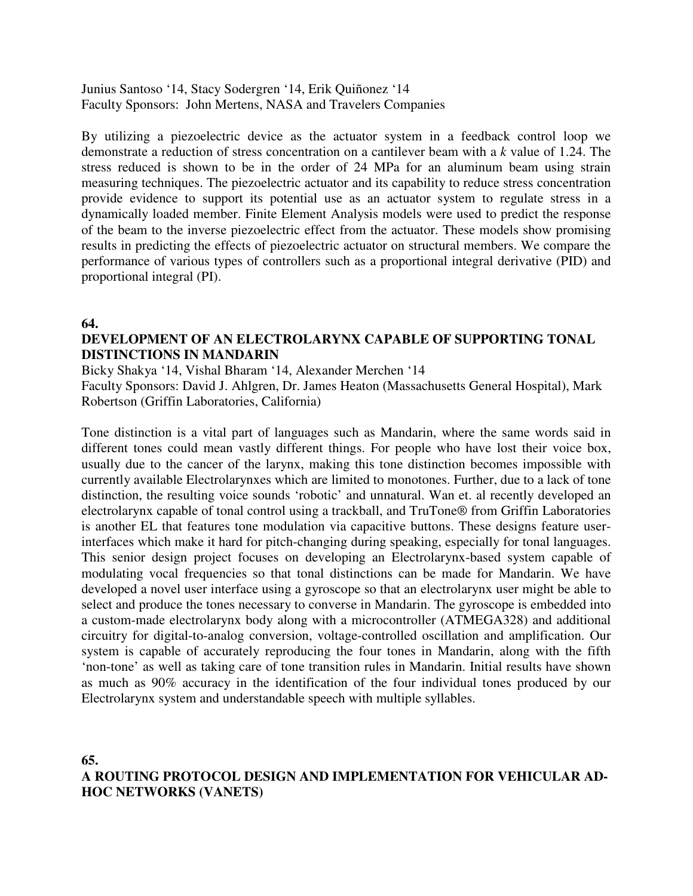Junius Santoso '14, Stacy Sodergren '14, Erik Quiñonez '14 Faculty Sponsors: John Mertens, NASA and Travelers Companies

By utilizing a piezoelectric device as the actuator system in a feedback control loop we demonstrate a reduction of stress concentration on a cantilever beam with a *k* value of 1.24. The stress reduced is shown to be in the order of 24 MPa for an aluminum beam using strain measuring techniques. The piezoelectric actuator and its capability to reduce stress concentration provide evidence to support its potential use as an actuator system to regulate stress in a dynamically loaded member. Finite Element Analysis models were used to predict the response of the beam to the inverse piezoelectric effect from the actuator. These models show promising results in predicting the effects of piezoelectric actuator on structural members. We compare the performance of various types of controllers such as a proportional integral derivative (PID) and proportional integral (PI).

**64.** 

## **DEVELOPMENT OF AN ELECTROLARYNX CAPABLE OF SUPPORTING TONAL DISTINCTIONS IN MANDARIN**

Bicky Shakya '14, Vishal Bharam '14, Alexander Merchen '14 Faculty Sponsors: David J. Ahlgren, Dr. James Heaton (Massachusetts General Hospital), Mark Robertson (Griffin Laboratories, California)

Tone distinction is a vital part of languages such as Mandarin, where the same words said in different tones could mean vastly different things. For people who have lost their voice box, usually due to the cancer of the larynx, making this tone distinction becomes impossible with currently available Electrolarynxes which are limited to monotones. Further, due to a lack of tone distinction, the resulting voice sounds 'robotic' and unnatural. Wan et. al recently developed an electrolarynx capable of tonal control using a trackball, and TruTone® from Griffin Laboratories is another EL that features tone modulation via capacitive buttons. These designs feature userinterfaces which make it hard for pitch-changing during speaking, especially for tonal languages. This senior design project focuses on developing an Electrolarynx-based system capable of modulating vocal frequencies so that tonal distinctions can be made for Mandarin. We have developed a novel user interface using a gyroscope so that an electrolarynx user might be able to select and produce the tones necessary to converse in Mandarin. The gyroscope is embedded into a custom-made electrolarynx body along with a microcontroller (ATMEGA328) and additional circuitry for digital-to-analog conversion, voltage-controlled oscillation and amplification. Our system is capable of accurately reproducing the four tones in Mandarin, along with the fifth 'non-tone' as well as taking care of tone transition rules in Mandarin. Initial results have shown as much as 90% accuracy in the identification of the four individual tones produced by our Electrolarynx system and understandable speech with multiple syllables.

**65.** 

# **A ROUTING PROTOCOL DESIGN AND IMPLEMENTATION FOR VEHICULAR AD-HOC NETWORKS (VANETS)**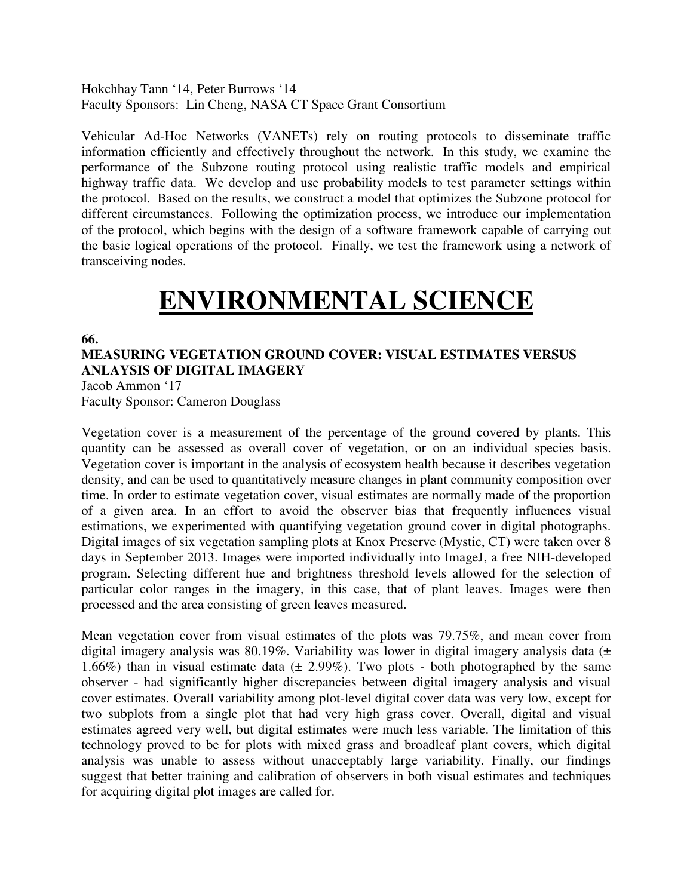Hokchhay Tann '14, Peter Burrows '14 Faculty Sponsors: Lin Cheng, NASA CT Space Grant Consortium

Vehicular Ad-Hoc Networks (VANETs) rely on routing protocols to disseminate traffic information efficiently and effectively throughout the network. In this study, we examine the performance of the Subzone routing protocol using realistic traffic models and empirical highway traffic data. We develop and use probability models to test parameter settings within the protocol. Based on the results, we construct a model that optimizes the Subzone protocol for different circumstances. Following the optimization process, we introduce our implementation of the protocol, which begins with the design of a software framework capable of carrying out the basic logical operations of the protocol. Finally, we test the framework using a network of transceiving nodes.

# **ENVIRONMENTAL SCIENCE**

**66.** 

**MEASURING VEGETATION GROUND COVER: VISUAL ESTIMATES VERSUS ANLAYSIS OF DIGITAL IMAGERY** 

Jacob Ammon '17 Faculty Sponsor: Cameron Douglass

Vegetation cover is a measurement of the percentage of the ground covered by plants. This quantity can be assessed as overall cover of vegetation, or on an individual species basis. Vegetation cover is important in the analysis of ecosystem health because it describes vegetation density, and can be used to quantitatively measure changes in plant community composition over time. In order to estimate vegetation cover, visual estimates are normally made of the proportion of a given area. In an effort to avoid the observer bias that frequently influences visual estimations, we experimented with quantifying vegetation ground cover in digital photographs. Digital images of six vegetation sampling plots at Knox Preserve (Mystic, CT) were taken over 8 days in September 2013. Images were imported individually into ImageJ, a free NIH-developed program. Selecting different hue and brightness threshold levels allowed for the selection of particular color ranges in the imagery, in this case, that of plant leaves. Images were then processed and the area consisting of green leaves measured.

Mean vegetation cover from visual estimates of the plots was 79.75%, and mean cover from digital imagery analysis was 80.19%. Variability was lower in digital imagery analysis data (± 1.66%) than in visual estimate data  $(\pm 2.99\%)$ . Two plots - both photographed by the same observer - had significantly higher discrepancies between digital imagery analysis and visual cover estimates. Overall variability among plot-level digital cover data was very low, except for two subplots from a single plot that had very high grass cover. Overall, digital and visual estimates agreed very well, but digital estimates were much less variable. The limitation of this technology proved to be for plots with mixed grass and broadleaf plant covers, which digital analysis was unable to assess without unacceptably large variability. Finally, our findings suggest that better training and calibration of observers in both visual estimates and techniques for acquiring digital plot images are called for.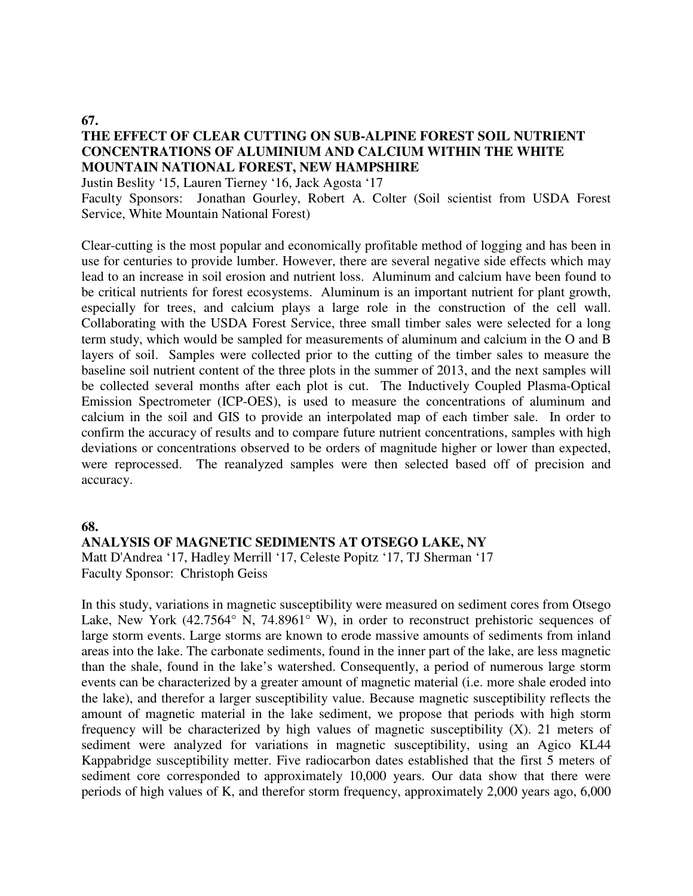#### **67.**

## **THE EFFECT OF CLEAR CUTTING ON SUB-ALPINE FOREST SOIL NUTRIENT CONCENTRATIONS OF ALUMINIUM AND CALCIUM WITHIN THE WHITE MOUNTAIN NATIONAL FOREST, NEW HAMPSHIRE**

Justin Beslity '15, Lauren Tierney '16, Jack Agosta '17

Faculty Sponsors: Jonathan Gourley, Robert A. Colter (Soil scientist from USDA Forest Service, White Mountain National Forest)

Clear-cutting is the most popular and economically profitable method of logging and has been in use for centuries to provide lumber. However, there are several negative side effects which may lead to an increase in soil erosion and nutrient loss. Aluminum and calcium have been found to be critical nutrients for forest ecosystems. Aluminum is an important nutrient for plant growth, especially for trees, and calcium plays a large role in the construction of the cell wall. Collaborating with the USDA Forest Service, three small timber sales were selected for a long term study, which would be sampled for measurements of aluminum and calcium in the O and B layers of soil. Samples were collected prior to the cutting of the timber sales to measure the baseline soil nutrient content of the three plots in the summer of 2013, and the next samples will be collected several months after each plot is cut. The Inductively Coupled Plasma-Optical Emission Spectrometer (ICP-OES), is used to measure the concentrations of aluminum and calcium in the soil and GIS to provide an interpolated map of each timber sale. In order to confirm the accuracy of results and to compare future nutrient concentrations, samples with high deviations or concentrations observed to be orders of magnitude higher or lower than expected, were reprocessed. The reanalyzed samples were then selected based off of precision and accuracy.

#### **68.**

# **ANALYSIS OF MAGNETIC SEDIMENTS AT OTSEGO LAKE, NY**

Matt D'Andrea '17, Hadley Merrill '17, Celeste Popitz '17, TJ Sherman '17 Faculty Sponsor: Christoph Geiss

In this study, variations in magnetic susceptibility were measured on sediment cores from Otsego Lake, New York (42.7564° N, 74.8961° W), in order to reconstruct prehistoric sequences of large storm events. Large storms are known to erode massive amounts of sediments from inland areas into the lake. The carbonate sediments, found in the inner part of the lake, are less magnetic than the shale, found in the lake's watershed. Consequently, a period of numerous large storm events can be characterized by a greater amount of magnetic material (i.e. more shale eroded into the lake), and therefor a larger susceptibility value. Because magnetic susceptibility reflects the amount of magnetic material in the lake sediment, we propose that periods with high storm frequency will be characterized by high values of magnetic susceptibility (Χ). 21 meters of sediment were analyzed for variations in magnetic susceptibility, using an Agico KL44 Kappabridge susceptibility metter. Five radiocarbon dates established that the first 5 meters of sediment core corresponded to approximately 10,000 years. Our data show that there were periods of high values of K, and therefor storm frequency, approximately 2,000 years ago, 6,000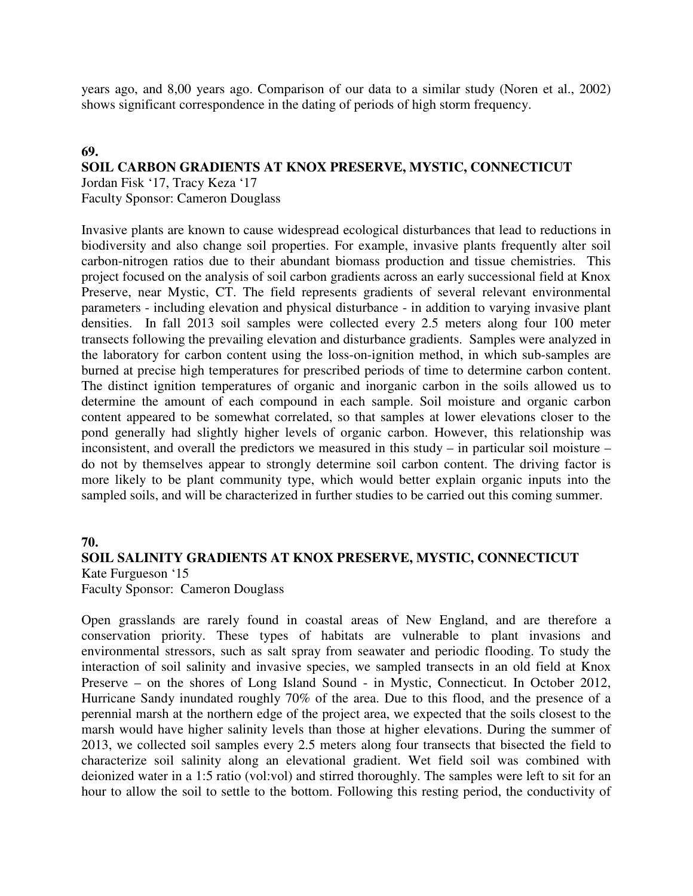years ago, and 8,00 years ago. Comparison of our data to a similar study (Noren et al., 2002) shows significant correspondence in the dating of periods of high storm frequency.

### **69.**

## **SOIL CARBON GRADIENTS AT KNOX PRESERVE, MYSTIC, CONNECTICUT**

Jordan Fisk '17, Tracy Keza '17

Faculty Sponsor: Cameron Douglass

Invasive plants are known to cause widespread ecological disturbances that lead to reductions in biodiversity and also change soil properties. For example, invasive plants frequently alter soil carbon-nitrogen ratios due to their abundant biomass production and tissue chemistries. This project focused on the analysis of soil carbon gradients across an early successional field at Knox Preserve, near Mystic, CT. The field represents gradients of several relevant environmental parameters - including elevation and physical disturbance - in addition to varying invasive plant densities. In fall 2013 soil samples were collected every 2.5 meters along four 100 meter transects following the prevailing elevation and disturbance gradients. Samples were analyzed in the laboratory for carbon content using the loss-on-ignition method, in which sub-samples are burned at precise high temperatures for prescribed periods of time to determine carbon content. The distinct ignition temperatures of organic and inorganic carbon in the soils allowed us to determine the amount of each compound in each sample. Soil moisture and organic carbon content appeared to be somewhat correlated, so that samples at lower elevations closer to the pond generally had slightly higher levels of organic carbon. However, this relationship was inconsistent, and overall the predictors we measured in this study – in particular soil moisture – do not by themselves appear to strongly determine soil carbon content. The driving factor is more likely to be plant community type, which would better explain organic inputs into the sampled soils, and will be characterized in further studies to be carried out this coming summer.

#### **70.**

#### **SOIL SALINITY GRADIENTS AT KNOX PRESERVE, MYSTIC, CONNECTICUT**  Kate Furgueson '15

Faculty Sponsor: Cameron Douglass

Open grasslands are rarely found in coastal areas of New England, and are therefore a conservation priority. These types of habitats are vulnerable to plant invasions and environmental stressors, such as salt spray from seawater and periodic flooding. To study the interaction of soil salinity and invasive species, we sampled transects in an old field at Knox Preserve – on the shores of Long Island Sound - in Mystic, Connecticut. In October 2012, Hurricane Sandy inundated roughly 70% of the area. Due to this flood, and the presence of a perennial marsh at the northern edge of the project area, we expected that the soils closest to the marsh would have higher salinity levels than those at higher elevations. During the summer of 2013, we collected soil samples every 2.5 meters along four transects that bisected the field to characterize soil salinity along an elevational gradient. Wet field soil was combined with deionized water in a 1:5 ratio (vol:vol) and stirred thoroughly. The samples were left to sit for an hour to allow the soil to settle to the bottom. Following this resting period, the conductivity of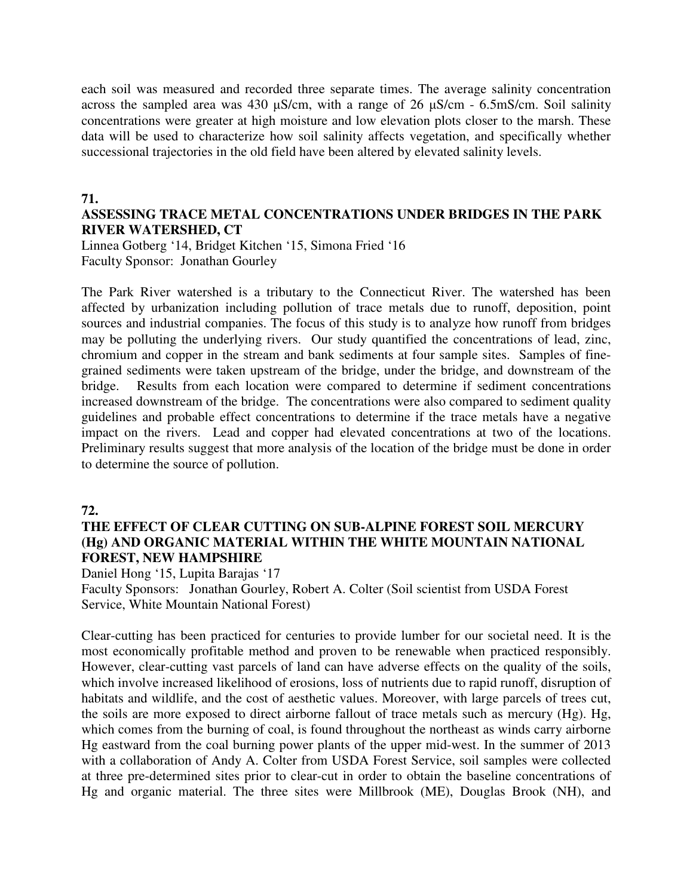each soil was measured and recorded three separate times. The average salinity concentration across the sampled area was 430  $\mu$ S/cm, with a range of 26  $\mu$ S/cm - 6.5mS/cm. Soil salinity concentrations were greater at high moisture and low elevation plots closer to the marsh. These data will be used to characterize how soil salinity affects vegetation, and specifically whether successional trajectories in the old field have been altered by elevated salinity levels.

#### **71.**

## **ASSESSING TRACE METAL CONCENTRATIONS UNDER BRIDGES IN THE PARK RIVER WATERSHED, CT**

Linnea Gotberg '14, Bridget Kitchen '15, Simona Fried '16 Faculty Sponsor: Jonathan Gourley

The Park River watershed is a tributary to the Connecticut River. The watershed has been affected by urbanization including pollution of trace metals due to runoff, deposition, point sources and industrial companies. The focus of this study is to analyze how runoff from bridges may be polluting the underlying rivers. Our study quantified the concentrations of lead, zinc, chromium and copper in the stream and bank sediments at four sample sites. Samples of finegrained sediments were taken upstream of the bridge, under the bridge, and downstream of the bridge. Results from each location were compared to determine if sediment concentrations increased downstream of the bridge. The concentrations were also compared to sediment quality guidelines and probable effect concentrations to determine if the trace metals have a negative impact on the rivers. Lead and copper had elevated concentrations at two of the locations. Preliminary results suggest that more analysis of the location of the bridge must be done in order to determine the source of pollution.

## **72.**

### **THE EFFECT OF CLEAR CUTTING ON SUB-ALPINE FOREST SOIL MERCURY (Hg) AND ORGANIC MATERIAL WITHIN THE WHITE MOUNTAIN NATIONAL FOREST, NEW HAMPSHIRE**

Daniel Hong '15, Lupita Barajas '17

Faculty Sponsors: Jonathan Gourley, Robert A. Colter (Soil scientist from USDA Forest Service, White Mountain National Forest)

Clear-cutting has been practiced for centuries to provide lumber for our societal need. It is the most economically profitable method and proven to be renewable when practiced responsibly. However, clear-cutting vast parcels of land can have adverse effects on the quality of the soils, which involve increased likelihood of erosions, loss of nutrients due to rapid runoff, disruption of habitats and wildlife, and the cost of aesthetic values. Moreover, with large parcels of trees cut, the soils are more exposed to direct airborne fallout of trace metals such as mercury (Hg). Hg, which comes from the burning of coal, is found throughout the northeast as winds carry airborne Hg eastward from the coal burning power plants of the upper mid-west. In the summer of 2013 with a collaboration of Andy A. Colter from USDA Forest Service, soil samples were collected at three pre-determined sites prior to clear-cut in order to obtain the baseline concentrations of Hg and organic material. The three sites were Millbrook (ME), Douglas Brook (NH), and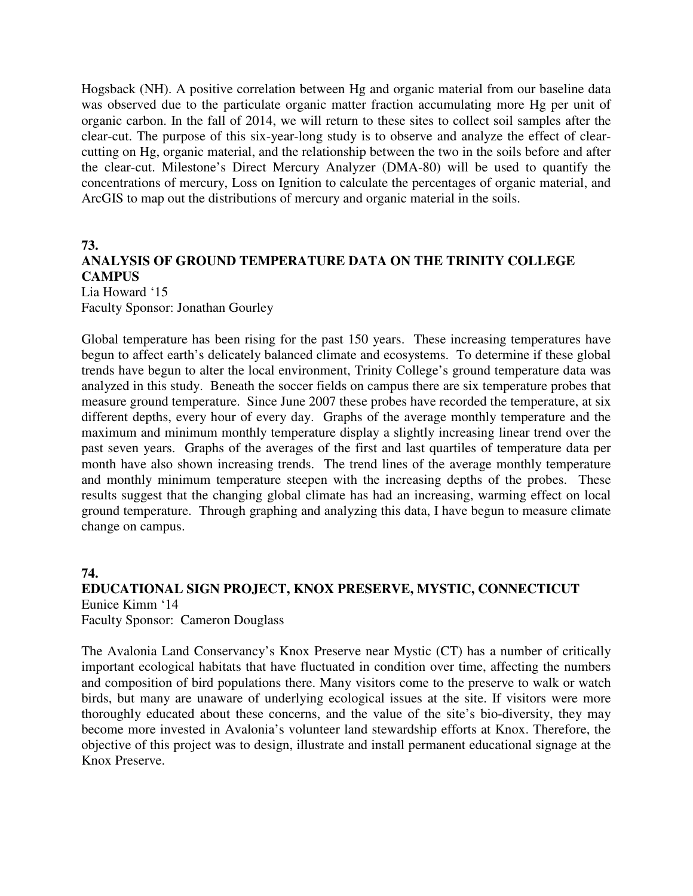Hogsback (NH). A positive correlation between Hg and organic material from our baseline data was observed due to the particulate organic matter fraction accumulating more Hg per unit of organic carbon. In the fall of 2014, we will return to these sites to collect soil samples after the clear-cut. The purpose of this six-year-long study is to observe and analyze the effect of clearcutting on Hg, organic material, and the relationship between the two in the soils before and after the clear-cut. Milestone's Direct Mercury Analyzer (DMA-80) will be used to quantify the concentrations of mercury, Loss on Ignition to calculate the percentages of organic material, and ArcGIS to map out the distributions of mercury and organic material in the soils.

## **73. ANALYSIS OF GROUND TEMPERATURE DATA ON THE TRINITY COLLEGE CAMPUS**  Lia Howard '15

Faculty Sponsor: Jonathan Gourley

Global temperature has been rising for the past 150 years. These increasing temperatures have begun to affect earth's delicately balanced climate and ecosystems. To determine if these global trends have begun to alter the local environment, Trinity College's ground temperature data was analyzed in this study. Beneath the soccer fields on campus there are six temperature probes that measure ground temperature. Since June 2007 these probes have recorded the temperature, at six different depths, every hour of every day. Graphs of the average monthly temperature and the maximum and minimum monthly temperature display a slightly increasing linear trend over the past seven years. Graphs of the averages of the first and last quartiles of temperature data per month have also shown increasing trends. The trend lines of the average monthly temperature and monthly minimum temperature steepen with the increasing depths of the probes. These results suggest that the changing global climate has had an increasing, warming effect on local ground temperature. Through graphing and analyzing this data, I have begun to measure climate change on campus.

### **74.**

# **EDUCATIONAL SIGN PROJECT, KNOX PRESERVE, MYSTIC, CONNECTICUT**  Eunice Kimm '14

Faculty Sponsor: Cameron Douglass

The Avalonia Land Conservancy's Knox Preserve near Mystic (CT) has a number of critically important ecological habitats that have fluctuated in condition over time, affecting the numbers and composition of bird populations there. Many visitors come to the preserve to walk or watch birds, but many are unaware of underlying ecological issues at the site. If visitors were more thoroughly educated about these concerns, and the value of the site's bio-diversity, they may become more invested in Avalonia's volunteer land stewardship efforts at Knox. Therefore, the objective of this project was to design, illustrate and install permanent educational signage at the Knox Preserve.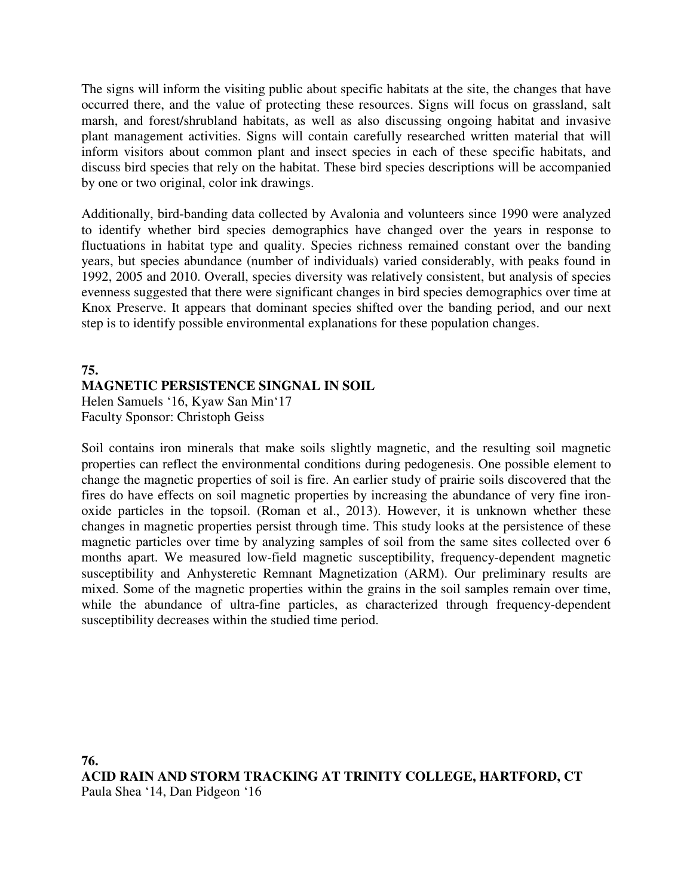The signs will inform the visiting public about specific habitats at the site, the changes that have occurred there, and the value of protecting these resources. Signs will focus on grassland, salt marsh, and forest/shrubland habitats, as well as also discussing ongoing habitat and invasive plant management activities. Signs will contain carefully researched written material that will inform visitors about common plant and insect species in each of these specific habitats, and discuss bird species that rely on the habitat. These bird species descriptions will be accompanied by one or two original, color ink drawings.

Additionally, bird-banding data collected by Avalonia and volunteers since 1990 were analyzed to identify whether bird species demographics have changed over the years in response to fluctuations in habitat type and quality. Species richness remained constant over the banding years, but species abundance (number of individuals) varied considerably, with peaks found in 1992, 2005 and 2010. Overall, species diversity was relatively consistent, but analysis of species evenness suggested that there were significant changes in bird species demographics over time at Knox Preserve. It appears that dominant species shifted over the banding period, and our next step is to identify possible environmental explanations for these population changes.

# **75. MAGNETIC PERSISTENCE SINGNAL IN SOIL**

Helen Samuels '16, Kyaw San Min'17 Faculty Sponsor: Christoph Geiss

Soil contains iron minerals that make soils slightly magnetic, and the resulting soil magnetic properties can reflect the environmental conditions during pedogenesis. One possible element to change the magnetic properties of soil is fire. An earlier study of prairie soils discovered that the fires do have effects on soil magnetic properties by increasing the abundance of very fine ironoxide particles in the topsoil. (Roman et al., 2013). However, it is unknown whether these changes in magnetic properties persist through time. This study looks at the persistence of these magnetic particles over time by analyzing samples of soil from the same sites collected over 6 months apart. We measured low-field magnetic susceptibility, frequency-dependent magnetic susceptibility and Anhysteretic Remnant Magnetization (ARM). Our preliminary results are mixed. Some of the magnetic properties within the grains in the soil samples remain over time, while the abundance of ultra-fine particles, as characterized through frequency-dependent susceptibility decreases within the studied time period.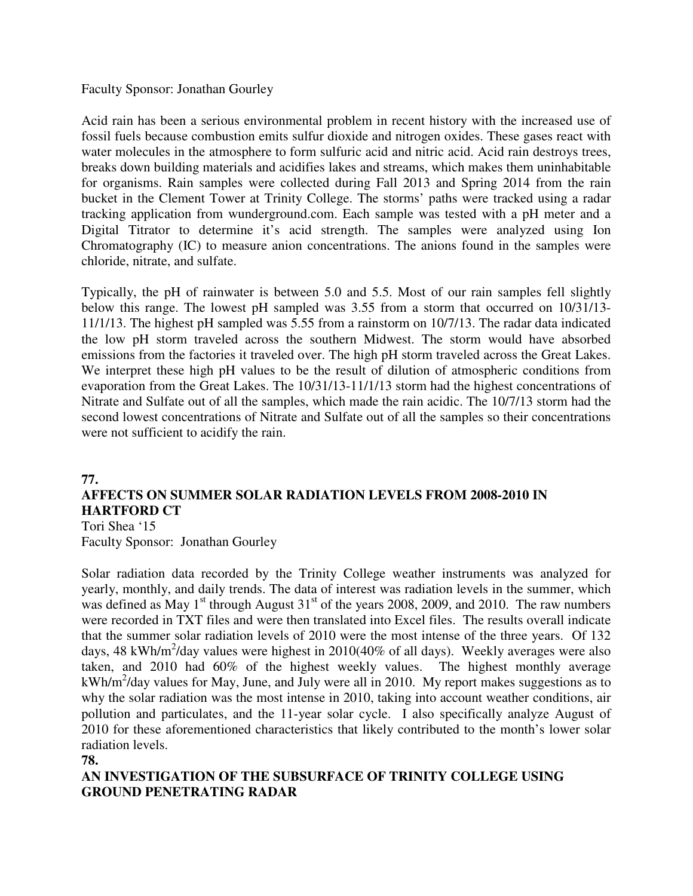Faculty Sponsor: Jonathan Gourley

Acid rain has been a serious environmental problem in recent history with the increased use of fossil fuels because combustion emits sulfur dioxide and nitrogen oxides. These gases react with water molecules in the atmosphere to form sulfuric acid and nitric acid. Acid rain destroys trees, breaks down building materials and acidifies lakes and streams, which makes them uninhabitable for organisms. Rain samples were collected during Fall 2013 and Spring 2014 from the rain bucket in the Clement Tower at Trinity College. The storms' paths were tracked using a radar tracking application from wunderground.com. Each sample was tested with a pH meter and a Digital Titrator to determine it's acid strength. The samples were analyzed using Ion Chromatography (IC) to measure anion concentrations. The anions found in the samples were chloride, nitrate, and sulfate.

Typically, the pH of rainwater is between 5.0 and 5.5. Most of our rain samples fell slightly below this range. The lowest pH sampled was 3.55 from a storm that occurred on 10/31/13- 11/1/13. The highest pH sampled was 5.55 from a rainstorm on 10/7/13. The radar data indicated the low pH storm traveled across the southern Midwest. The storm would have absorbed emissions from the factories it traveled over. The high pH storm traveled across the Great Lakes. We interpret these high pH values to be the result of dilution of atmospheric conditions from evaporation from the Great Lakes. The 10/31/13-11/1/13 storm had the highest concentrations of Nitrate and Sulfate out of all the samples, which made the rain acidic. The 10/7/13 storm had the second lowest concentrations of Nitrate and Sulfate out of all the samples so their concentrations were not sufficient to acidify the rain.

# **77. AFFECTS ON SUMMER SOLAR RADIATION LEVELS FROM 2008-2010 IN HARTFORD CT**

Tori Shea '15 Faculty Sponsor: Jonathan Gourley

Solar radiation data recorded by the Trinity College weather instruments was analyzed for yearly, monthly, and daily trends. The data of interest was radiation levels in the summer, which was defined as May  $1<sup>st</sup>$  through August  $31<sup>st</sup>$  of the years 2008, 2009, and 2010. The raw numbers were recorded in TXT files and were then translated into Excel files. The results overall indicate that the summer solar radiation levels of 2010 were the most intense of the three years. Of 132 days, 48 kWh/m<sup>2</sup>/day values were highest in 2010(40% of all days). Weekly averages were also taken, and 2010 had 60% of the highest weekly values. The highest monthly average  $kWh/m<sup>2</sup>/day$  values for May, June, and July were all in 2010. My report makes suggestions as to why the solar radiation was the most intense in 2010, taking into account weather conditions, air pollution and particulates, and the 11-year solar cycle. I also specifically analyze August of 2010 for these aforementioned characteristics that likely contributed to the month's lower solar radiation levels.

**78.** 

# **AN INVESTIGATION OF THE SUBSURFACE OF TRINITY COLLEGE USING GROUND PENETRATING RADAR**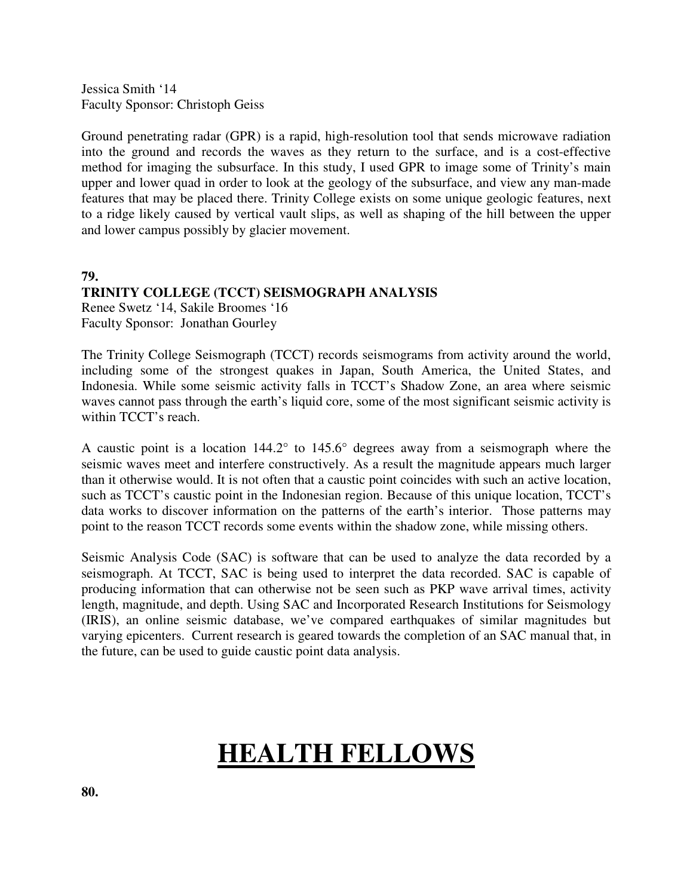Jessica Smith '14 Faculty Sponsor: Christoph Geiss

Ground penetrating radar (GPR) is a rapid, high-resolution tool that sends microwave radiation into the ground and records the waves as they return to the surface, and is a cost-effective method for imaging the subsurface. In this study, I used GPR to image some of Trinity's main upper and lower quad in order to look at the geology of the subsurface, and view any man-made features that may be placed there. Trinity College exists on some unique geologic features, next to a ridge likely caused by vertical vault slips, as well as shaping of the hill between the upper and lower campus possibly by glacier movement.

**79.** 

## **TRINITY COLLEGE (TCCT) SEISMOGRAPH ANALYSIS**

Renee Swetz '14, Sakile Broomes '16 Faculty Sponsor: Jonathan Gourley

The Trinity College Seismograph (TCCT) records seismograms from activity around the world, including some of the strongest quakes in Japan, South America, the United States, and Indonesia. While some seismic activity falls in TCCT's Shadow Zone, an area where seismic waves cannot pass through the earth's liquid core, some of the most significant seismic activity is within TCCT's reach.

A caustic point is a location 144.2° to 145.6° degrees away from a seismograph where the seismic waves meet and interfere constructively. As a result the magnitude appears much larger than it otherwise would. It is not often that a caustic point coincides with such an active location, such as TCCT's caustic point in the Indonesian region. Because of this unique location, TCCT's data works to discover information on the patterns of the earth's interior. Those patterns may point to the reason TCCT records some events within the shadow zone, while missing others.

Seismic Analysis Code (SAC) is software that can be used to analyze the data recorded by a seismograph. At TCCT, SAC is being used to interpret the data recorded. SAC is capable of producing information that can otherwise not be seen such as PKP wave arrival times, activity length, magnitude, and depth. Using SAC and Incorporated Research Institutions for Seismology (IRIS), an online seismic database, we've compared earthquakes of similar magnitudes but varying epicenters. Current research is geared towards the completion of an SAC manual that, in the future, can be used to guide caustic point data analysis.

# **HEALTH FELLOWS**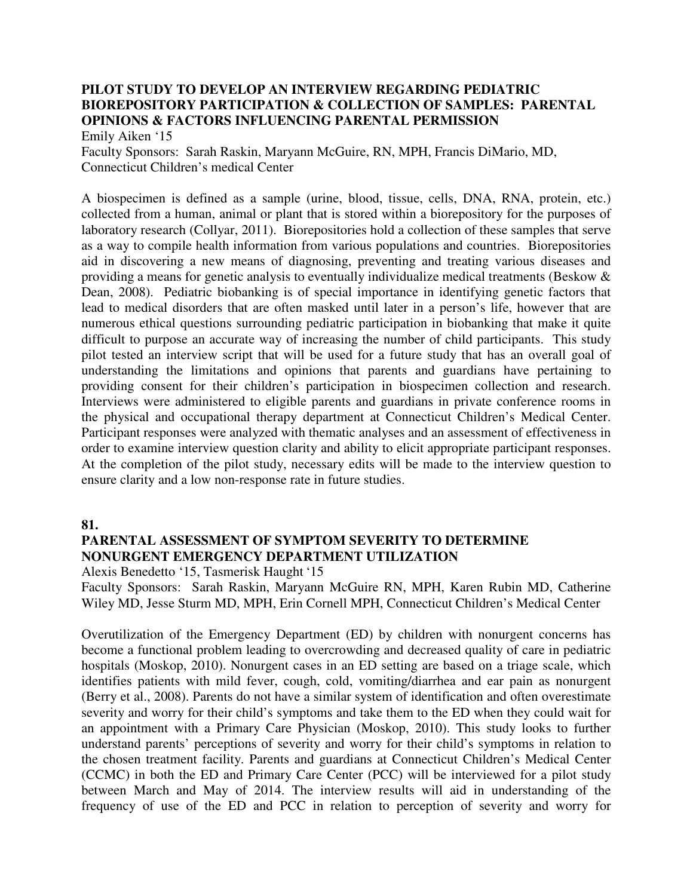# **PILOT STUDY TO DEVELOP AN INTERVIEW REGARDING PEDIATRIC BIOREPOSITORY PARTICIPATION & COLLECTION OF SAMPLES: PARENTAL OPINIONS & FACTORS INFLUENCING PARENTAL PERMISSION**

Emily Aiken '15 Faculty Sponsors: Sarah Raskin, Maryann McGuire, RN, MPH, Francis DiMario, MD, Connecticut Children's medical Center

A biospecimen is defined as a sample (urine, blood, tissue, cells, DNA, RNA, protein, etc.) collected from a human, animal or plant that is stored within a biorepository for the purposes of laboratory research (Collyar, 2011). Biorepositories hold a collection of these samples that serve as a way to compile health information from various populations and countries. Biorepositories aid in discovering a new means of diagnosing, preventing and treating various diseases and providing a means for genetic analysis to eventually individualize medical treatments (Beskow & Dean, 2008). Pediatric biobanking is of special importance in identifying genetic factors that lead to medical disorders that are often masked until later in a person's life, however that are numerous ethical questions surrounding pediatric participation in biobanking that make it quite difficult to purpose an accurate way of increasing the number of child participants. This study pilot tested an interview script that will be used for a future study that has an overall goal of understanding the limitations and opinions that parents and guardians have pertaining to providing consent for their children's participation in biospecimen collection and research. Interviews were administered to eligible parents and guardians in private conference rooms in the physical and occupational therapy department at Connecticut Children's Medical Center. Participant responses were analyzed with thematic analyses and an assessment of effectiveness in order to examine interview question clarity and ability to elicit appropriate participant responses. At the completion of the pilot study, necessary edits will be made to the interview question to ensure clarity and a low non-response rate in future studies.

**81.** 

# **PARENTAL ASSESSMENT OF SYMPTOM SEVERITY TO DETERMINE NONURGENT EMERGENCY DEPARTMENT UTILIZATION**

Alexis Benedetto '15, Tasmerisk Haught '15

Faculty Sponsors: Sarah Raskin, Maryann McGuire RN, MPH, Karen Rubin MD, Catherine Wiley MD, Jesse Sturm MD, MPH, Erin Cornell MPH, Connecticut Children's Medical Center

Overutilization of the Emergency Department (ED) by children with nonurgent concerns has become a functional problem leading to overcrowding and decreased quality of care in pediatric hospitals (Moskop, 2010). Nonurgent cases in an ED setting are based on a triage scale, which identifies patients with mild fever, cough, cold, vomiting/diarrhea and ear pain as nonurgent (Berry et al., 2008). Parents do not have a similar system of identification and often overestimate severity and worry for their child's symptoms and take them to the ED when they could wait for an appointment with a Primary Care Physician (Moskop, 2010). This study looks to further understand parents' perceptions of severity and worry for their child's symptoms in relation to the chosen treatment facility. Parents and guardians at Connecticut Children's Medical Center (CCMC) in both the ED and Primary Care Center (PCC) will be interviewed for a pilot study between March and May of 2014. The interview results will aid in understanding of the frequency of use of the ED and PCC in relation to perception of severity and worry for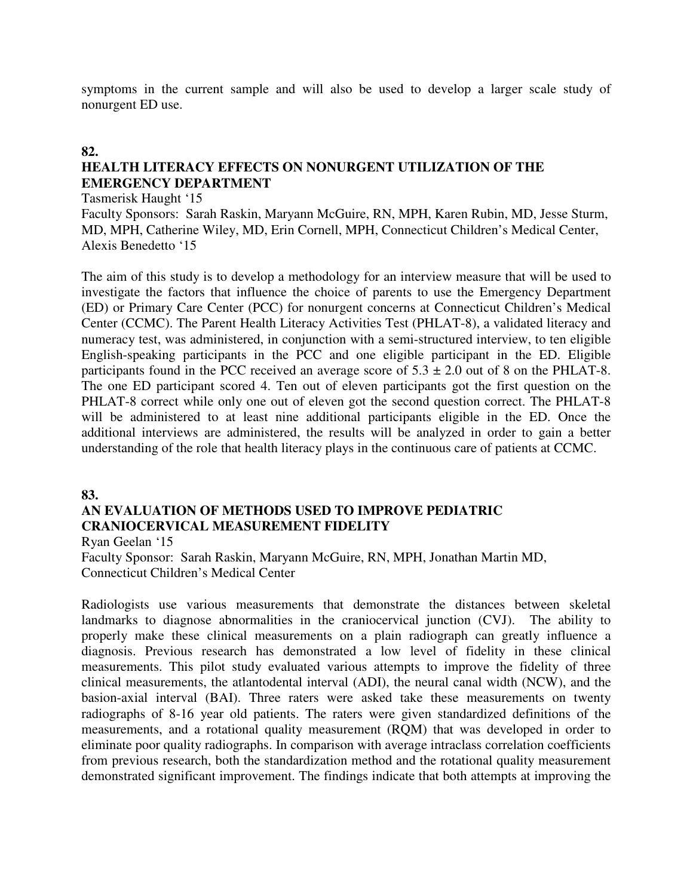symptoms in the current sample and will also be used to develop a larger scale study of nonurgent ED use.

#### **82.**

# **HEALTH LITERACY EFFECTS ON NONURGENT UTILIZATION OF THE EMERGENCY DEPARTMENT**

Tasmerisk Haught '15

Faculty Sponsors: Sarah Raskin, Maryann McGuire, RN, MPH, Karen Rubin, MD, Jesse Sturm, MD, MPH, Catherine Wiley, MD, Erin Cornell, MPH, Connecticut Children's Medical Center, Alexis Benedetto '15

The aim of this study is to develop a methodology for an interview measure that will be used to investigate the factors that influence the choice of parents to use the Emergency Department (ED) or Primary Care Center (PCC) for nonurgent concerns at Connecticut Children's Medical Center (CCMC). The Parent Health Literacy Activities Test (PHLAT-8), a validated literacy and numeracy test, was administered, in conjunction with a semi-structured interview, to ten eligible English-speaking participants in the PCC and one eligible participant in the ED. Eligible participants found in the PCC received an average score of  $5.3 \pm 2.0$  out of 8 on the PHLAT-8. The one ED participant scored 4. Ten out of eleven participants got the first question on the PHLAT-8 correct while only one out of eleven got the second question correct. The PHLAT-8 will be administered to at least nine additional participants eligible in the ED. Once the additional interviews are administered, the results will be analyzed in order to gain a better understanding of the role that health literacy plays in the continuous care of patients at CCMC.

#### **83.**

## **AN EVALUATION OF METHODS USED TO IMPROVE PEDIATRIC CRANIOCERVICAL MEASUREMENT FIDELITY**

Ryan Geelan '15

Faculty Sponsor: Sarah Raskin, Maryann McGuire, RN, MPH, Jonathan Martin MD, Connecticut Children's Medical Center

Radiologists use various measurements that demonstrate the distances between skeletal landmarks to diagnose abnormalities in the craniocervical junction (CVJ). The ability to properly make these clinical measurements on a plain radiograph can greatly influence a diagnosis. Previous research has demonstrated a low level of fidelity in these clinical measurements. This pilot study evaluated various attempts to improve the fidelity of three clinical measurements, the atlantodental interval (ADI), the neural canal width (NCW), and the basion-axial interval (BAI). Three raters were asked take these measurements on twenty radiographs of 8-16 year old patients. The raters were given standardized definitions of the measurements, and a rotational quality measurement (RQM) that was developed in order to eliminate poor quality radiographs. In comparison with average intraclass correlation coefficients from previous research, both the standardization method and the rotational quality measurement demonstrated significant improvement. The findings indicate that both attempts at improving the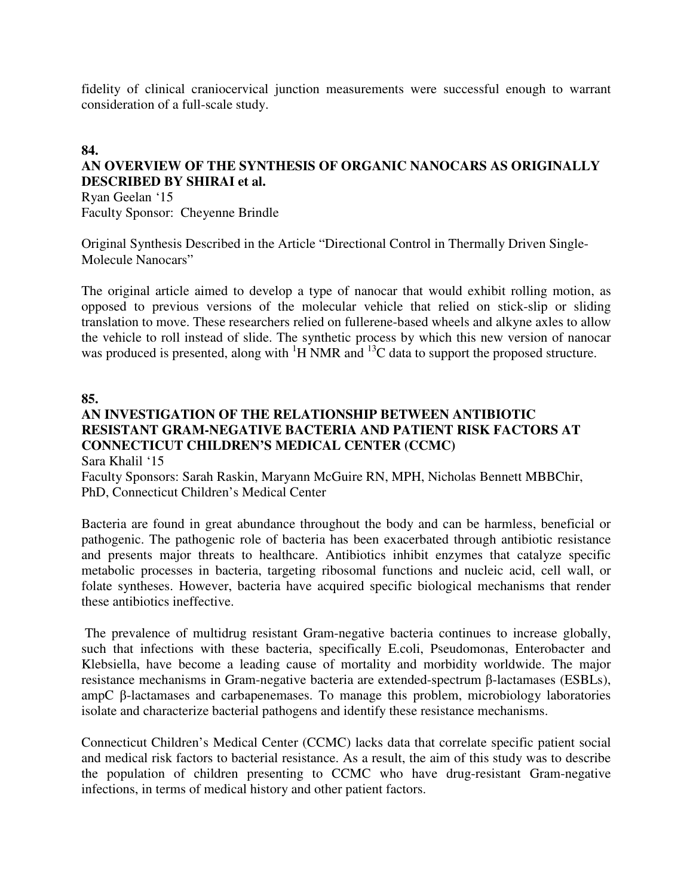fidelity of clinical craniocervical junction measurements were successful enough to warrant consideration of a full-scale study.

## **84.**

# **AN OVERVIEW OF THE SYNTHESIS OF ORGANIC NANOCARS AS ORIGINALLY DESCRIBED BY SHIRAI et al.**

Ryan Geelan '15 Faculty Sponsor: Cheyenne Brindle

Original Synthesis Described in the Article "Directional Control in Thermally Driven Single-Molecule Nanocars"

The original article aimed to develop a type of nanocar that would exhibit rolling motion, as opposed to previous versions of the molecular vehicle that relied on stick-slip or sliding translation to move. These researchers relied on fullerene-based wheels and alkyne axles to allow the vehicle to roll instead of slide. The synthetic process by which this new version of nanocar was produced is presented, along with  ${}^{1}$ H NMR and  ${}^{13}$ C data to support the proposed structure.

#### **85.**

## **AN INVESTIGATION OF THE RELATIONSHIP BETWEEN ANTIBIOTIC RESISTANT GRAM-NEGATIVE BACTERIA AND PATIENT RISK FACTORS AT CONNECTICUT CHILDREN'S MEDICAL CENTER (CCMC)**  Sara Khalil '15

Faculty Sponsors: Sarah Raskin, Maryann McGuire RN, MPH, Nicholas Bennett MBBChir, PhD, Connecticut Children's Medical Center

Bacteria are found in great abundance throughout the body and can be harmless, beneficial or pathogenic. The pathogenic role of bacteria has been exacerbated through antibiotic resistance and presents major threats to healthcare. Antibiotics inhibit enzymes that catalyze specific metabolic processes in bacteria, targeting ribosomal functions and nucleic acid, cell wall, or folate syntheses. However, bacteria have acquired specific biological mechanisms that render these antibiotics ineffective.

 The prevalence of multidrug resistant Gram-negative bacteria continues to increase globally, such that infections with these bacteria, specifically E.coli, Pseudomonas, Enterobacter and Klebsiella, have become a leading cause of mortality and morbidity worldwide. The major resistance mechanisms in Gram-negative bacteria are extended-spectrum β-lactamases (ESBLs), ampC β-lactamases and carbapenemases. To manage this problem, microbiology laboratories isolate and characterize bacterial pathogens and identify these resistance mechanisms.

Connecticut Children's Medical Center (CCMC) lacks data that correlate specific patient social and medical risk factors to bacterial resistance. As a result, the aim of this study was to describe the population of children presenting to CCMC who have drug-resistant Gram-negative infections, in terms of medical history and other patient factors.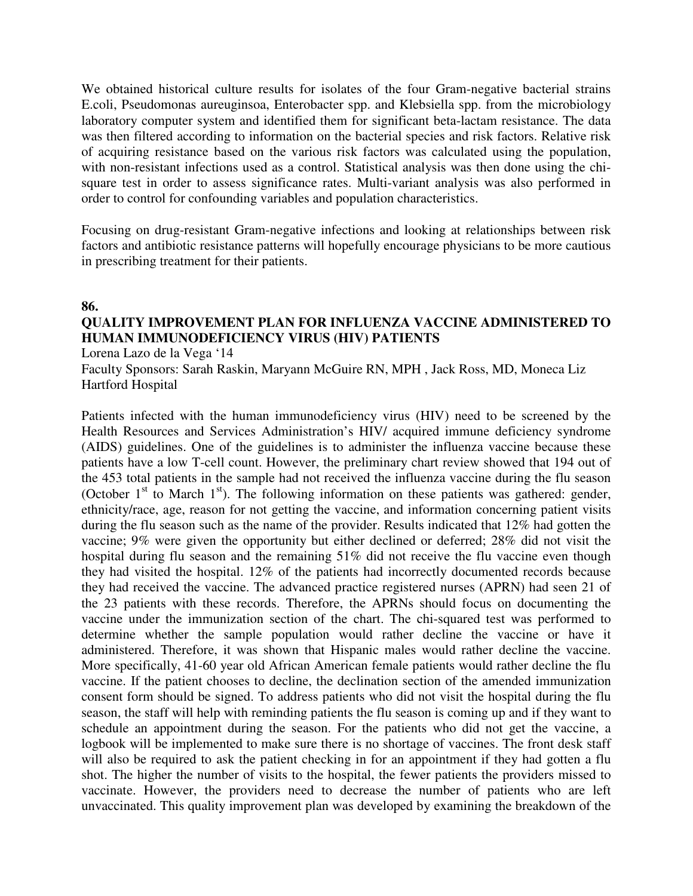We obtained historical culture results for isolates of the four Gram-negative bacterial strains E.coli, Pseudomonas aureuginsoa, Enterobacter spp. and Klebsiella spp. from the microbiology laboratory computer system and identified them for significant beta-lactam resistance. The data was then filtered according to information on the bacterial species and risk factors. Relative risk of acquiring resistance based on the various risk factors was calculated using the population, with non-resistant infections used as a control. Statistical analysis was then done using the chisquare test in order to assess significance rates. Multi-variant analysis was also performed in order to control for confounding variables and population characteristics.

Focusing on drug-resistant Gram-negative infections and looking at relationships between risk factors and antibiotic resistance patterns will hopefully encourage physicians to be more cautious in prescribing treatment for their patients.

#### **86.**

# **QUALITY IMPROVEMENT PLAN FOR INFLUENZA VACCINE ADMINISTERED TO HUMAN IMMUNODEFICIENCY VIRUS (HIV) PATIENTS**

Lorena Lazo de la Vega '14

Faculty Sponsors: Sarah Raskin, Maryann McGuire RN, MPH , Jack Ross, MD, Moneca Liz Hartford Hospital

Patients infected with the human immunodeficiency virus (HIV) need to be screened by the Health Resources and Services Administration's HIV/ acquired immune deficiency syndrome (AIDS) guidelines. One of the guidelines is to administer the influenza vaccine because these patients have a low T-cell count. However, the preliminary chart review showed that 194 out of the 453 total patients in the sample had not received the influenza vaccine during the flu season (October  $1<sup>st</sup>$  to March  $1<sup>st</sup>$ ). The following information on these patients was gathered: gender, ethnicity/race, age, reason for not getting the vaccine, and information concerning patient visits during the flu season such as the name of the provider. Results indicated that 12% had gotten the vaccine; 9% were given the opportunity but either declined or deferred; 28% did not visit the hospital during flu season and the remaining 51% did not receive the flu vaccine even though they had visited the hospital. 12% of the patients had incorrectly documented records because they had received the vaccine. The advanced practice registered nurses (APRN) had seen 21 of the 23 patients with these records. Therefore, the APRNs should focus on documenting the vaccine under the immunization section of the chart. The chi-squared test was performed to determine whether the sample population would rather decline the vaccine or have it administered. Therefore, it was shown that Hispanic males would rather decline the vaccine. More specifically, 41-60 year old African American female patients would rather decline the flu vaccine. If the patient chooses to decline, the declination section of the amended immunization consent form should be signed. To address patients who did not visit the hospital during the flu season, the staff will help with reminding patients the flu season is coming up and if they want to schedule an appointment during the season. For the patients who did not get the vaccine, a logbook will be implemented to make sure there is no shortage of vaccines. The front desk staff will also be required to ask the patient checking in for an appointment if they had gotten a flu shot. The higher the number of visits to the hospital, the fewer patients the providers missed to vaccinate. However, the providers need to decrease the number of patients who are left unvaccinated. This quality improvement plan was developed by examining the breakdown of the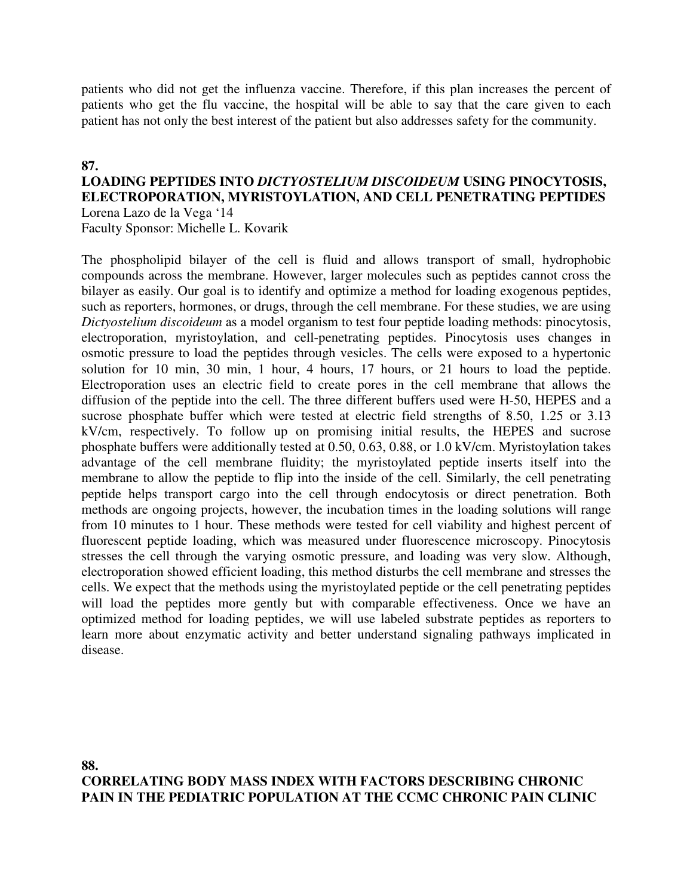patients who did not get the influenza vaccine. Therefore, if this plan increases the percent of patients who get the flu vaccine, the hospital will be able to say that the care given to each patient has not only the best interest of the patient but also addresses safety for the community.

#### **87.**

#### **LOADING PEPTIDES INTO** *DICTYOSTELIUM DISCOIDEUM* **USING PINOCYTOSIS, ELECTROPORATION, MYRISTOYLATION, AND CELL PENETRATING PEPTIDES**  Lorena Lazo de la Vega '14

Faculty Sponsor: Michelle L. Kovarik

The phospholipid bilayer of the cell is fluid and allows transport of small, hydrophobic compounds across the membrane. However, larger molecules such as peptides cannot cross the bilayer as easily. Our goal is to identify and optimize a method for loading exogenous peptides, such as reporters, hormones, or drugs, through the cell membrane. For these studies, we are using *Dictyostelium discoideum* as a model organism to test four peptide loading methods: pinocytosis, electroporation, myristoylation, and cell-penetrating peptides. Pinocytosis uses changes in osmotic pressure to load the peptides through vesicles. The cells were exposed to a hypertonic solution for 10 min, 30 min, 1 hour, 4 hours, 17 hours, or 21 hours to load the peptide. Electroporation uses an electric field to create pores in the cell membrane that allows the diffusion of the peptide into the cell. The three different buffers used were H-50, HEPES and a sucrose phosphate buffer which were tested at electric field strengths of 8.50, 1.25 or 3.13 kV/cm, respectively. To follow up on promising initial results, the HEPES and sucrose phosphate buffers were additionally tested at 0.50, 0.63, 0.88, or 1.0 kV/cm. Myristoylation takes advantage of the cell membrane fluidity; the myristoylated peptide inserts itself into the membrane to allow the peptide to flip into the inside of the cell. Similarly, the cell penetrating peptide helps transport cargo into the cell through endocytosis or direct penetration. Both methods are ongoing projects, however, the incubation times in the loading solutions will range from 10 minutes to 1 hour. These methods were tested for cell viability and highest percent of fluorescent peptide loading, which was measured under fluorescence microscopy. Pinocytosis stresses the cell through the varying osmotic pressure, and loading was very slow. Although, electroporation showed efficient loading, this method disturbs the cell membrane and stresses the cells. We expect that the methods using the myristoylated peptide or the cell penetrating peptides will load the peptides more gently but with comparable effectiveness. Once we have an optimized method for loading peptides, we will use labeled substrate peptides as reporters to learn more about enzymatic activity and better understand signaling pathways implicated in disease.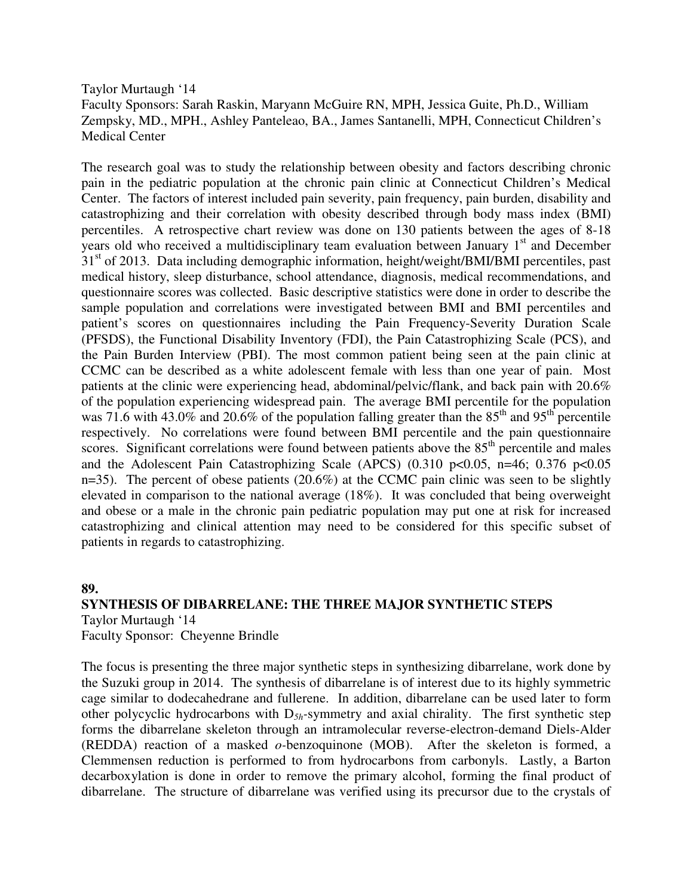Taylor Murtaugh '14 Faculty Sponsors: Sarah Raskin, Maryann McGuire RN, MPH, Jessica Guite, Ph.D., William Zempsky, MD., MPH., Ashley Panteleao, BA., James Santanelli, MPH, Connecticut Children's Medical Center

The research goal was to study the relationship between obesity and factors describing chronic pain in the pediatric population at the chronic pain clinic at Connecticut Children's Medical Center. The factors of interest included pain severity, pain frequency, pain burden, disability and catastrophizing and their correlation with obesity described through body mass index (BMI) percentiles. A retrospective chart review was done on 130 patients between the ages of 8-18 years old who received a multidisciplinary team evaluation between January  $1<sup>st</sup>$  and December 31<sup>st</sup> of 2013. Data including demographic information, height/weight/BMI/BMI percentiles, past medical history, sleep disturbance, school attendance, diagnosis, medical recommendations, and questionnaire scores was collected. Basic descriptive statistics were done in order to describe the sample population and correlations were investigated between BMI and BMI percentiles and patient's scores on questionnaires including the Pain Frequency-Severity Duration Scale (PFSDS), the Functional Disability Inventory (FDI), the Pain Catastrophizing Scale (PCS), and the Pain Burden Interview (PBI). The most common patient being seen at the pain clinic at CCMC can be described as a white adolescent female with less than one year of pain. Most patients at the clinic were experiencing head, abdominal/pelvic/flank, and back pain with 20.6% of the population experiencing widespread pain. The average BMI percentile for the population was 71.6 with 43.0% and 20.6% of the population falling greater than the  $85<sup>th</sup>$  and 95<sup>th</sup> percentile respectively. No correlations were found between BMI percentile and the pain questionnaire scores. Significant correlations were found between patients above the  $85<sup>th</sup>$  percentile and males and the Adolescent Pain Catastrophizing Scale (APCS)  $(0.310 \text{ p} < 0.05, \text{ n} = 46; 0.376 \text{ p} < 0.05)$ n=35). The percent of obese patients  $(20.6\%)$  at the CCMC pain clinic was seen to be slightly elevated in comparison to the national average (18%). It was concluded that being overweight and obese or a male in the chronic pain pediatric population may put one at risk for increased catastrophizing and clinical attention may need to be considered for this specific subset of patients in regards to catastrophizing.

## **89. SYNTHESIS OF DIBARRELANE: THE THREE MAJOR SYNTHETIC STEPS**  Taylor Murtaugh '14

Faculty Sponsor: Cheyenne Brindle

The focus is presenting the three major synthetic steps in synthesizing dibarrelane, work done by the Suzuki group in 2014. The synthesis of dibarrelane is of interest due to its highly symmetric cage similar to dodecahedrane and fullerene. In addition, dibarrelane can be used later to form other polycyclic hydrocarbons with D*5h-*symmetry and axial chirality. The first synthetic step forms the dibarrelane skeleton through an intramolecular reverse-electron-demand Diels-Alder (REDDA) reaction of a masked *o-*benzoquinone (MOB). After the skeleton is formed, a Clemmensen reduction is performed to from hydrocarbons from carbonyls. Lastly, a Barton decarboxylation is done in order to remove the primary alcohol, forming the final product of dibarrelane. The structure of dibarrelane was verified using its precursor due to the crystals of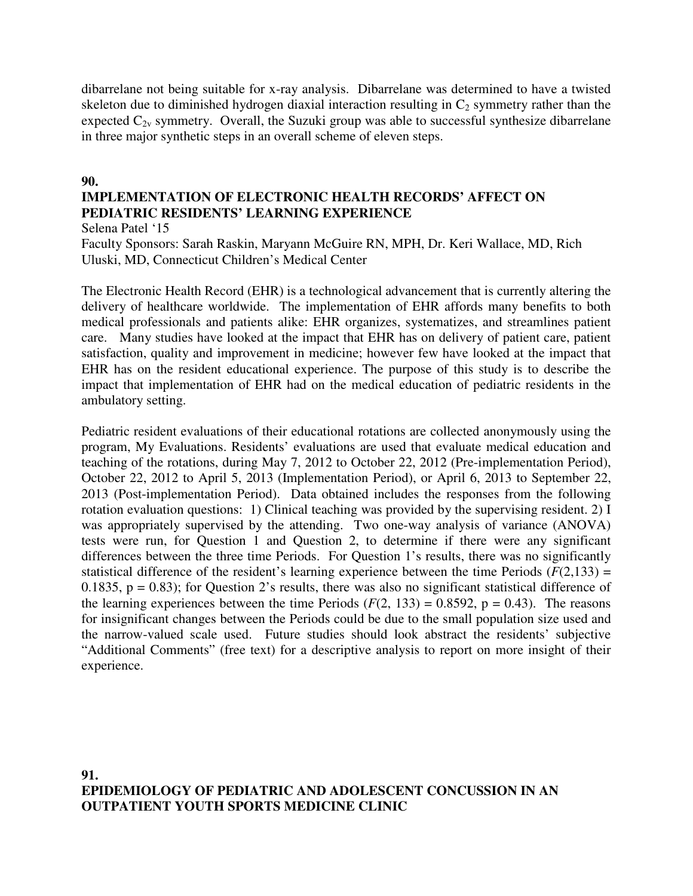dibarrelane not being suitable for x-ray analysis. Dibarrelane was determined to have a twisted skeleton due to diminished hydrogen diaxial interaction resulting in  $C_2$  symmetry rather than the expected  $C_{2v}$  symmetry. Overall, the Suzuki group was able to successful synthesize dibarrelane in three major synthetic steps in an overall scheme of eleven steps.

#### **90.**

# **IMPLEMENTATION OF ELECTRONIC HEALTH RECORDS' AFFECT ON PEDIATRIC RESIDENTS' LEARNING EXPERIENCE**

Selena Patel '15

Faculty Sponsors: Sarah Raskin, Maryann McGuire RN, MPH, Dr. Keri Wallace, MD, Rich Uluski, MD, Connecticut Children's Medical Center

The Electronic Health Record (EHR) is a technological advancement that is currently altering the delivery of healthcare worldwide. The implementation of EHR affords many benefits to both medical professionals and patients alike: EHR organizes, systematizes, and streamlines patient care. Many studies have looked at the impact that EHR has on delivery of patient care, patient satisfaction, quality and improvement in medicine; however few have looked at the impact that EHR has on the resident educational experience. The purpose of this study is to describe the impact that implementation of EHR had on the medical education of pediatric residents in the ambulatory setting.

Pediatric resident evaluations of their educational rotations are collected anonymously using the program, My Evaluations. Residents' evaluations are used that evaluate medical education and teaching of the rotations, during May 7, 2012 to October 22, 2012 (Pre-implementation Period), October 22, 2012 to April 5, 2013 (Implementation Period), or April 6, 2013 to September 22, 2013 (Post-implementation Period). Data obtained includes the responses from the following rotation evaluation questions: 1) Clinical teaching was provided by the supervising resident. 2) I was appropriately supervised by the attending. Two one-way analysis of variance (ANOVA) tests were run, for Question 1 and Question 2, to determine if there were any significant differences between the three time Periods. For Question 1's results, there was no significantly statistical difference of the resident's learning experience between the time Periods  $(F(2,133)) =$ 0.1835,  $p = 0.83$ ; for Question 2's results, there was also no significant statistical difference of the learning experiences between the time Periods  $(F(2, 133) = 0.8592, p = 0.43)$ . The reasons for insignificant changes between the Periods could be due to the small population size used and the narrow-valued scale used. Future studies should look abstract the residents' subjective "Additional Comments" (free text) for a descriptive analysis to report on more insight of their experience.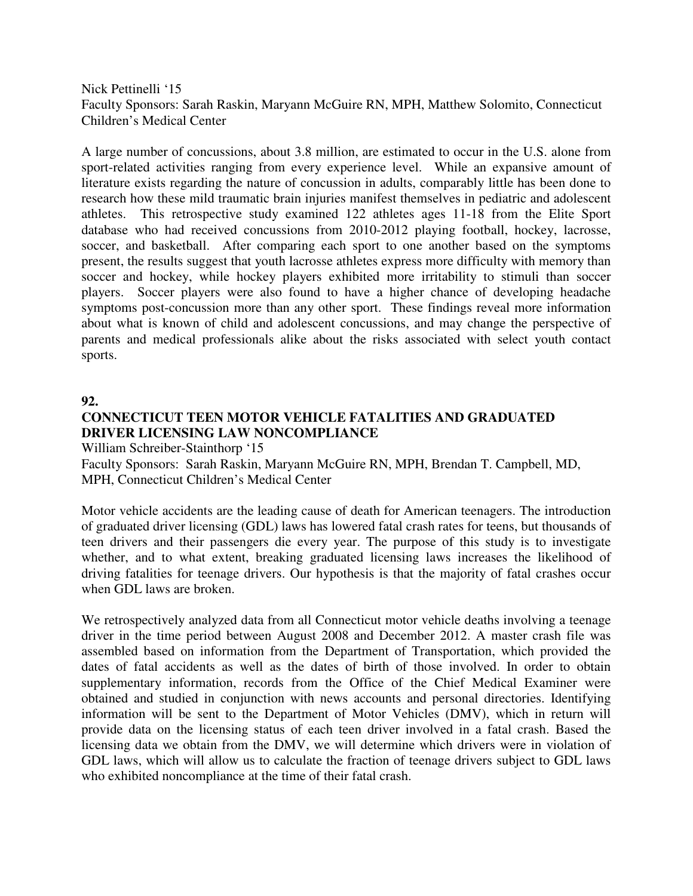Nick Pettinelli '15 Faculty Sponsors: Sarah Raskin, Maryann McGuire RN, MPH, Matthew Solomito, Connecticut Children's Medical Center

A large number of concussions, about 3.8 million, are estimated to occur in the U.S. alone from sport-related activities ranging from every experience level. While an expansive amount of literature exists regarding the nature of concussion in adults, comparably little has been done to research how these mild traumatic brain injuries manifest themselves in pediatric and adolescent athletes. This retrospective study examined 122 athletes ages 11-18 from the Elite Sport database who had received concussions from 2010-2012 playing football, hockey, lacrosse, soccer, and basketball. After comparing each sport to one another based on the symptoms present, the results suggest that youth lacrosse athletes express more difficulty with memory than soccer and hockey, while hockey players exhibited more irritability to stimuli than soccer players. Soccer players were also found to have a higher chance of developing headache symptoms post-concussion more than any other sport. These findings reveal more information about what is known of child and adolescent concussions, and may change the perspective of parents and medical professionals alike about the risks associated with select youth contact sports.

#### **92.**

# **CONNECTICUT TEEN MOTOR VEHICLE FATALITIES AND GRADUATED DRIVER LICENSING LAW NONCOMPLIANCE**

William Schreiber-Stainthorp '15

Faculty Sponsors: Sarah Raskin, Maryann McGuire RN, MPH, Brendan T. Campbell, MD, MPH, Connecticut Children's Medical Center

Motor vehicle accidents are the leading cause of death for American teenagers. The introduction of graduated driver licensing (GDL) laws has lowered fatal crash rates for teens, but thousands of teen drivers and their passengers die every year. The purpose of this study is to investigate whether, and to what extent, breaking graduated licensing laws increases the likelihood of driving fatalities for teenage drivers. Our hypothesis is that the majority of fatal crashes occur when GDL laws are broken.

We retrospectively analyzed data from all Connecticut motor vehicle deaths involving a teenage driver in the time period between August 2008 and December 2012. A master crash file was assembled based on information from the Department of Transportation, which provided the dates of fatal accidents as well as the dates of birth of those involved. In order to obtain supplementary information, records from the Office of the Chief Medical Examiner were obtained and studied in conjunction with news accounts and personal directories. Identifying information will be sent to the Department of Motor Vehicles (DMV), which in return will provide data on the licensing status of each teen driver involved in a fatal crash. Based the licensing data we obtain from the DMV, we will determine which drivers were in violation of GDL laws, which will allow us to calculate the fraction of teenage drivers subject to GDL laws who exhibited noncompliance at the time of their fatal crash.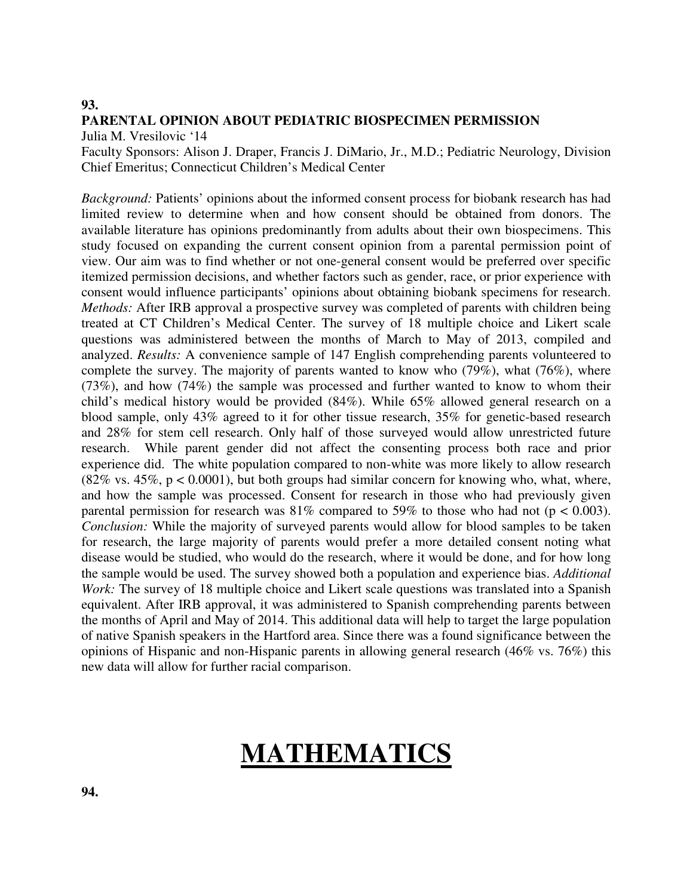#### **93.**

#### **PARENTAL OPINION ABOUT PEDIATRIC BIOSPECIMEN PERMISSION**

Julia M. Vresilovic '14

Faculty Sponsors: Alison J. Draper, Francis J. DiMario, Jr., M.D.; Pediatric Neurology, Division Chief Emeritus; Connecticut Children's Medical Center

*Background:* Patients' opinions about the informed consent process for biobank research has had limited review to determine when and how consent should be obtained from donors. The available literature has opinions predominantly from adults about their own biospecimens. This study focused on expanding the current consent opinion from a parental permission point of view. Our aim was to find whether or not one-general consent would be preferred over specific itemized permission decisions, and whether factors such as gender, race, or prior experience with consent would influence participants' opinions about obtaining biobank specimens for research. *Methods:* After IRB approval a prospective survey was completed of parents with children being treated at CT Children's Medical Center. The survey of 18 multiple choice and Likert scale questions was administered between the months of March to May of 2013, compiled and analyzed. *Results:* A convenience sample of 147 English comprehending parents volunteered to complete the survey. The majority of parents wanted to know who (79%), what (76%), where (73%), and how (74%) the sample was processed and further wanted to know to whom their child's medical history would be provided (84%). While 65% allowed general research on a blood sample, only 43% agreed to it for other tissue research, 35% for genetic-based research and 28% for stem cell research. Only half of those surveyed would allow unrestricted future research. While parent gender did not affect the consenting process both race and prior experience did. The white population compared to non-white was more likely to allow research  $(82\% \text{ vs. } 45\%, \text{ p} < 0.0001)$ , but both groups had similar concern for knowing who, what, where, and how the sample was processed. Consent for research in those who had previously given parental permission for research was  $81\%$  compared to 59% to those who had not (p < 0.003). *Conclusion:* While the majority of surveyed parents would allow for blood samples to be taken for research, the large majority of parents would prefer a more detailed consent noting what disease would be studied, who would do the research, where it would be done, and for how long the sample would be used. The survey showed both a population and experience bias. *Additional Work:* The survey of 18 multiple choice and Likert scale questions was translated into a Spanish equivalent. After IRB approval, it was administered to Spanish comprehending parents between the months of April and May of 2014. This additional data will help to target the large population of native Spanish speakers in the Hartford area. Since there was a found significance between the opinions of Hispanic and non-Hispanic parents in allowing general research (46% vs. 76%) this new data will allow for further racial comparison.

# **MATHEMATICS**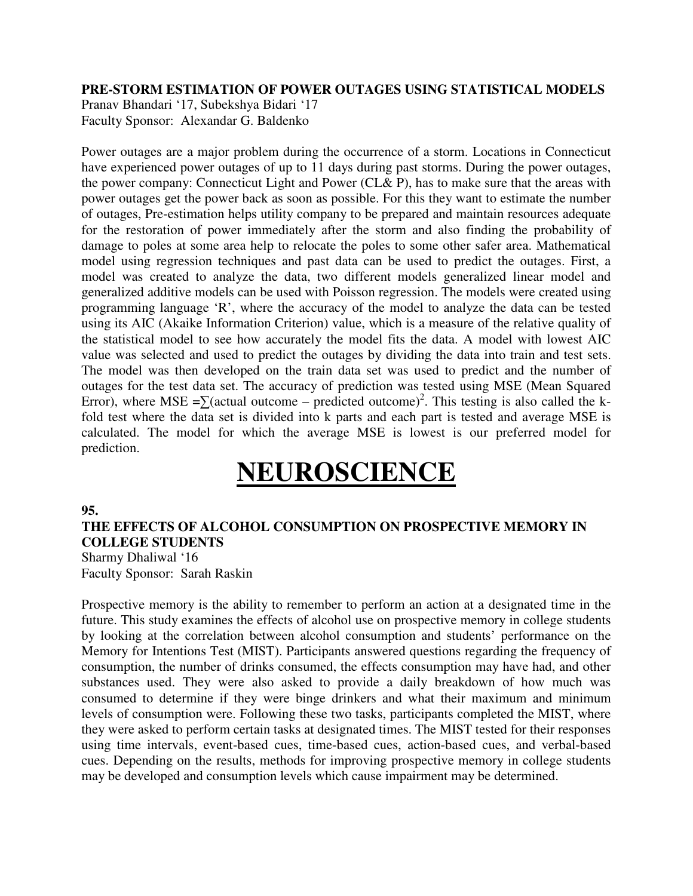#### **PRE-STORM ESTIMATION OF POWER OUTAGES USING STATISTICAL MODELS**

Pranav Bhandari '17, Subekshya Bidari '17 Faculty Sponsor: Alexandar G. Baldenko

Power outages are a major problem during the occurrence of a storm. Locations in Connecticut have experienced power outages of up to 11 days during past storms. During the power outages, the power company: Connecticut Light and Power (CL& P), has to make sure that the areas with power outages get the power back as soon as possible. For this they want to estimate the number of outages, Pre-estimation helps utility company to be prepared and maintain resources adequate for the restoration of power immediately after the storm and also finding the probability of damage to poles at some area help to relocate the poles to some other safer area. Mathematical model using regression techniques and past data can be used to predict the outages. First, a model was created to analyze the data, two different models generalized linear model and generalized additive models can be used with Poisson regression. The models were created using programming language 'R', where the accuracy of the model to analyze the data can be tested using its AIC (Akaike Information Criterion) value, which is a measure of the relative quality of the statistical model to see how accurately the model fits the data. A model with lowest AIC value was selected and used to predict the outages by dividing the data into train and test sets. The model was then developed on the train data set was used to predict and the number of outages for the test data set. The accuracy of prediction was tested using MSE (Mean Squared Error), where MSE = $\sum$ (actual outcome – predicted outcome)<sup>2</sup>. This testing is also called the kfold test where the data set is divided into k parts and each part is tested and average MSE is calculated. The model for which the average MSE is lowest is our preferred model for prediction.

# **NEUROSCIENCE**

#### **95.**

# **THE EFFECTS OF ALCOHOL CONSUMPTION ON PROSPECTIVE MEMORY IN COLLEGE STUDENTS**

Sharmy Dhaliwal '16 Faculty Sponsor: Sarah Raskin

Prospective memory is the ability to remember to perform an action at a designated time in the future. This study examines the effects of alcohol use on prospective memory in college students by looking at the correlation between alcohol consumption and students' performance on the Memory for Intentions Test (MIST). Participants answered questions regarding the frequency of consumption, the number of drinks consumed, the effects consumption may have had, and other substances used. They were also asked to provide a daily breakdown of how much was consumed to determine if they were binge drinkers and what their maximum and minimum levels of consumption were. Following these two tasks, participants completed the MIST, where they were asked to perform certain tasks at designated times. The MIST tested for their responses using time intervals, event-based cues, time-based cues, action-based cues, and verbal-based cues. Depending on the results, methods for improving prospective memory in college students may be developed and consumption levels which cause impairment may be determined.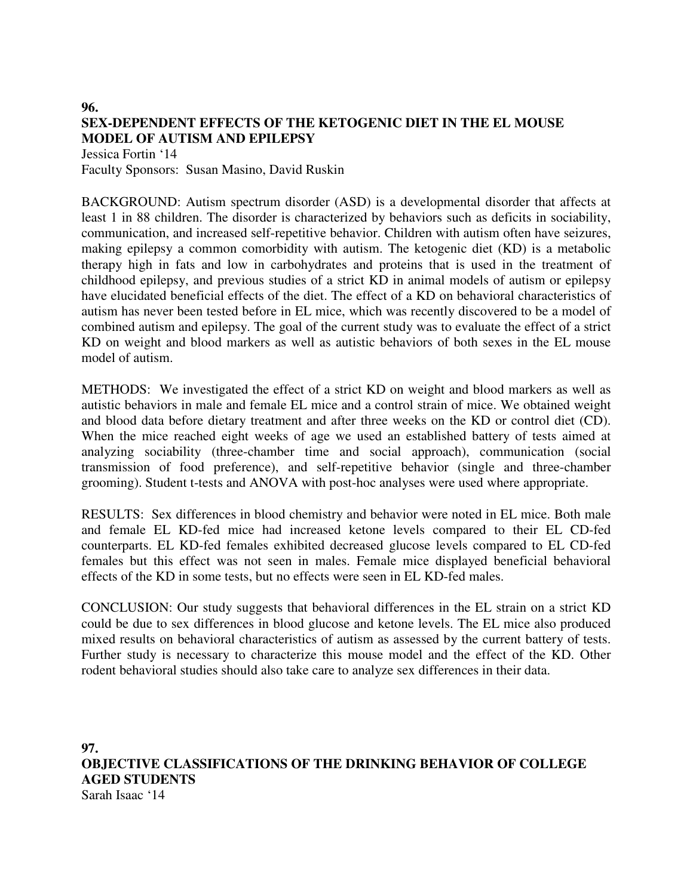# **96. SEX-DEPENDENT EFFECTS OF THE KETOGENIC DIET IN THE EL MOUSE MODEL OF AUTISM AND EPILEPSY**

Jessica Fortin '14 Faculty Sponsors: Susan Masino, David Ruskin

BACKGROUND: Autism spectrum disorder (ASD) is a developmental disorder that affects at least 1 in 88 children. The disorder is characterized by behaviors such as deficits in sociability, communication, and increased self-repetitive behavior. Children with autism often have seizures, making epilepsy a common comorbidity with autism. The ketogenic diet (KD) is a metabolic therapy high in fats and low in carbohydrates and proteins that is used in the treatment of childhood epilepsy, and previous studies of a strict KD in animal models of autism or epilepsy have elucidated beneficial effects of the diet. The effect of a KD on behavioral characteristics of autism has never been tested before in EL mice, which was recently discovered to be a model of combined autism and epilepsy. The goal of the current study was to evaluate the effect of a strict KD on weight and blood markers as well as autistic behaviors of both sexes in the EL mouse model of autism.

METHODS: We investigated the effect of a strict KD on weight and blood markers as well as autistic behaviors in male and female EL mice and a control strain of mice. We obtained weight and blood data before dietary treatment and after three weeks on the KD or control diet (CD). When the mice reached eight weeks of age we used an established battery of tests aimed at analyzing sociability (three-chamber time and social approach), communication (social transmission of food preference), and self-repetitive behavior (single and three-chamber grooming). Student t-tests and ANOVA with post-hoc analyses were used where appropriate.

RESULTS: Sex differences in blood chemistry and behavior were noted in EL mice. Both male and female EL KD-fed mice had increased ketone levels compared to their EL CD-fed counterparts. EL KD-fed females exhibited decreased glucose levels compared to EL CD-fed females but this effect was not seen in males. Female mice displayed beneficial behavioral effects of the KD in some tests, but no effects were seen in EL KD-fed males.

CONCLUSION: Our study suggests that behavioral differences in the EL strain on a strict KD could be due to sex differences in blood glucose and ketone levels. The EL mice also produced mixed results on behavioral characteristics of autism as assessed by the current battery of tests. Further study is necessary to characterize this mouse model and the effect of the KD. Other rodent behavioral studies should also take care to analyze sex differences in their data.

**97. OBJECTIVE CLASSIFICATIONS OF THE DRINKING BEHAVIOR OF COLLEGE AGED STUDENTS**  Sarah Isaac '14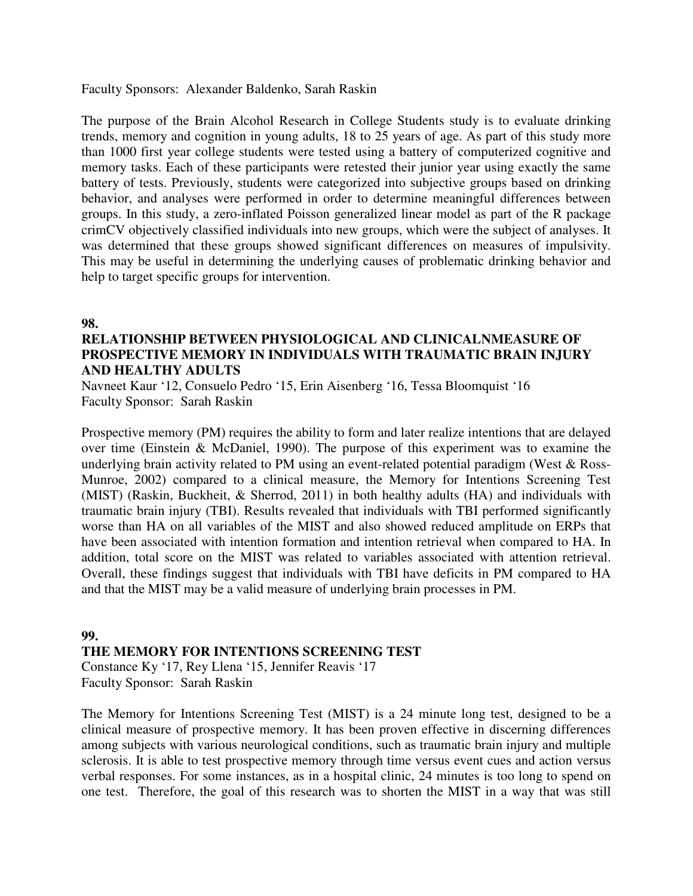Faculty Sponsors: Alexander Baldenko, Sarah Raskin

The purpose of the Brain Alcohol Research in College Students study is to evaluate drinking trends, memory and cognition in young adults, 18 to 25 years of age. As part of this study more than 1000 first year college students were tested using a battery of computerized cognitive and memory tasks. Each of these participants were retested their junior year using exactly the same battery of tests. Previously, students were categorized into subjective groups based on drinking behavior, and analyses were performed in order to determine meaningful differences between groups. In this study, a zero-inflated Poisson generalized linear model as part of the R package crimCV objectively classified individuals into new groups, which were the subject of analyses. It was determined that these groups showed significant differences on measures of impulsivity. This may be useful in determining the underlying causes of problematic drinking behavior and help to target specific groups for intervention.

#### **98.**

## **RELATIONSHIP BETWEEN PHYSIOLOGICAL AND CLINICALNMEASURE OF PROSPECTIVE MEMORY IN INDIVIDUALS WITH TRAUMATIC BRAIN INJURY AND HEALTHY ADULTS**

Navneet Kaur '12, Consuelo Pedro '15, Erin Aisenberg '16, Tessa Bloomquist '16 Faculty Sponsor: Sarah Raskin

Prospective memory (PM) requires the ability to form and later realize intentions that are delayed over time (Einstein & McDaniel, 1990). The purpose of this experiment was to examine the underlying brain activity related to PM using an event-related potential paradigm (West & Ross-Munroe, 2002) compared to a clinical measure, the Memory for Intentions Screening Test (MIST) (Raskin, Buckheit, & Sherrod, 2011) in both healthy adults (HA) and individuals with traumatic brain injury (TBI). Results revealed that individuals with TBI performed significantly worse than HA on all variables of the MIST and also showed reduced amplitude on ERPs that have been associated with intention formation and intention retrieval when compared to HA. In addition, total score on the MIST was related to variables associated with attention retrieval. Overall, these findings suggest that individuals with TBI have deficits in PM compared to HA and that the MIST may be a valid measure of underlying brain processes in PM.

#### **99.**

#### **THE MEMORY FOR INTENTIONS SCREENING TEST**

Constance Ky '17, Rey Llena '15, Jennifer Reavis '17 Faculty Sponsor: Sarah Raskin

The Memory for Intentions Screening Test (MIST) is a 24 minute long test, designed to be a clinical measure of prospective memory. It has been proven effective in discerning differences among subjects with various neurological conditions, such as traumatic brain injury and multiple sclerosis. It is able to test prospective memory through time versus event cues and action versus verbal responses. For some instances, as in a hospital clinic, 24 minutes is too long to spend on one test. Therefore, the goal of this research was to shorten the MIST in a way that was still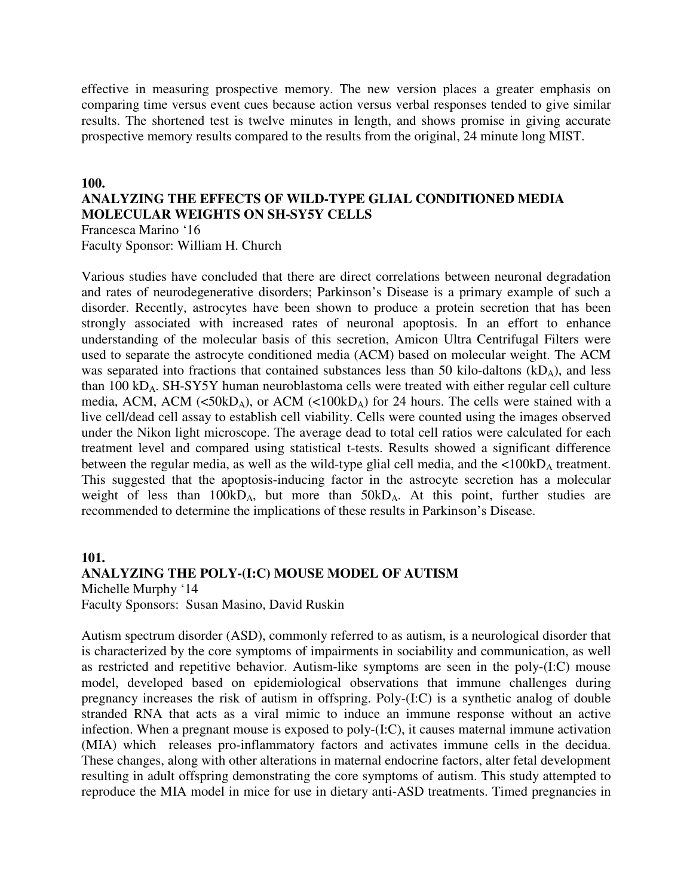effective in measuring prospective memory. The new version places a greater emphasis on comparing time versus event cues because action versus verbal responses tended to give similar results. The shortened test is twelve minutes in length, and shows promise in giving accurate prospective memory results compared to the results from the original, 24 minute long MIST.

#### **100.**

# **ANALYZING THE EFFECTS OF WILD-TYPE GLIAL CONDITIONED MEDIA MOLECULAR WEIGHTS ON SH-SY5Y CELLS**

Francesca Marino '16 Faculty Sponsor: William H. Church

Various studies have concluded that there are direct correlations between neuronal degradation and rates of neurodegenerative disorders; Parkinson's Disease is a primary example of such a disorder. Recently, astrocytes have been shown to produce a protein secretion that has been strongly associated with increased rates of neuronal apoptosis. In an effort to enhance understanding of the molecular basis of this secretion, Amicon Ultra Centrifugal Filters were used to separate the astrocyte conditioned media (ACM) based on molecular weight. The ACM was separated into fractions that contained substances less than 50 kilo-daltons  $(kD<sub>A</sub>)$ , and less than 100 kDA. SH-SY5Y human neuroblastoma cells were treated with either regular cell culture media, ACM, ACM ( $50kD_A$ ), or ACM ( $50kD_A$ ) for 24 hours. The cells were stained with a live cell/dead cell assay to establish cell viability. Cells were counted using the images observed under the Nikon light microscope. The average dead to total cell ratios were calculated for each treatment level and compared using statistical t-tests. Results showed a significant difference between the regular media, as well as the wild-type glial cell media, and the  $\langle 100 \text{kD}_A$  treatment. This suggested that the apoptosis-inducing factor in the astrocyte secretion has a molecular weight of less than  $100kD_A$ , but more than  $50kD_A$ . At this point, further studies are recommended to determine the implications of these results in Parkinson's Disease.

#### **101. ANALYZING THE POLY-(I:C) MOUSE MODEL OF AUTISM**  Michelle Murphy '14

Faculty Sponsors: Susan Masino, David Ruskin

Autism spectrum disorder (ASD), commonly referred to as autism, is a neurological disorder that is characterized by the core symptoms of impairments in sociability and communication, as well as restricted and repetitive behavior. Autism-like symptoms are seen in the poly-(I:C) mouse model, developed based on epidemiological observations that immune challenges during pregnancy increases the risk of autism in offspring. Poly-(I:C) is a synthetic analog of double stranded RNA that acts as a viral mimic to induce an immune response without an active infection. When a pregnant mouse is exposed to poly-(I:C), it causes maternal immune activation (MIA) which releases pro-inflammatory factors and activates immune cells in the decidua. These changes, along with other alterations in maternal endocrine factors, alter fetal development resulting in adult offspring demonstrating the core symptoms of autism. This study attempted to reproduce the MIA model in mice for use in dietary anti-ASD treatments. Timed pregnancies in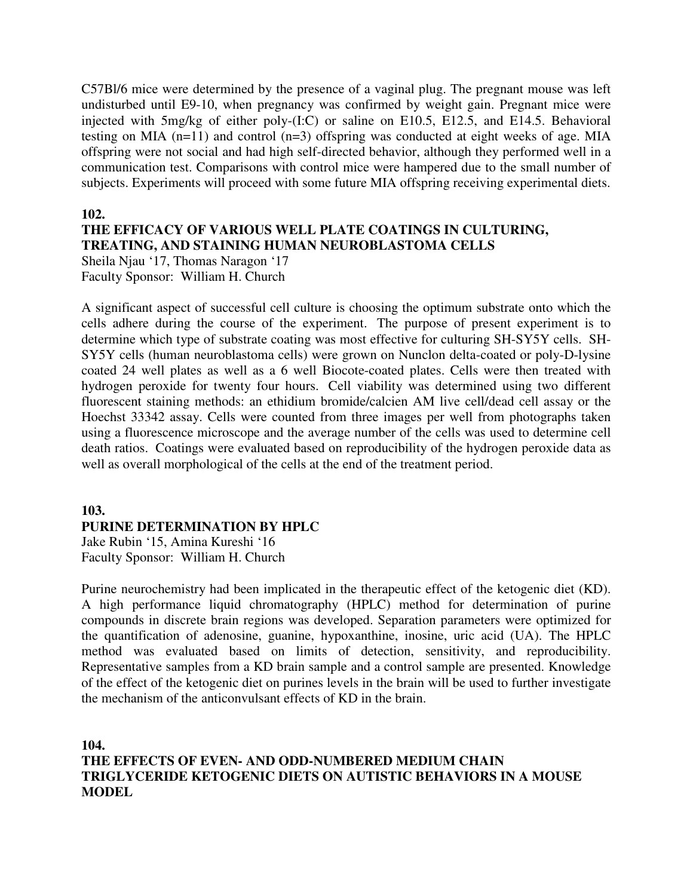C57Bl/6 mice were determined by the presence of a vaginal plug. The pregnant mouse was left undisturbed until E9-10, when pregnancy was confirmed by weight gain. Pregnant mice were injected with 5mg/kg of either poly-(I:C) or saline on E10.5, E12.5, and E14.5. Behavioral testing on MIA (n=11) and control (n=3) offspring was conducted at eight weeks of age. MIA offspring were not social and had high self-directed behavior, although they performed well in a communication test. Comparisons with control mice were hampered due to the small number of subjects. Experiments will proceed with some future MIA offspring receiving experimental diets.

#### **102.**

#### **THE EFFICACY OF VARIOUS WELL PLATE COATINGS IN CULTURING, TREATING, AND STAINING HUMAN NEUROBLASTOMA CELLS**

Sheila Njau '17, Thomas Naragon '17 Faculty Sponsor: William H. Church

A significant aspect of successful cell culture is choosing the optimum substrate onto which the cells adhere during the course of the experiment. The purpose of present experiment is to determine which type of substrate coating was most effective for culturing SH-SY5Y cells. SH-SY5Y cells (human neuroblastoma cells) were grown on Nunclon delta-coated or poly-D-lysine coated 24 well plates as well as a 6 well Biocote-coated plates. Cells were then treated with hydrogen peroxide for twenty four hours. Cell viability was determined using two different fluorescent staining methods: an ethidium bromide/calcien AM live cell/dead cell assay or the Hoechst 33342 assay. Cells were counted from three images per well from photographs taken using a fluorescence microscope and the average number of the cells was used to determine cell death ratios. Coatings were evaluated based on reproducibility of the hydrogen peroxide data as well as overall morphological of the cells at the end of the treatment period.

#### **103.**

#### **PURINE DETERMINATION BY HPLC**

Jake Rubin '15, Amina Kureshi '16 Faculty Sponsor: William H. Church

Purine neurochemistry had been implicated in the therapeutic effect of the ketogenic diet (KD). A high performance liquid chromatography (HPLC) method for determination of purine compounds in discrete brain regions was developed. Separation parameters were optimized for the quantification of adenosine, guanine, hypoxanthine, inosine, uric acid (UA). The HPLC method was evaluated based on limits of detection, sensitivity, and reproducibility. Representative samples from a KD brain sample and a control sample are presented. Knowledge of the effect of the ketogenic diet on purines levels in the brain will be used to further investigate the mechanism of the anticonvulsant effects of KD in the brain.

**104. THE EFFECTS OF EVEN- AND ODD-NUMBERED MEDIUM CHAIN TRIGLYCERIDE KETOGENIC DIETS ON AUTISTIC BEHAVIORS IN A MOUSE MODEL**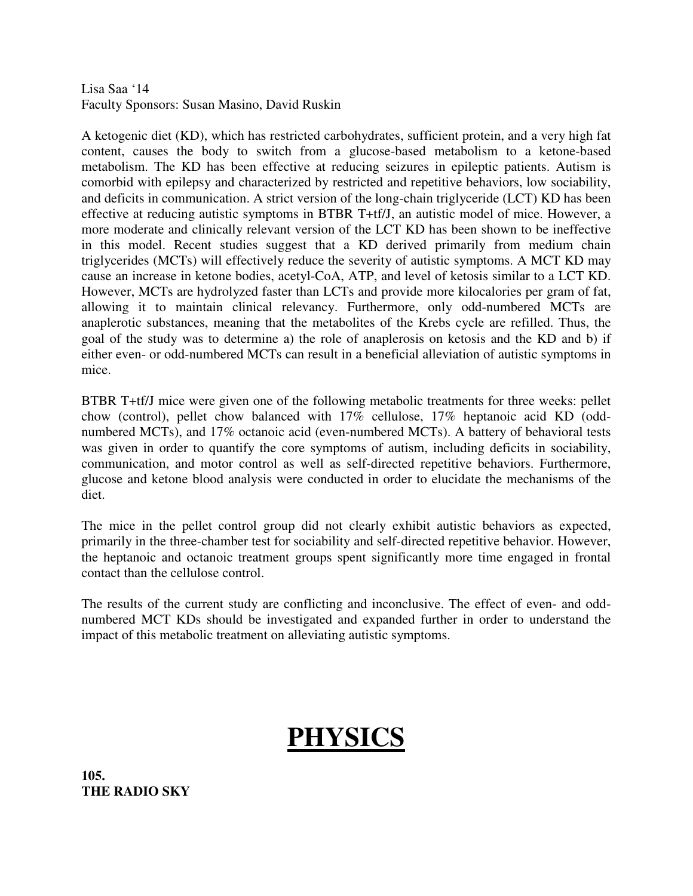### Lisa Saa '14 Faculty Sponsors: Susan Masino, David Ruskin

A ketogenic diet (KD), which has restricted carbohydrates, sufficient protein, and a very high fat content, causes the body to switch from a glucose-based metabolism to a ketone-based metabolism. The KD has been effective at reducing seizures in epileptic patients. Autism is comorbid with epilepsy and characterized by restricted and repetitive behaviors, low sociability, and deficits in communication. A strict version of the long-chain triglyceride (LCT) KD has been effective at reducing autistic symptoms in BTBR T+tf/J, an autistic model of mice. However, a more moderate and clinically relevant version of the LCT KD has been shown to be ineffective in this model. Recent studies suggest that a KD derived primarily from medium chain triglycerides (MCTs) will effectively reduce the severity of autistic symptoms. A MCT KD may cause an increase in ketone bodies, acetyl-CoA, ATP, and level of ketosis similar to a LCT KD. However, MCTs are hydrolyzed faster than LCTs and provide more kilocalories per gram of fat, allowing it to maintain clinical relevancy. Furthermore, only odd-numbered MCTs are anaplerotic substances, meaning that the metabolites of the Krebs cycle are refilled. Thus, the goal of the study was to determine a) the role of anaplerosis on ketosis and the KD and b) if either even- or odd-numbered MCTs can result in a beneficial alleviation of autistic symptoms in mice.

BTBR T+tf/J mice were given one of the following metabolic treatments for three weeks: pellet chow (control), pellet chow balanced with 17% cellulose, 17% heptanoic acid KD (oddnumbered MCTs), and 17% octanoic acid (even-numbered MCTs). A battery of behavioral tests was given in order to quantify the core symptoms of autism, including deficits in sociability, communication, and motor control as well as self-directed repetitive behaviors. Furthermore, glucose and ketone blood analysis were conducted in order to elucidate the mechanisms of the diet.

The mice in the pellet control group did not clearly exhibit autistic behaviors as expected, primarily in the three-chamber test for sociability and self-directed repetitive behavior. However, the heptanoic and octanoic treatment groups spent significantly more time engaged in frontal contact than the cellulose control.

The results of the current study are conflicting and inconclusive. The effect of even- and oddnumbered MCT KDs should be investigated and expanded further in order to understand the impact of this metabolic treatment on alleviating autistic symptoms.

# **PHYSICS**

**105. THE RADIO SKY**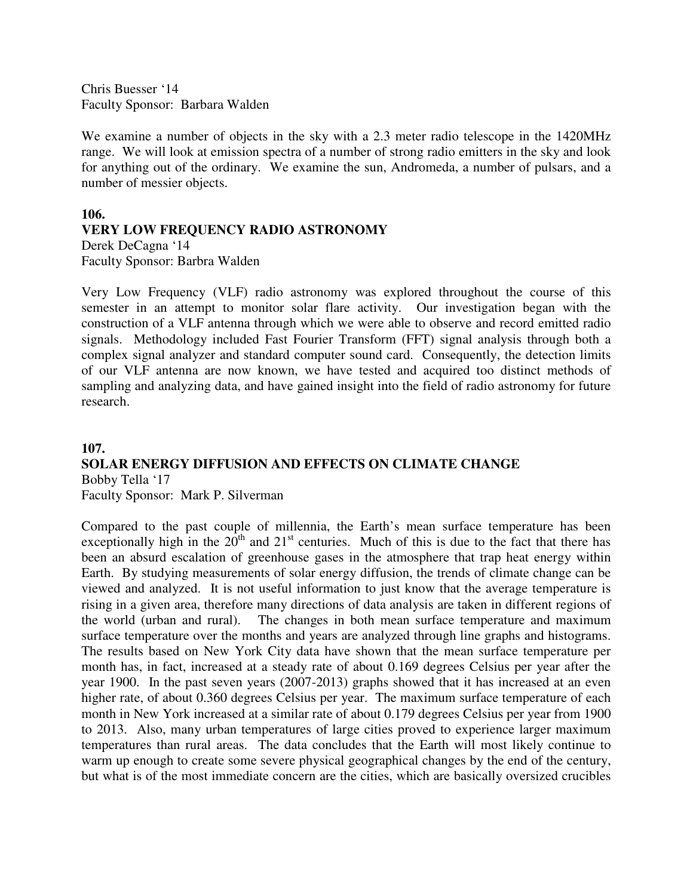Chris Buesser '14 Faculty Sponsor: Barbara Walden

We examine a number of objects in the sky with a 2.3 meter radio telescope in the 1420MHz range. We will look at emission spectra of a number of strong radio emitters in the sky and look for anything out of the ordinary. We examine the sun, Andromeda, a number of pulsars, and a number of messier objects.

# **106. VERY LOW FREQUENCY RADIO ASTRONOMY**

Derek DeCagna '14 Faculty Sponsor: Barbra Walden

Very Low Frequency (VLF) radio astronomy was explored throughout the course of this semester in an attempt to monitor solar flare activity. Our investigation began with the construction of a VLF antenna through which we were able to observe and record emitted radio signals. Methodology included Fast Fourier Transform (FFT) signal analysis through both a complex signal analyzer and standard computer sound card. Consequently, the detection limits of our VLF antenna are now known, we have tested and acquired too distinct methods of sampling and analyzing data, and have gained insight into the field of radio astronomy for future research.

#### **107.**

## **SOLAR ENERGY DIFFUSION AND EFFECTS ON CLIMATE CHANGE**  Bobby Tella '17

Faculty Sponsor: Mark P. Silverman

Compared to the past couple of millennia, the Earth's mean surface temperature has been exceptionally high in the  $20<sup>th</sup>$  and  $21<sup>st</sup>$  centuries. Much of this is due to the fact that there has been an absurd escalation of greenhouse gases in the atmosphere that trap heat energy within Earth. By studying measurements of solar energy diffusion, the trends of climate change can be viewed and analyzed. It is not useful information to just know that the average temperature is rising in a given area, therefore many directions of data analysis are taken in different regions of the world (urban and rural). The changes in both mean surface temperature and maximum surface temperature over the months and years are analyzed through line graphs and histograms. The results based on New York City data have shown that the mean surface temperature per month has, in fact, increased at a steady rate of about 0.169 degrees Celsius per year after the year 1900. In the past seven years (2007-2013) graphs showed that it has increased at an even higher rate, of about 0.360 degrees Celsius per year. The maximum surface temperature of each month in New York increased at a similar rate of about 0.179 degrees Celsius per year from 1900 to 2013. Also, many urban temperatures of large cities proved to experience larger maximum temperatures than rural areas. The data concludes that the Earth will most likely continue to warm up enough to create some severe physical geographical changes by the end of the century, but what is of the most immediate concern are the cities, which are basically oversized crucibles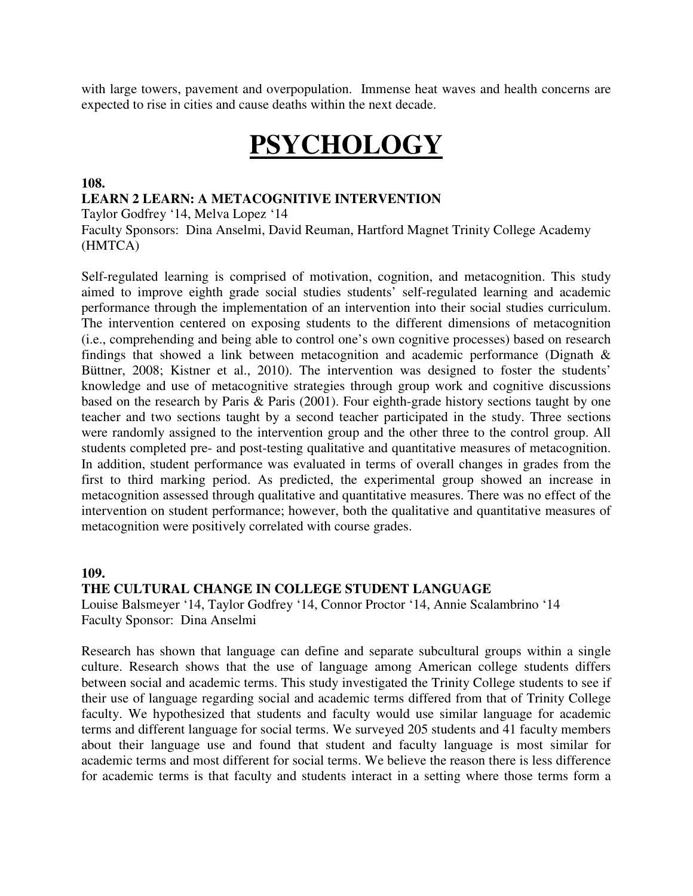with large towers, pavement and overpopulation. Immense heat waves and health concerns are expected to rise in cities and cause deaths within the next decade.

# **PSYCHOLOGY**

#### **108.**

### **LEARN 2 LEARN: A METACOGNITIVE INTERVENTION**

Taylor Godfrey '14, Melva Lopez '14

Faculty Sponsors: Dina Anselmi, David Reuman, Hartford Magnet Trinity College Academy (HMTCA)

Self-regulated learning is comprised of motivation, cognition, and metacognition. This study aimed to improve eighth grade social studies students' self-regulated learning and academic performance through the implementation of an intervention into their social studies curriculum. The intervention centered on exposing students to the different dimensions of metacognition (i.e., comprehending and being able to control one's own cognitive processes) based on research findings that showed a link between metacognition and academic performance (Dignath & Büttner, 2008; Kistner et al., 2010). The intervention was designed to foster the students' knowledge and use of metacognitive strategies through group work and cognitive discussions based on the research by Paris & Paris (2001). Four eighth-grade history sections taught by one teacher and two sections taught by a second teacher participated in the study. Three sections were randomly assigned to the intervention group and the other three to the control group. All students completed pre- and post-testing qualitative and quantitative measures of metacognition. In addition, student performance was evaluated in terms of overall changes in grades from the first to third marking period. As predicted, the experimental group showed an increase in metacognition assessed through qualitative and quantitative measures. There was no effect of the intervention on student performance; however, both the qualitative and quantitative measures of metacognition were positively correlated with course grades.

#### **109.**

#### **THE CULTURAL CHANGE IN COLLEGE STUDENT LANGUAGE**

Louise Balsmeyer '14, Taylor Godfrey '14, Connor Proctor '14, Annie Scalambrino '14 Faculty Sponsor: Dina Anselmi

Research has shown that language can define and separate subcultural groups within a single culture. Research shows that the use of language among American college students differs between social and academic terms. This study investigated the Trinity College students to see if their use of language regarding social and academic terms differed from that of Trinity College faculty. We hypothesized that students and faculty would use similar language for academic terms and different language for social terms. We surveyed 205 students and 41 faculty members about their language use and found that student and faculty language is most similar for academic terms and most different for social terms. We believe the reason there is less difference for academic terms is that faculty and students interact in a setting where those terms form a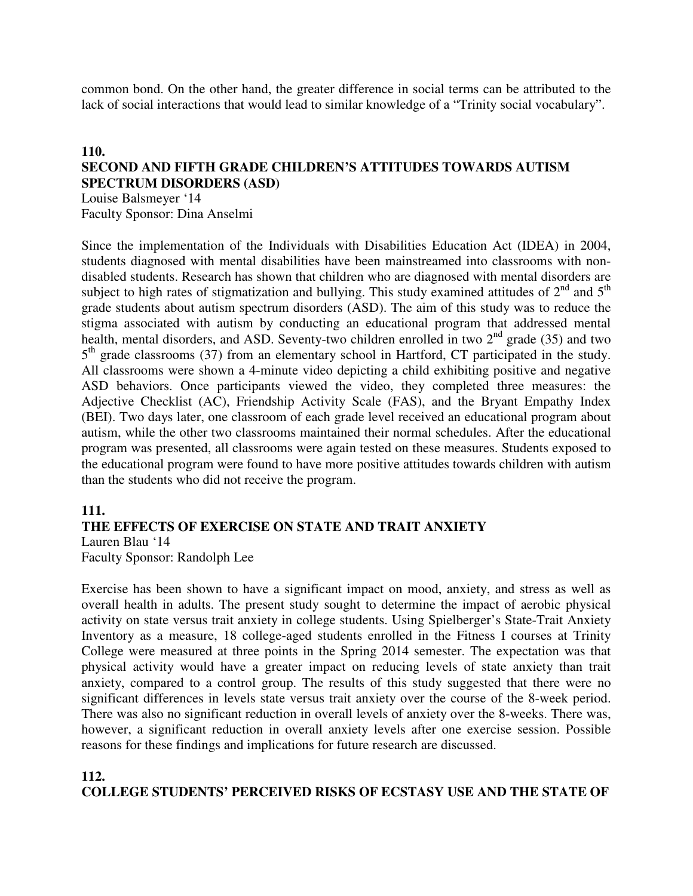common bond. On the other hand, the greater difference in social terms can be attributed to the lack of social interactions that would lead to similar knowledge of a "Trinity social vocabulary".

## **110. SECOND AND FIFTH GRADE CHILDREN'S ATTITUDES TOWARDS AUTISM SPECTRUM DISORDERS (ASD)**

Louise Balsmeyer '14 Faculty Sponsor: Dina Anselmi

Since the implementation of the Individuals with Disabilities Education Act (IDEA) in 2004, students diagnosed with mental disabilities have been mainstreamed into classrooms with nondisabled students. Research has shown that children who are diagnosed with mental disorders are subject to high rates of stigmatization and bullying. This study examined attitudes of  $2<sup>nd</sup>$  and  $5<sup>th</sup>$ grade students about autism spectrum disorders (ASD). The aim of this study was to reduce the stigma associated with autism by conducting an educational program that addressed mental health, mental disorders, and ASD. Seventy-two children enrolled in two  $2<sup>nd</sup>$  grade (35) and two 5<sup>th</sup> grade classrooms (37) from an elementary school in Hartford, CT participated in the study. All classrooms were shown a 4-minute video depicting a child exhibiting positive and negative ASD behaviors. Once participants viewed the video, they completed three measures: the Adjective Checklist (AC), Friendship Activity Scale (FAS), and the Bryant Empathy Index (BEI). Two days later, one classroom of each grade level received an educational program about autism, while the other two classrooms maintained their normal schedules. After the educational program was presented, all classrooms were again tested on these measures. Students exposed to the educational program were found to have more positive attitudes towards children with autism than the students who did not receive the program.

#### **111.**

#### **THE EFFECTS OF EXERCISE ON STATE AND TRAIT ANXIETY**

Lauren Blau '14 Faculty Sponsor: Randolph Lee

Exercise has been shown to have a significant impact on mood, anxiety, and stress as well as overall health in adults. The present study sought to determine the impact of aerobic physical activity on state versus trait anxiety in college students. Using Spielberger's State-Trait Anxiety Inventory as a measure, 18 college-aged students enrolled in the Fitness I courses at Trinity College were measured at three points in the Spring 2014 semester. The expectation was that physical activity would have a greater impact on reducing levels of state anxiety than trait anxiety, compared to a control group. The results of this study suggested that there were no significant differences in levels state versus trait anxiety over the course of the 8-week period. There was also no significant reduction in overall levels of anxiety over the 8-weeks. There was, however, a significant reduction in overall anxiety levels after one exercise session. Possible reasons for these findings and implications for future research are discussed.

#### **112.**

#### **COLLEGE STUDENTS' PERCEIVED RISKS OF ECSTASY USE AND THE STATE OF**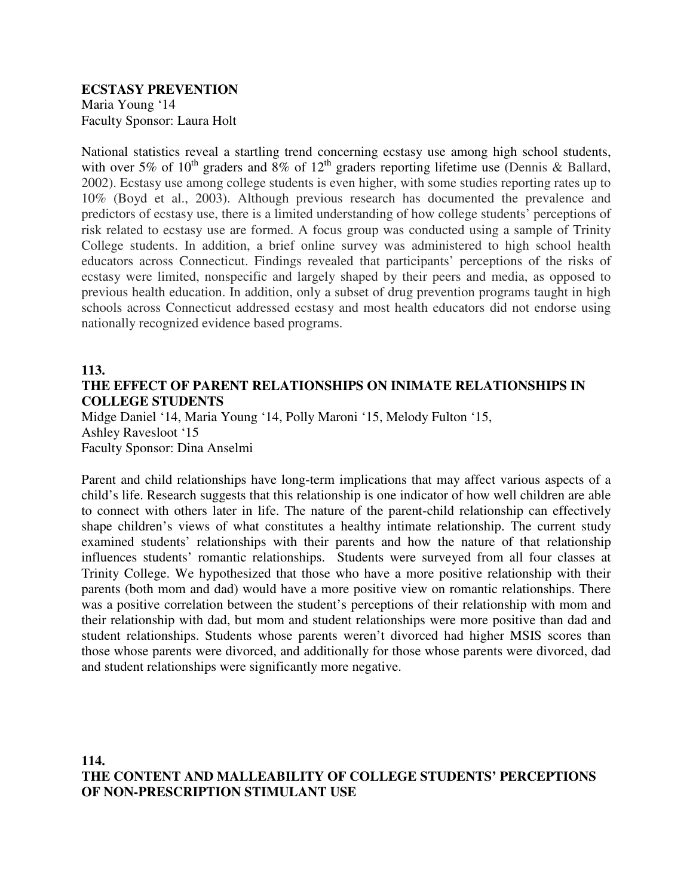#### **ECSTASY PREVENTION**  Maria Young '14 Faculty Sponsor: Laura Holt

National statistics reveal a startling trend concerning ecstasy use among high school students, with over 5% of  $10^{th}$  graders and 8% of  $12^{th}$  graders reporting lifetime use (Dennis & Ballard, 2002). Ecstasy use among college students is even higher, with some studies reporting rates up to 10% (Boyd et al., 2003). Although previous research has documented the prevalence and predictors of ecstasy use, there is a limited understanding of how college students' perceptions of risk related to ecstasy use are formed. A focus group was conducted using a sample of Trinity College students. In addition, a brief online survey was administered to high school health educators across Connecticut. Findings revealed that participants' perceptions of the risks of ecstasy were limited, nonspecific and largely shaped by their peers and media, as opposed to previous health education. In addition, only a subset of drug prevention programs taught in high schools across Connecticut addressed ecstasy and most health educators did not endorse using nationally recognized evidence based programs.

## **113.**

# **THE EFFECT OF PARENT RELATIONSHIPS ON INIMATE RELATIONSHIPS IN COLLEGE STUDENTS**

Midge Daniel '14, Maria Young '14, Polly Maroni '15, Melody Fulton '15, Ashley Ravesloot '15 Faculty Sponsor: Dina Anselmi

Parent and child relationships have long-term implications that may affect various aspects of a child's life. Research suggests that this relationship is one indicator of how well children are able to connect with others later in life. The nature of the parent-child relationship can effectively shape children's views of what constitutes a healthy intimate relationship. The current study examined students' relationships with their parents and how the nature of that relationship influences students' romantic relationships. Students were surveyed from all four classes at Trinity College. We hypothesized that those who have a more positive relationship with their parents (both mom and dad) would have a more positive view on romantic relationships. There was a positive correlation between the student's perceptions of their relationship with mom and their relationship with dad, but mom and student relationships were more positive than dad and student relationships. Students whose parents weren't divorced had higher MSIS scores than those whose parents were divorced, and additionally for those whose parents were divorced, dad and student relationships were significantly more negative.

## **114. THE CONTENT AND MALLEABILITY OF COLLEGE STUDENTS' PERCEPTIONS OF NON-PRESCRIPTION STIMULANT USE**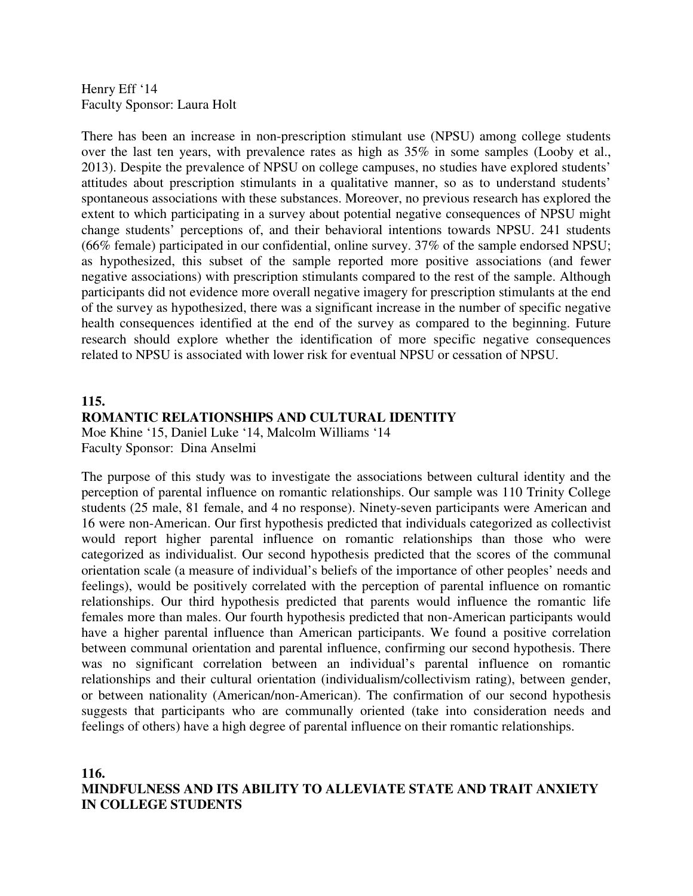Henry Eff '14 Faculty Sponsor: Laura Holt

There has been an increase in non-prescription stimulant use (NPSU) among college students over the last ten years, with prevalence rates as high as 35% in some samples (Looby et al., 2013). Despite the prevalence of NPSU on college campuses, no studies have explored students' attitudes about prescription stimulants in a qualitative manner, so as to understand students' spontaneous associations with these substances. Moreover, no previous research has explored the extent to which participating in a survey about potential negative consequences of NPSU might change students' perceptions of, and their behavioral intentions towards NPSU. 241 students (66% female) participated in our confidential, online survey. 37% of the sample endorsed NPSU; as hypothesized, this subset of the sample reported more positive associations (and fewer negative associations) with prescription stimulants compared to the rest of the sample. Although participants did not evidence more overall negative imagery for prescription stimulants at the end of the survey as hypothesized, there was a significant increase in the number of specific negative health consequences identified at the end of the survey as compared to the beginning. Future research should explore whether the identification of more specific negative consequences related to NPSU is associated with lower risk for eventual NPSU or cessation of NPSU.

# **115. ROMANTIC RELATIONSHIPS AND CULTURAL IDENTITY**

Moe Khine '15, Daniel Luke '14, Malcolm Williams '14 Faculty Sponsor: Dina Anselmi

The purpose of this study was to investigate the associations between cultural identity and the perception of parental influence on romantic relationships. Our sample was 110 Trinity College students (25 male, 81 female, and 4 no response). Ninety-seven participants were American and 16 were non-American. Our first hypothesis predicted that individuals categorized as collectivist would report higher parental influence on romantic relationships than those who were categorized as individualist. Our second hypothesis predicted that the scores of the communal orientation scale (a measure of individual's beliefs of the importance of other peoples' needs and feelings), would be positively correlated with the perception of parental influence on romantic relationships. Our third hypothesis predicted that parents would influence the romantic life females more than males. Our fourth hypothesis predicted that non-American participants would have a higher parental influence than American participants. We found a positive correlation between communal orientation and parental influence, confirming our second hypothesis. There was no significant correlation between an individual's parental influence on romantic relationships and their cultural orientation (individualism/collectivism rating), between gender, or between nationality (American/non-American). The confirmation of our second hypothesis suggests that participants who are communally oriented (take into consideration needs and feelings of others) have a high degree of parental influence on their romantic relationships.

## **116. MINDFULNESS AND ITS ABILITY TO ALLEVIATE STATE AND TRAIT ANXIETY IN COLLEGE STUDENTS**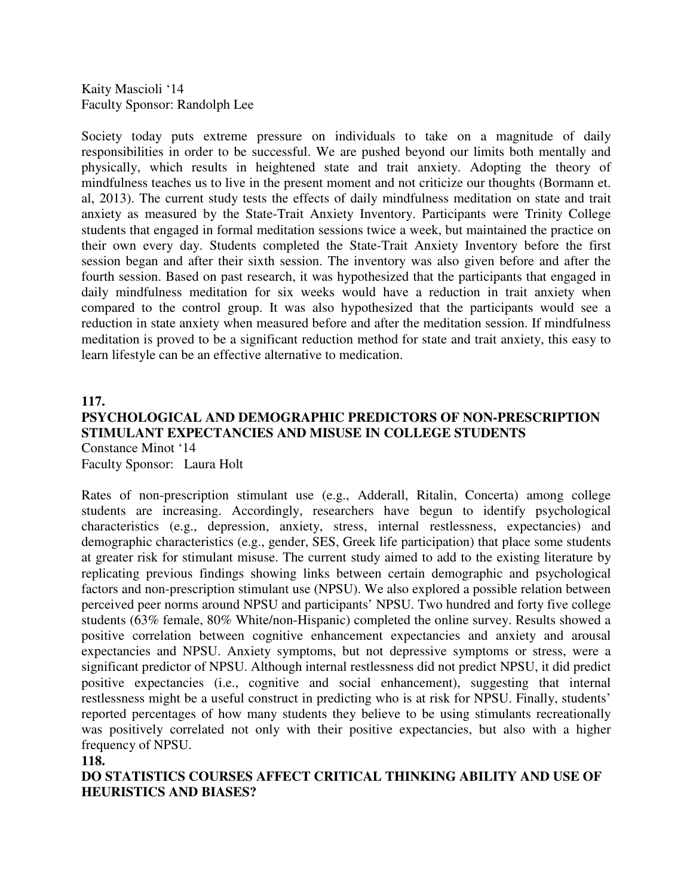Kaity Mascioli '14 Faculty Sponsor: Randolph Lee

Society today puts extreme pressure on individuals to take on a magnitude of daily responsibilities in order to be successful. We are pushed beyond our limits both mentally and physically, which results in heightened state and trait anxiety. Adopting the theory of mindfulness teaches us to live in the present moment and not criticize our thoughts (Bormann et. al, 2013). The current study tests the effects of daily mindfulness meditation on state and trait anxiety as measured by the State-Trait Anxiety Inventory. Participants were Trinity College students that engaged in formal meditation sessions twice a week, but maintained the practice on their own every day. Students completed the State-Trait Anxiety Inventory before the first session began and after their sixth session. The inventory was also given before and after the fourth session. Based on past research, it was hypothesized that the participants that engaged in daily mindfulness meditation for six weeks would have a reduction in trait anxiety when compared to the control group. It was also hypothesized that the participants would see a reduction in state anxiety when measured before and after the meditation session. If mindfulness meditation is proved to be a significant reduction method for state and trait anxiety, this easy to learn lifestyle can be an effective alternative to medication.

### **117. PSYCHOLOGICAL AND DEMOGRAPHIC PREDICTORS OF NON-PRESCRIPTION STIMULANT EXPECTANCIES AND MISUSE IN COLLEGE STUDENTS**  Constance Minot '14 Faculty Sponsor: Laura Holt

Rates of non-prescription stimulant use (e.g., Adderall, Ritalin, Concerta) among college students are increasing. Accordingly, researchers have begun to identify psychological characteristics (e.g., depression, anxiety, stress, internal restlessness, expectancies) and demographic characteristics (e.g., gender, SES, Greek life participation) that place some students at greater risk for stimulant misuse. The current study aimed to add to the existing literature by replicating previous findings showing links between certain demographic and psychological factors and non-prescription stimulant use (NPSU). We also explored a possible relation between perceived peer norms around NPSU and participants' NPSU. Two hundred and forty five college students (63% female, 80% White/non-Hispanic) completed the online survey. Results showed a positive correlation between cognitive enhancement expectancies and anxiety and arousal expectancies and NPSU. Anxiety symptoms, but not depressive symptoms or stress, were a significant predictor of NPSU. Although internal restlessness did not predict NPSU, it did predict positive expectancies (i.e., cognitive and social enhancement), suggesting that internal restlessness might be a useful construct in predicting who is at risk for NPSU. Finally, students' reported percentages of how many students they believe to be using stimulants recreationally was positively correlated not only with their positive expectancies, but also with a higher frequency of NPSU.

**118.** 

**DO STATISTICS COURSES AFFECT CRITICAL THINKING ABILITY AND USE OF HEURISTICS AND BIASES?**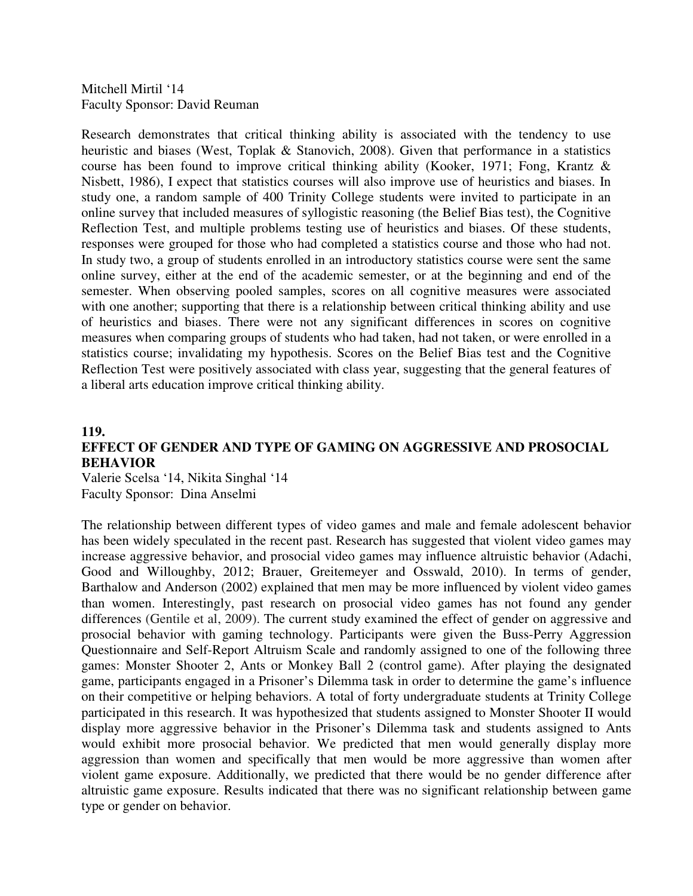Mitchell Mirtil '14 Faculty Sponsor: David Reuman

Research demonstrates that critical thinking ability is associated with the tendency to use heuristic and biases (West, Toplak & Stanovich, 2008). Given that performance in a statistics course has been found to improve critical thinking ability (Kooker, 1971; Fong, Krantz & Nisbett, 1986), I expect that statistics courses will also improve use of heuristics and biases. In study one, a random sample of 400 Trinity College students were invited to participate in an online survey that included measures of syllogistic reasoning (the Belief Bias test), the Cognitive Reflection Test, and multiple problems testing use of heuristics and biases. Of these students, responses were grouped for those who had completed a statistics course and those who had not. In study two, a group of students enrolled in an introductory statistics course were sent the same online survey, either at the end of the academic semester, or at the beginning and end of the semester. When observing pooled samples, scores on all cognitive measures were associated with one another; supporting that there is a relationship between critical thinking ability and use of heuristics and biases. There were not any significant differences in scores on cognitive measures when comparing groups of students who had taken, had not taken, or were enrolled in a statistics course; invalidating my hypothesis. Scores on the Belief Bias test and the Cognitive Reflection Test were positively associated with class year, suggesting that the general features of a liberal arts education improve critical thinking ability.

#### **119.**

## **EFFECT OF GENDER AND TYPE OF GAMING ON AGGRESSIVE AND PROSOCIAL BEHAVIOR**

Valerie Scelsa '14, Nikita Singhal '14 Faculty Sponsor: Dina Anselmi

The relationship between different types of video games and male and female adolescent behavior has been widely speculated in the recent past. Research has suggested that violent video games may increase aggressive behavior, and prosocial video games may influence altruistic behavior (Adachi, Good and Willoughby, 2012; Brauer, Greitemeyer and Osswald, 2010). In terms of gender, Barthalow and Anderson (2002) explained that men may be more influenced by violent video games than women. Interestingly, past research on prosocial video games has not found any gender differences (Gentile et al, 2009). The current study examined the effect of gender on aggressive and prosocial behavior with gaming technology. Participants were given the Buss-Perry Aggression Questionnaire and Self-Report Altruism Scale and randomly assigned to one of the following three games: Monster Shooter 2, Ants or Monkey Ball 2 (control game). After playing the designated game, participants engaged in a Prisoner's Dilemma task in order to determine the game's influence on their competitive or helping behaviors. A total of forty undergraduate students at Trinity College participated in this research. It was hypothesized that students assigned to Monster Shooter II would display more aggressive behavior in the Prisoner's Dilemma task and students assigned to Ants would exhibit more prosocial behavior. We predicted that men would generally display more aggression than women and specifically that men would be more aggressive than women after violent game exposure. Additionally, we predicted that there would be no gender difference after altruistic game exposure. Results indicated that there was no significant relationship between game type or gender on behavior.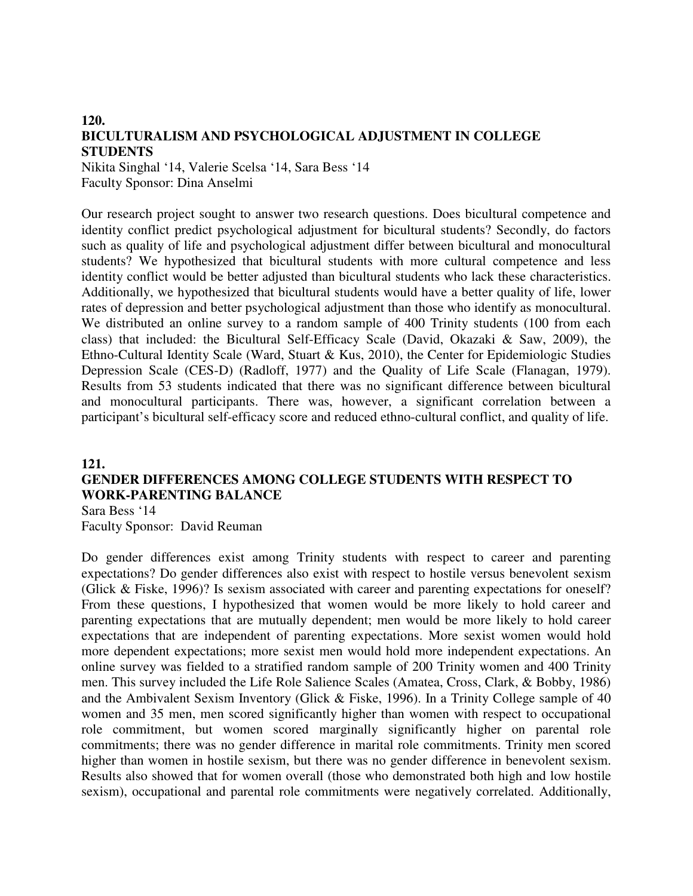## **120. BICULTURALISM AND PSYCHOLOGICAL ADJUSTMENT IN COLLEGE STUDENTS**

Nikita Singhal '14, Valerie Scelsa '14, Sara Bess '14 Faculty Sponsor: Dina Anselmi

Our research project sought to answer two research questions. Does bicultural competence and identity conflict predict psychological adjustment for bicultural students? Secondly, do factors such as quality of life and psychological adjustment differ between bicultural and monocultural students? We hypothesized that bicultural students with more cultural competence and less identity conflict would be better adjusted than bicultural students who lack these characteristics. Additionally, we hypothesized that bicultural students would have a better quality of life, lower rates of depression and better psychological adjustment than those who identify as monocultural. We distributed an online survey to a random sample of 400 Trinity students (100 from each class) that included: the Bicultural Self-Efficacy Scale (David, Okazaki & Saw, 2009), the Ethno-Cultural Identity Scale (Ward, Stuart & Kus, 2010), the Center for Epidemiologic Studies Depression Scale (CES-D) (Radloff, 1977) and the Quality of Life Scale (Flanagan, 1979). Results from 53 students indicated that there was no significant difference between bicultural and monocultural participants. There was, however, a significant correlation between a participant's bicultural self-efficacy score and reduced ethno-cultural conflict, and quality of life.

## **121. GENDER DIFFERENCES AMONG COLLEGE STUDENTS WITH RESPECT TO WORK-PARENTING BALANCE**

Sara Bess '14 Faculty Sponsor: David Reuman

Do gender differences exist among Trinity students with respect to career and parenting expectations? Do gender differences also exist with respect to hostile versus benevolent sexism (Glick & Fiske, 1996)? Is sexism associated with career and parenting expectations for oneself? From these questions, I hypothesized that women would be more likely to hold career and parenting expectations that are mutually dependent; men would be more likely to hold career expectations that are independent of parenting expectations. More sexist women would hold more dependent expectations; more sexist men would hold more independent expectations. An online survey was fielded to a stratified random sample of 200 Trinity women and 400 Trinity men. This survey included the Life Role Salience Scales (Amatea, Cross, Clark, & Bobby, 1986) and the Ambivalent Sexism Inventory (Glick & Fiske, 1996). In a Trinity College sample of 40 women and 35 men, men scored significantly higher than women with respect to occupational role commitment, but women scored marginally significantly higher on parental role commitments; there was no gender difference in marital role commitments. Trinity men scored higher than women in hostile sexism, but there was no gender difference in benevolent sexism. Results also showed that for women overall (those who demonstrated both high and low hostile sexism), occupational and parental role commitments were negatively correlated. Additionally,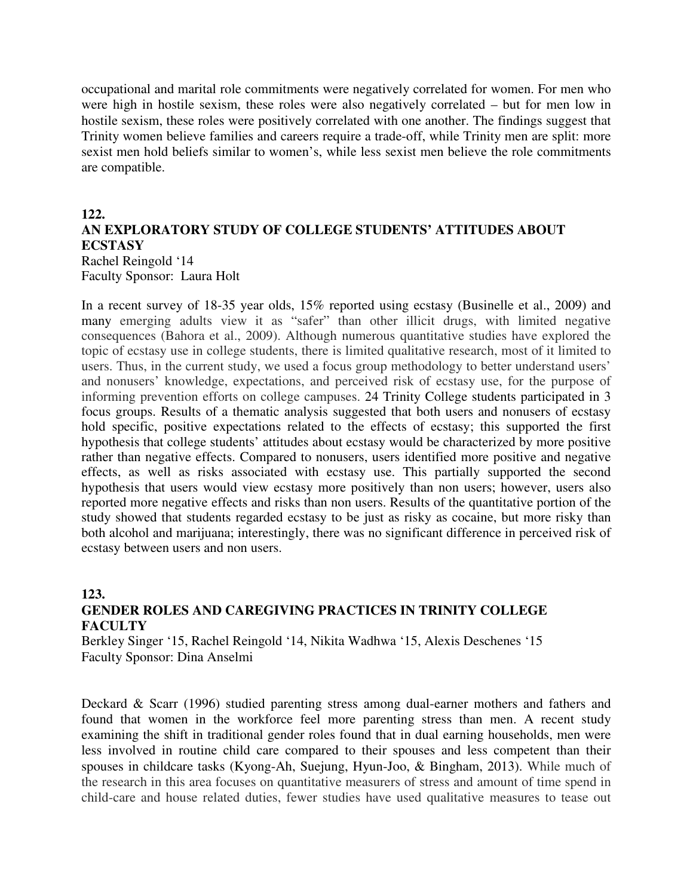occupational and marital role commitments were negatively correlated for women. For men who were high in hostile sexism, these roles were also negatively correlated – but for men low in hostile sexism, these roles were positively correlated with one another. The findings suggest that Trinity women believe families and careers require a trade-off, while Trinity men are split: more sexist men hold beliefs similar to women's, while less sexist men believe the role commitments are compatible.

#### **122. AN EXPLORATORY STUDY OF COLLEGE STUDENTS' ATTITUDES ABOUT ECSTASY**  Rachel Reingold '14

Faculty Sponsor: Laura Holt

In a recent survey of 18-35 year olds, 15% reported using ecstasy (Businelle et al., 2009) and many emerging adults view it as "safer" than other illicit drugs, with limited negative consequences (Bahora et al., 2009). Although numerous quantitative studies have explored the topic of ecstasy use in college students, there is limited qualitative research, most of it limited to users. Thus, in the current study, we used a focus group methodology to better understand users' and nonusers' knowledge, expectations, and perceived risk of ecstasy use, for the purpose of informing prevention efforts on college campuses. 24 Trinity College students participated in 3 focus groups. Results of a thematic analysis suggested that both users and nonusers of ecstasy hold specific, positive expectations related to the effects of ecstasy; this supported the first hypothesis that college students' attitudes about ecstasy would be characterized by more positive rather than negative effects. Compared to nonusers, users identified more positive and negative effects, as well as risks associated with ecstasy use. This partially supported the second hypothesis that users would view ecstasy more positively than non users; however, users also reported more negative effects and risks than non users. Results of the quantitative portion of the study showed that students regarded ecstasy to be just as risky as cocaine, but more risky than both alcohol and marijuana; interestingly, there was no significant difference in perceived risk of ecstasy between users and non users.

## **123. GENDER ROLES AND CAREGIVING PRACTICES IN TRINITY COLLEGE FACULTY**

Berkley Singer '15, Rachel Reingold '14, Nikita Wadhwa '15, Alexis Deschenes '15 Faculty Sponsor: Dina Anselmi

Deckard & Scarr (1996) studied parenting stress among dual-earner mothers and fathers and found that women in the workforce feel more parenting stress than men. A recent study examining the shift in traditional gender roles found that in dual earning households, men were less involved in routine child care compared to their spouses and less competent than their spouses in childcare tasks (Kyong-Ah, Suejung, Hyun-Joo, & Bingham, 2013). While much of the research in this area focuses on quantitative measurers of stress and amount of time spend in child-care and house related duties, fewer studies have used qualitative measures to tease out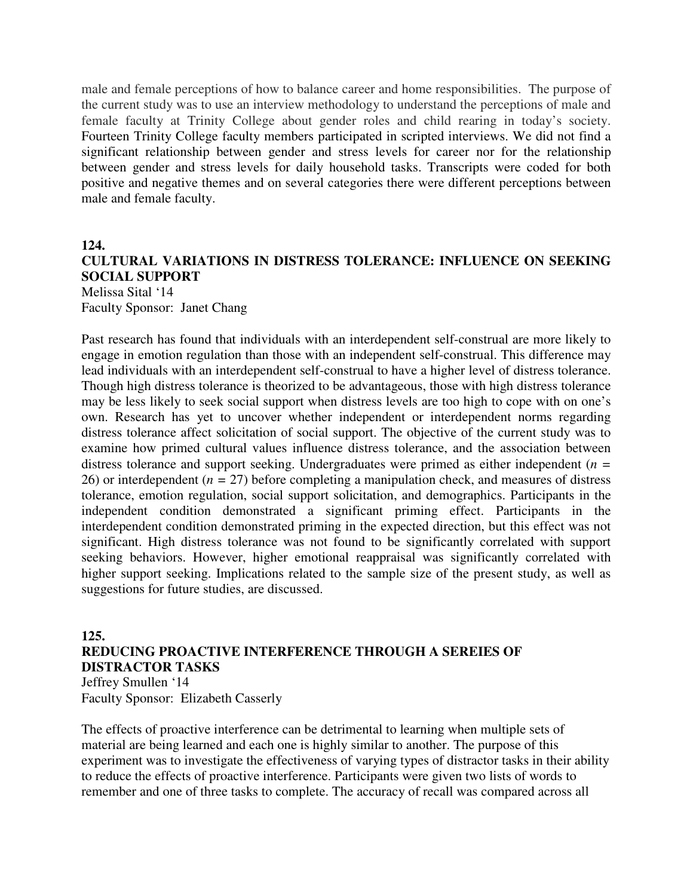male and female perceptions of how to balance career and home responsibilities. The purpose of the current study was to use an interview methodology to understand the perceptions of male and female faculty at Trinity College about gender roles and child rearing in today's society. Fourteen Trinity College faculty members participated in scripted interviews. We did not find a significant relationship between gender and stress levels for career nor for the relationship between gender and stress levels for daily household tasks. Transcripts were coded for both positive and negative themes and on several categories there were different perceptions between male and female faculty.

## **124. CULTURAL VARIATIONS IN DISTRESS TOLERANCE: INFLUENCE ON SEEKING SOCIAL SUPPORT**  Melissa Sital '14 Faculty Sponsor: Janet Chang

Past research has found that individuals with an interdependent self-construal are more likely to engage in emotion regulation than those with an independent self-construal. This difference may lead individuals with an interdependent self-construal to have a higher level of distress tolerance. Though high distress tolerance is theorized to be advantageous, those with high distress tolerance may be less likely to seek social support when distress levels are too high to cope with on one's own. Research has yet to uncover whether independent or interdependent norms regarding distress tolerance affect solicitation of social support. The objective of the current study was to examine how primed cultural values influence distress tolerance, and the association between distress tolerance and support seeking. Undergraduates were primed as either independent (*n =*  26) or interdependent (*n =* 27) before completing a manipulation check, and measures of distress tolerance, emotion regulation, social support solicitation, and demographics. Participants in the independent condition demonstrated a significant priming effect. Participants in the interdependent condition demonstrated priming in the expected direction, but this effect was not significant. High distress tolerance was not found to be significantly correlated with support seeking behaviors. However, higher emotional reappraisal was significantly correlated with higher support seeking. Implications related to the sample size of the present study, as well as suggestions for future studies, are discussed.

#### **125. REDUCING PROACTIVE INTERFERENCE THROUGH A SEREIES OF DISTRACTOR TASKS**  Jeffrey Smullen '14

Faculty Sponsor: Elizabeth Casserly

The effects of proactive interference can be detrimental to learning when multiple sets of material are being learned and each one is highly similar to another. The purpose of this experiment was to investigate the effectiveness of varying types of distractor tasks in their ability to reduce the effects of proactive interference. Participants were given two lists of words to remember and one of three tasks to complete. The accuracy of recall was compared across all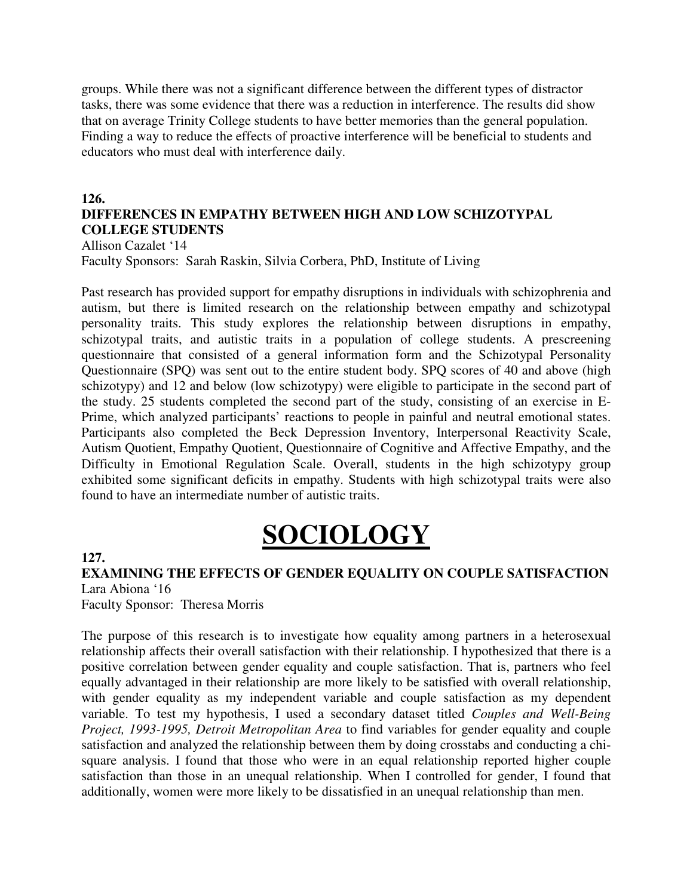groups. While there was not a significant difference between the different types of distractor tasks, there was some evidence that there was a reduction in interference. The results did show that on average Trinity College students to have better memories than the general population. Finding a way to reduce the effects of proactive interference will be beneficial to students and educators who must deal with interference daily.

#### **126.**

## **DIFFERENCES IN EMPATHY BETWEEN HIGH AND LOW SCHIZOTYPAL COLLEGE STUDENTS**

Allison Cazalet '14

Faculty Sponsors: Sarah Raskin, Silvia Corbera, PhD, Institute of Living

Past research has provided support for empathy disruptions in individuals with schizophrenia and autism, but there is limited research on the relationship between empathy and schizotypal personality traits. This study explores the relationship between disruptions in empathy, schizotypal traits, and autistic traits in a population of college students. A prescreening questionnaire that consisted of a general information form and the Schizotypal Personality Questionnaire (SPQ) was sent out to the entire student body. SPQ scores of 40 and above (high schizotypy) and 12 and below (low schizotypy) were eligible to participate in the second part of the study. 25 students completed the second part of the study, consisting of an exercise in E-Prime, which analyzed participants' reactions to people in painful and neutral emotional states. Participants also completed the Beck Depression Inventory, Interpersonal Reactivity Scale, Autism Quotient, Empathy Quotient, Questionnaire of Cognitive and Affective Empathy, and the Difficulty in Emotional Regulation Scale. Overall, students in the high schizotypy group exhibited some significant deficits in empathy. Students with high schizotypal traits were also found to have an intermediate number of autistic traits.

# **SOCIOLOGY**

#### **127.**

**EXAMINING THE EFFECTS OF GENDER EQUALITY ON COUPLE SATISFACTION**  Lara Abiona '16

Faculty Sponsor: Theresa Morris

The purpose of this research is to investigate how equality among partners in a heterosexual relationship affects their overall satisfaction with their relationship. I hypothesized that there is a positive correlation between gender equality and couple satisfaction. That is, partners who feel equally advantaged in their relationship are more likely to be satisfied with overall relationship, with gender equality as my independent variable and couple satisfaction as my dependent variable. To test my hypothesis, I used a secondary dataset titled *Couples and Well-Being Project, 1993-1995, Detroit Metropolitan Area* to find variables for gender equality and couple satisfaction and analyzed the relationship between them by doing crosstabs and conducting a chisquare analysis. I found that those who were in an equal relationship reported higher couple satisfaction than those in an unequal relationship. When I controlled for gender, I found that additionally, women were more likely to be dissatisfied in an unequal relationship than men.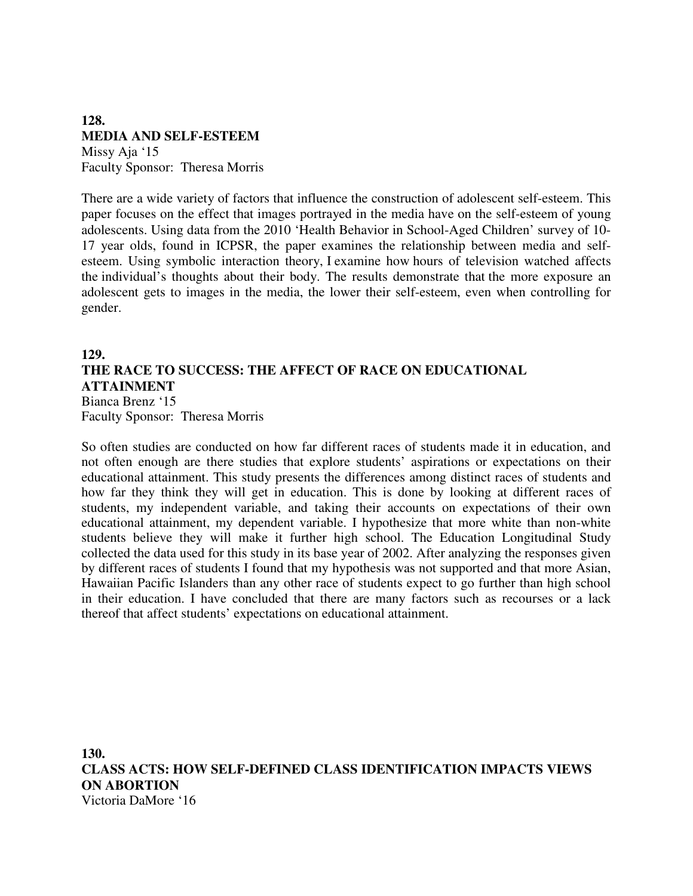## **128. MEDIA AND SELF-ESTEEM**  Missy Aja '15 Faculty Sponsor: Theresa Morris

There are a wide variety of factors that influence the construction of adolescent self-esteem. This paper focuses on the effect that images portrayed in the media have on the self-esteem of young adolescents. Using data from the 2010 'Health Behavior in School-Aged Children' survey of 10- 17 year olds, found in ICPSR, the paper examines the relationship between media and selfesteem. Using symbolic interaction theory, I examine how hours of television watched affects the individual's thoughts about their body. The results demonstrate that the more exposure an adolescent gets to images in the media, the lower their self-esteem, even when controlling for gender.

## **129. THE RACE TO SUCCESS: THE AFFECT OF RACE ON EDUCATIONAL ATTAINMENT**  Bianca Brenz '15

Faculty Sponsor: Theresa Morris

So often studies are conducted on how far different races of students made it in education, and not often enough are there studies that explore students' aspirations or expectations on their educational attainment. This study presents the differences among distinct races of students and how far they think they will get in education. This is done by looking at different races of students, my independent variable, and taking their accounts on expectations of their own educational attainment, my dependent variable. I hypothesize that more white than non-white students believe they will make it further high school. The Education Longitudinal Study collected the data used for this study in its base year of 2002. After analyzing the responses given by different races of students I found that my hypothesis was not supported and that more Asian, Hawaiian Pacific Islanders than any other race of students expect to go further than high school in their education. I have concluded that there are many factors such as recourses or a lack thereof that affect students' expectations on educational attainment.

**130. CLASS ACTS: HOW SELF-DEFINED CLASS IDENTIFICATION IMPACTS VIEWS ON ABORTION**  Victoria DaMore '16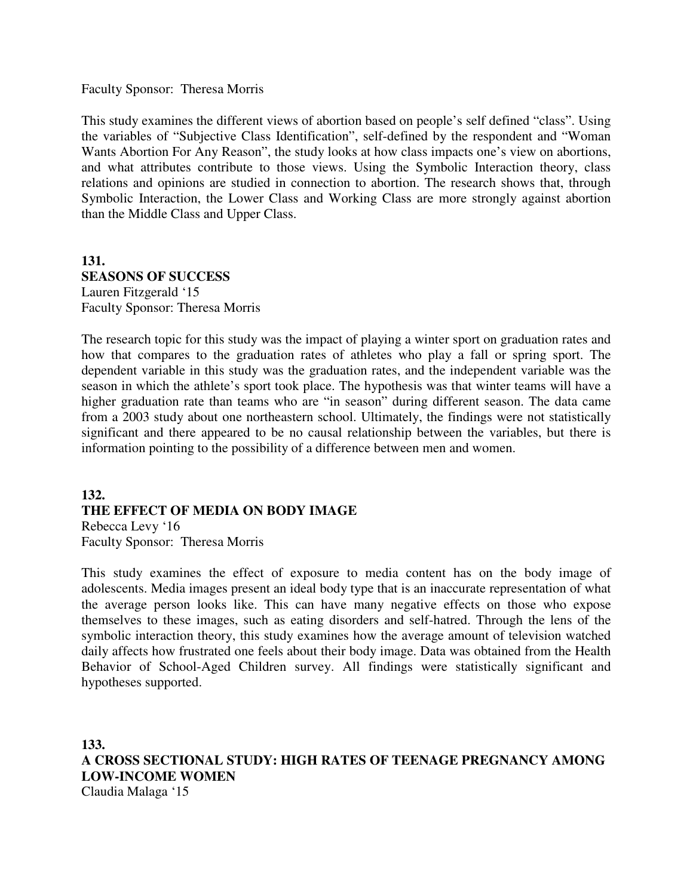Faculty Sponsor: Theresa Morris

This study examines the different views of abortion based on people's self defined "class". Using the variables of "Subjective Class Identification", self-defined by the respondent and "Woman Wants Abortion For Any Reason", the study looks at how class impacts one's view on abortions, and what attributes contribute to those views. Using the Symbolic Interaction theory, class relations and opinions are studied in connection to abortion. The research shows that, through Symbolic Interaction, the Lower Class and Working Class are more strongly against abortion than the Middle Class and Upper Class.

## **131. SEASONS OF SUCCESS**  Lauren Fitzgerald '15 Faculty Sponsor: Theresa Morris

The research topic for this study was the impact of playing a winter sport on graduation rates and how that compares to the graduation rates of athletes who play a fall or spring sport. The dependent variable in this study was the graduation rates, and the independent variable was the season in which the athlete's sport took place. The hypothesis was that winter teams will have a higher graduation rate than teams who are "in season" during different season. The data came from a 2003 study about one northeastern school. Ultimately, the findings were not statistically significant and there appeared to be no causal relationship between the variables, but there is information pointing to the possibility of a difference between men and women.

## **132. THE EFFECT OF MEDIA ON BODY IMAGE** Rebecca Levy '16

Faculty Sponsor: Theresa Morris

This study examines the effect of exposure to media content has on the body image of adolescents. Media images present an ideal body type that is an inaccurate representation of what the average person looks like. This can have many negative effects on those who expose themselves to these images, such as eating disorders and self-hatred. Through the lens of the symbolic interaction theory, this study examines how the average amount of television watched daily affects how frustrated one feels about their body image. Data was obtained from the Health Behavior of School-Aged Children survey. All findings were statistically significant and hypotheses supported.

**133. A CROSS SECTIONAL STUDY: HIGH RATES OF TEENAGE PREGNANCY AMONG LOW-INCOME WOMEN**  Claudia Malaga '15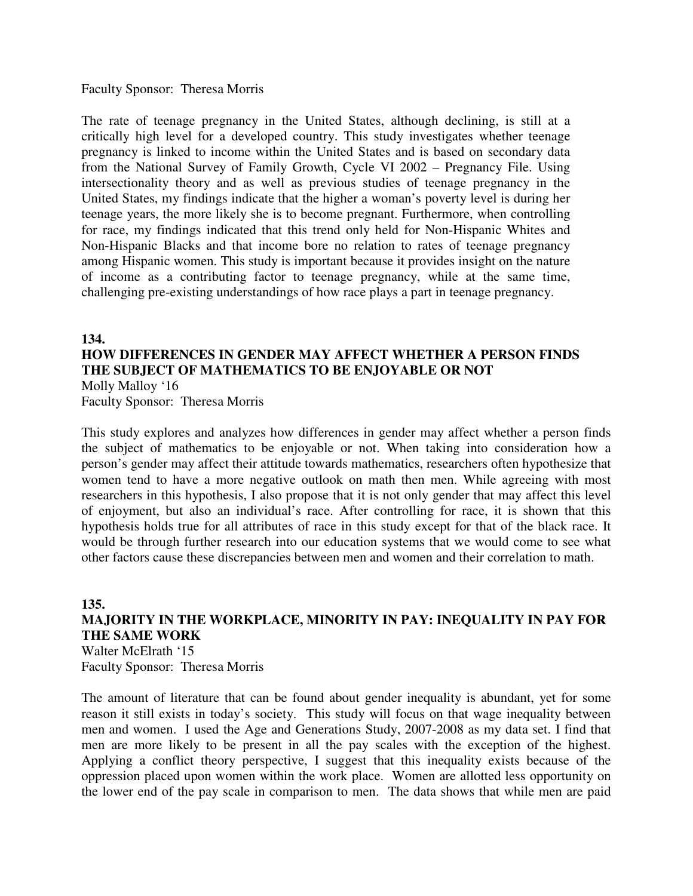Faculty Sponsor: Theresa Morris

The rate of teenage pregnancy in the United States, although declining, is still at a critically high level for a developed country. This study investigates whether teenage pregnancy is linked to income within the United States and is based on secondary data from the National Survey of Family Growth, Cycle VI 2002 – Pregnancy File. Using intersectionality theory and as well as previous studies of teenage pregnancy in the United States, my findings indicate that the higher a woman's poverty level is during her teenage years, the more likely she is to become pregnant. Furthermore, when controlling for race, my findings indicated that this trend only held for Non-Hispanic Whites and Non-Hispanic Blacks and that income bore no relation to rates of teenage pregnancy among Hispanic women. This study is important because it provides insight on the nature of income as a contributing factor to teenage pregnancy, while at the same time, challenging pre-existing understandings of how race plays a part in teenage pregnancy.

#### **134.**

## **HOW DIFFERENCES IN GENDER MAY AFFECT WHETHER A PERSON FINDS THE SUBJECT OF MATHEMATICS TO BE ENJOYABLE OR NOT**  Molly Malloy '16 Faculty Sponsor: Theresa Morris

This study explores and analyzes how differences in gender may affect whether a person finds the subject of mathematics to be enjoyable or not. When taking into consideration how a person's gender may affect their attitude towards mathematics, researchers often hypothesize that women tend to have a more negative outlook on math then men. While agreeing with most researchers in this hypothesis, I also propose that it is not only gender that may affect this level of enjoyment, but also an individual's race. After controlling for race, it is shown that this hypothesis holds true for all attributes of race in this study except for that of the black race. It would be through further research into our education systems that we would come to see what other factors cause these discrepancies between men and women and their correlation to math.

## **135. MAJORITY IN THE WORKPLACE, MINORITY IN PAY: INEQUALITY IN PAY FOR THE SAME WORK**

Walter McElrath '15 Faculty Sponsor: Theresa Morris

The amount of literature that can be found about gender inequality is abundant, yet for some reason it still exists in today's society. This study will focus on that wage inequality between men and women. I used the Age and Generations Study, 2007-2008 as my data set. I find that men are more likely to be present in all the pay scales with the exception of the highest. Applying a conflict theory perspective, I suggest that this inequality exists because of the oppression placed upon women within the work place. Women are allotted less opportunity on the lower end of the pay scale in comparison to men. The data shows that while men are paid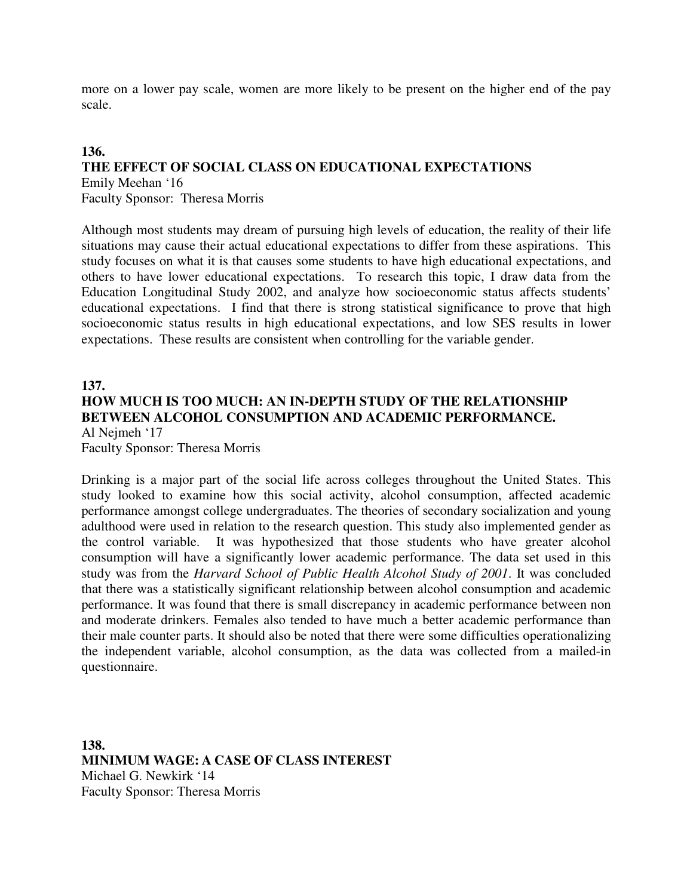more on a lower pay scale, women are more likely to be present on the higher end of the pay scale.

## **136.**

# **THE EFFECT OF SOCIAL CLASS ON EDUCATIONAL EXPECTATIONS**  Emily Meehan '16

Faculty Sponsor: Theresa Morris

Although most students may dream of pursuing high levels of education, the reality of their life situations may cause their actual educational expectations to differ from these aspirations. This study focuses on what it is that causes some students to have high educational expectations, and others to have lower educational expectations. To research this topic, I draw data from the Education Longitudinal Study 2002, and analyze how socioeconomic status affects students' educational expectations. I find that there is strong statistical significance to prove that high socioeconomic status results in high educational expectations, and low SES results in lower expectations. These results are consistent when controlling for the variable gender.

## **137. HOW MUCH IS TOO MUCH: AN IN-DEPTH STUDY OF THE RELATIONSHIP BETWEEN ALCOHOL CONSUMPTION AND ACADEMIC PERFORMANCE.** Al Nejmeh '17

Faculty Sponsor: Theresa Morris

Drinking is a major part of the social life across colleges throughout the United States. This study looked to examine how this social activity, alcohol consumption, affected academic performance amongst college undergraduates. The theories of secondary socialization and young adulthood were used in relation to the research question. This study also implemented gender as the control variable. It was hypothesized that those students who have greater alcohol consumption will have a significantly lower academic performance. The data set used in this study was from the *Harvard School of Public Health Alcohol Study of 2001*. It was concluded that there was a statistically significant relationship between alcohol consumption and academic performance. It was found that there is small discrepancy in academic performance between non and moderate drinkers. Females also tended to have much a better academic performance than their male counter parts. It should also be noted that there were some difficulties operationalizing the independent variable, alcohol consumption, as the data was collected from a mailed-in questionnaire.

**138. MINIMUM WAGE: A CASE OF CLASS INTEREST**  Michael G. Newkirk '14 Faculty Sponsor: Theresa Morris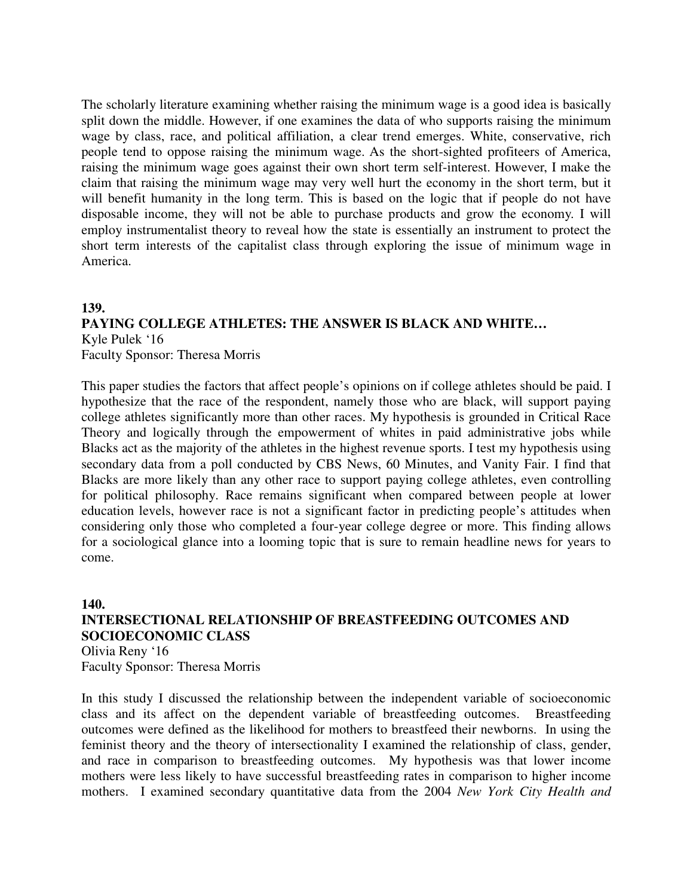The scholarly literature examining whether raising the minimum wage is a good idea is basically split down the middle. However, if one examines the data of who supports raising the minimum wage by class, race, and political affiliation, a clear trend emerges. White, conservative, rich people tend to oppose raising the minimum wage. As the short-sighted profiteers of America, raising the minimum wage goes against their own short term self-interest. However, I make the claim that raising the minimum wage may very well hurt the economy in the short term, but it will benefit humanity in the long term. This is based on the logic that if people do not have disposable income, they will not be able to purchase products and grow the economy. I will employ instrumentalist theory to reveal how the state is essentially an instrument to protect the short term interests of the capitalist class through exploring the issue of minimum wage in America.

## **139. PAYING COLLEGE ATHLETES: THE ANSWER IS BLACK AND WHITE…** Kyle Pulek '16 Faculty Sponsor: Theresa Morris

This paper studies the factors that affect people's opinions on if college athletes should be paid. I hypothesize that the race of the respondent, namely those who are black, will support paying college athletes significantly more than other races. My hypothesis is grounded in Critical Race Theory and logically through the empowerment of whites in paid administrative jobs while Blacks act as the majority of the athletes in the highest revenue sports. I test my hypothesis using secondary data from a poll conducted by CBS News, 60 Minutes, and Vanity Fair. I find that Blacks are more likely than any other race to support paying college athletes, even controlling for political philosophy. Race remains significant when compared between people at lower education levels, however race is not a significant factor in predicting people's attitudes when considering only those who completed a four-year college degree or more. This finding allows for a sociological glance into a looming topic that is sure to remain headline news for years to come.

# **140. INTERSECTIONAL RELATIONSHIP OF BREASTFEEDING OUTCOMES AND SOCIOECONOMIC CLASS**

Olivia Reny '16 Faculty Sponsor: Theresa Morris

In this study I discussed the relationship between the independent variable of socioeconomic class and its affect on the dependent variable of breastfeeding outcomes. Breastfeeding outcomes were defined as the likelihood for mothers to breastfeed their newborns. In using the feminist theory and the theory of intersectionality I examined the relationship of class, gender, and race in comparison to breastfeeding outcomes. My hypothesis was that lower income mothers were less likely to have successful breastfeeding rates in comparison to higher income mothers. I examined secondary quantitative data from the 2004 *New York City Health and*